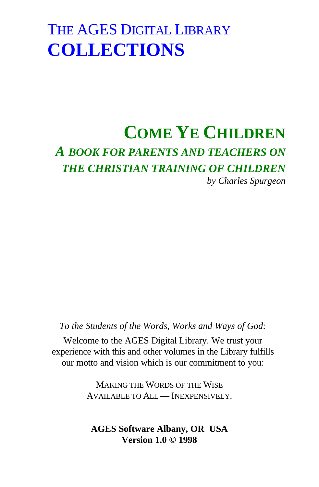#### **COME YE CHILDREN** *A BOOK FOR PARENTS AND TEACHERS ON THE CHRISTIAN TRAINING OF CHILDREN by Charles Spurgeon*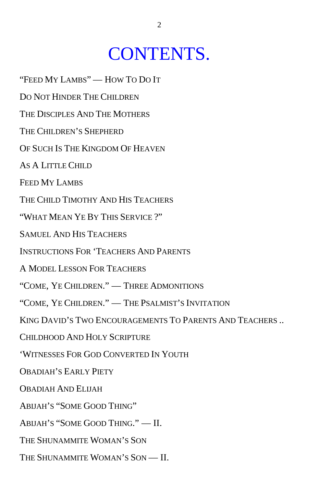#### CONTENTS.

"FEED MY LAMBS" — HOW TO DO IT

DO NOT HINDER THE CHILDREN

THE DISCIPLES AND THE MOTHERS

THE CHILDREN'S SHEPHERD

OF SUCH IS THE KINGDOM OF HEAVEN

AS A LITTLE CHILD

FEED MY LAMBS

THE CHILD TIMOTHY AND HIS TEACHERS

"WHAT MEAN YE BY THIS SERVICE ?"

SAMUEL AND HIS TEACHERS

INSTRUCTIONS FOR 'TEACHERS AND PARENTS

A MODEL LESSON FOR TEACHERS

"COME, YE CHILDREN." — THREE ADMONITIONS

"COME, YE CHILDREN." — THE PSALMIST'S INVITATION

KING DAVID'S TWO ENCOURAGEMENTS TO PARENTS AND TEACHERS ..

CHILDHOOD AND HOLY SCRIPTURE

'WITNESSES FOR GOD CONVERTED IN YOUTH

OBADIAH'S EARLY PIETY

OBADIAH AND ELIJAH

ABIJAH'S "SOME GOOD THING"

ABIJAH'S "SOME GOOD THING." — II.

THE SHUNAMMITE WOMAN'S SON

THE SHUNAMMITE WOMAN'S SON — II.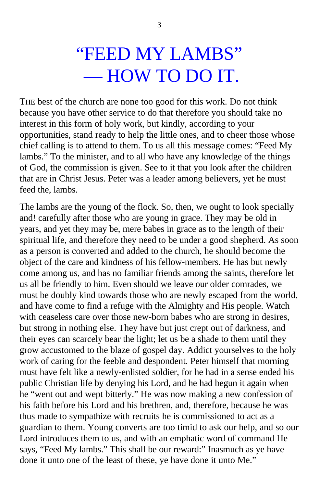# "FEED MY LAMBS" — HOW TO DO IT.

THE best of the church are none too good for this work. Do not think because you have other service to do that therefore you should take no interest in this form of holy work, but kindly, according to your opportunities, stand ready to help the little ones, and to cheer those whose chief calling is to attend to them. To us all this message comes: "Feed My lambs." To the minister, and to all who have any knowledge of the things of God, the commission is given. See to it that you look after the children that are in Christ Jesus. Peter was a leader among believers, yet he must feed the, lambs.

The lambs are the young of the flock. So, then, we ought to look specially and! carefully after those who are young in grace. They may be old in years, and yet they may be, mere babes in grace as to the length of their spiritual life, and therefore they need to be under a good shepherd. As soon as a person is converted and added to the church, he should become the object of the care and kindness of his fellow-members. He has but newly come among us, and has no familiar friends among the saints, therefore let us all be friendly to him. Even should we leave our older comrades, we must be doubly kind towards those who are newly escaped from the world, and have come to find a refuge with the Almighty and His people. Watch with ceaseless care over those new-born babes who are strong in desires, but strong in nothing else. They have but just crept out of darkness, and their eyes can scarcely bear the light; let us be a shade to them until they grow accustomed to the blaze of gospel day. Addict yourselves to the holy work of caring for the feeble and despondent. Peter himself that morning must have felt like a newly-enlisted soldier, for he had in a sense ended his public Christian life by denying his Lord, and he had begun it again when he "went out and wept bitterly." He was now making a new confession of his faith before his Lord and his brethren, and, therefore, because he was thus made to sympathize with recruits he is commissioned to act as a guardian to them. Young converts are too timid to ask our help, and so our Lord introduces them to us, and with an emphatic word of command He says, "Feed My lambs." This shall be our reward:" Inasmuch as ye have done it unto one of the least of these, ye have done it unto Me."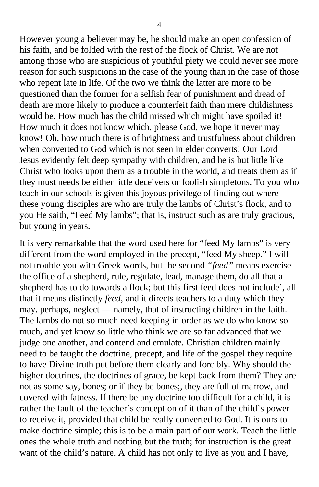However young a believer may be, he should make an open confession of his faith, and be folded with the rest of the flock of Christ. We are not among those who are suspicious of youthful piety we could never see more reason for such suspicions in the case of the young than in the case of those who repent late in life. Of the two we think the latter are more to be questioned than the former for a selfish fear of punishment and dread of death are more likely to produce a counterfeit faith than mere childishness would be. How much has the child missed which might have spoiled it! How much it does not know which, please God, we hope it never may know! Oh, how much there is of brightness and trustfulness about children when converted to God which is not seen in elder converts! Our Lord Jesus evidently felt deep sympathy with children, and he is but little like Christ who looks upon them as a trouble in the world, and treats them as if they must needs be either little deceivers or foolish simpletons. To you who teach in our schools is given this joyous privilege of finding out where these young disciples are who are truly the lambs of Christ's flock, and to you He saith, "Feed My lambs"; that is, instruct such as are truly gracious, but young in years.

It is very remarkable that the word used here for "feed My lambs" is very different from the word employed in the precept, "feed My sheep." I will not trouble you with Greek words, but the second *"feed"* means exercise the office of a shepherd, rule, regulate, lead, manage them, do all that a shepherd has to do towards a flock; but this first feed does not include', all that it means distinctly *feed,* and it directs teachers to a duty which they may. perhaps, neglect — namely, that of instructing children in the faith. The lambs do not so much need keeping in order as we do who know so much, and yet know so little who think we are so far advanced that we judge one another, and contend and emulate. Christian children mainly need to be taught the doctrine, precept, and life of the gospel they require to have Divine truth put before them clearly and forcibly. Why should the higher doctrines, the doctrines of grace, be kept back from them? They are not as some say, bones; or if they be bones;, they are full of marrow, and covered with fatness. If there be any doctrine too difficult for a child, it is rather the fault of the teacher's conception of it than of the child's power to receive it, provided that child be really converted to God. It is ours to make doctrine simple; this is to be a main part of our work. Teach the little ones the whole truth and nothing but the truth; for instruction is the great want of the child's nature. A child has not only to live as you and I have,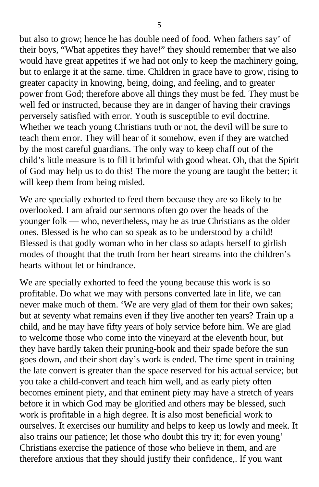but also to grow; hence he has double need of food. When fathers say' of their boys, "What appetites they have!" they should remember that we also would have great appetites if we had not only to keep the machinery going, but to enlarge it at the same. time. Children in grace have to grow, rising to greater capacity in knowing, being, doing, and feeling, and to greater power from God; therefore above all things they must be fed. They must be well fed or instructed, because they are in danger of having their cravings perversely satisfied with error. Youth is susceptible to evil doctrine. Whether we teach young Christians truth or not, the devil will be sure to teach them error. They will hear of it somehow, even if they are watched by the most careful guardians. The only way to keep chaff out of the child's little measure is to fill it brimful with good wheat. Oh, that the Spirit of God may help us to do this! The more the young are taught the better; it will keep them from being misled.

We are specially exhorted to feed them because they are so likely to be overlooked. I am afraid our sermons often go over the heads of the younger folk — who, nevertheless, may be as true Christians as the older ones. Blessed is he who can so speak as to be understood by a child! Blessed is that godly woman who in her class so adapts herself to girlish modes of thought that the truth from her heart streams into the children's hearts without let or hindrance.

We are specially exhorted to feed the young because this work is so profitable. Do what we may with persons converted late in life, we can never make much of them. 'We are very glad of them for their own sakes; but at seventy what remains even if they live another ten years? Train up a child, and he may have fifty years of holy service before him. We are glad to welcome those who come into the vineyard at the eleventh hour, but they have hardly taken their pruning-hook and their spade before the sun goes down, and their short day's work is ended. The time spent in training the late convert is greater than the space reserved for his actual service; but you take a child-convert and teach him well, and as early piety often becomes eminent piety, and that eminent piety may have a stretch of years before it in which God may be glorified and others may be blessed, such work is profitable in a high degree. It is also most beneficial work to ourselves. It exercises our humility and helps to keep us lowly and meek. It also trains our patience; let those who doubt this try it; for even young' Christians exercise the patience of those who believe in them, and are therefore anxious that they should justify their confidence,. If you want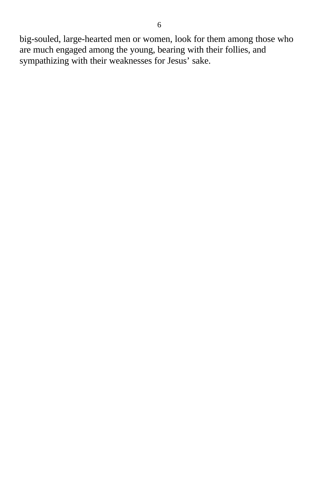big-souled, large-hearted men or women, look for them among those who are much engaged among the young, bearing with their follies, and sympathizing with their weaknesses for Jesus' sake.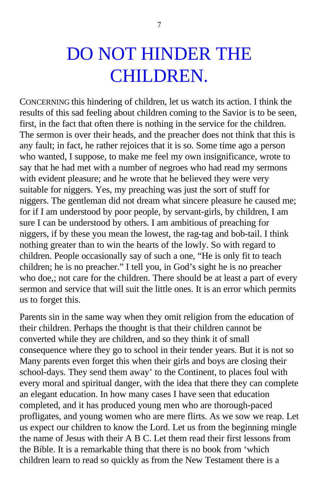#### DO NOT HINDER THE CHILDREN.

CONCERNING this hindering of children, let us watch its action. I think the results of this sad feeling about children coming to the Savior is to be seen, first, in the fact that often there is nothing in the service for the children. The sermon is over their heads, and the preacher does not think that this is any fault; in fact, he rather rejoices that it is so. Some time ago a person who wanted, I suppose, to make me feel my own insignificance, wrote to say that he had met with a number of negroes who had read my sermons with evident pleasure; and he wrote that he believed they were very suitable for niggers. Yes, my preaching was just the sort of stuff for niggers. The gentleman did not dream what sincere pleasure he caused me; for if I am understood by poor people, by servant-girls, by children, I am sure I can be understood by others. I am ambitious of preaching for niggers, if by these you mean the lowest, the rag-tag and bob-tail. I think nothing greater than to win the hearts of the lowly. So with regard to children. People occasionally say of such a one, "He is only fit to teach children; he is no preacher." I tell you, in God's sight he is no preacher who doe,; not care for the children. There should be at least a part of every sermon and service that will suit the little ones. It is an error which permits us to forget this.

Parents sin in the same way when they omit religion from the education of their children. Perhaps the thought is that their children cannot be converted while they are children, and so they think it of small consequence where they go to school in their tender years. But it is not so Many parents even forget this when their girls and boys are closing their school-days. They send them away' to the Continent, to places foul with every moral and spiritual danger, with the idea that there they can complete an elegant education. In how many cases I have seen that education completed, and it has produced young men who are thorough-paced profligates, and young women who are mere flirts. As we sow we reap. Let us expect our children to know the Lord. Let us from the beginning mingle the name of Jesus with their A B C. Let them read their first lessons from the Bible. It is a remarkable thing that there is no book from 'which children learn to read so quickly as from the New Testament there is a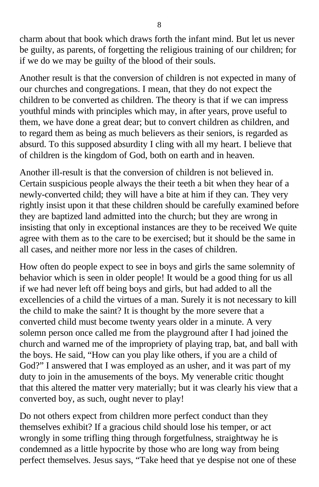charm about that book which draws forth the infant mind. But let us never be guilty, as parents, of forgetting the religious training of our children; for if we do we may be guilty of the blood of their souls.

Another result is that the conversion of children is not expected in many of our churches and congregations. I mean, that they do not expect the children to be converted as children. The theory is that if we can impress youthful minds with principles which may, in after years, prove useful to them, we have done a great dear; but to convert children as children, and to regard them as being as much believers as their seniors, is regarded as absurd. To this supposed absurdity I cling with all my heart. I believe that of children is the kingdom of God, both on earth and in heaven.

Another ill-result is that the conversion of children is not believed in. Certain suspicious people always the their teeth a bit when they hear of a newly-converted child; they will have a bite at him if they can. They very rightly insist upon it that these children should be carefully examined before they are baptized land admitted into the church; but they are wrong in insisting that only in exceptional instances are they to be received We quite agree with them as to the care to be exercised; but it should be the same in all cases, and neither more nor less in the cases of children.

How often do people expect to see in boys and girls the same solemnity of behavior which is seen in older people! It would be a good thing for us all if we had never left off being boys and girls, but had added to all the excellencies of a child the virtues of a man. Surely it is not necessary to kill the child to make the saint? It is thought by the more severe that a converted child must become twenty years older in a minute. A very solemn person once called me from the playground after I had joined the church and warned me of the impropriety of playing trap, bat, and ball with the boys. He said, "How can you play like others, if you are a child of God?" I answered that I was employed as an usher, and it was part of my duty to join in the amusements of the boys. My venerable critic thought that this altered the matter very materially; but it was clearly his view that a converted boy, as such, ought never to play!

Do not others expect from children more perfect conduct than they themselves exhibit? If a gracious child should lose his temper, or act wrongly in some trifling thing through forgetfulness, straightway he is condemned as a little hypocrite by those who are long way from being perfect themselves. Jesus says, "Take heed that ye despise not one of these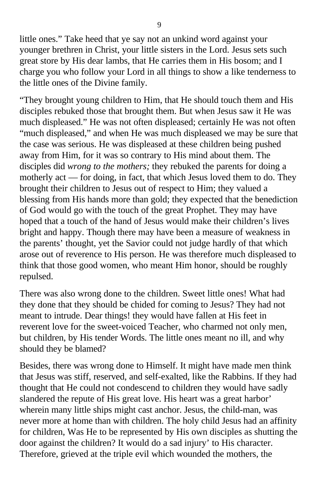little ones." Take heed that ye say not an unkind word against your younger brethren in Christ, your little sisters in the Lord. Jesus sets such great store by His dear lambs, that He carries them in His bosom; and I charge you who follow your Lord in all things to show a like tenderness to the little ones of the Divine family.

"They brought young children to Him, that He should touch them and His disciples rebuked those that brought them. But when Jesus saw it He was much displeased." He was not often displeased; certainly He was not often "much displeased," and when He was much displeased we may be sure that the case was serious. He was displeased at these children being pushed away from Him, for it was so contrary to His mind about them. The disciples did *wrong to the mothers;* they rebuked the parents for doing a motherly act — for doing, in fact, that which Jesus loved them to do. They brought their children to Jesus out of respect to Him; they valued a blessing from His hands more than gold; they expected that the benediction of God would go with the touch of the great Prophet. They may have hoped that a touch of the hand of Jesus would make their children's lives bright and happy. Though there may have been a measure of weakness in the parents' thought, yet the Savior could not judge hardly of that which arose out of reverence to His person. He was therefore much displeased to think that those good women, who meant Him honor, should be roughly repulsed.

There was also wrong done to the children. Sweet little ones! What had they done that they should be chided for coming to Jesus? They had not meant to intrude. Dear things! they would have fallen at His feet in reverent love for the sweet-voiced Teacher, who charmed not only men, but children, by His tender Words. The little ones meant no ill, and why should they be blamed?

Besides, there was wrong done to Himself. It might have made men think that Jesus was stiff, reserved, and self-exalted, like the Rabbins. If they had thought that He could not condescend to children they would have sadly slandered the repute of His great love. His heart was a great harbor' wherein many little ships might cast anchor. Jesus, the child-man, was never more at home than with children. The holy child Jesus had an affinity for children, Was He to be represented by His own disciples as shutting the door against the children? It would do a sad injury' to His character. Therefore, grieved at the triple evil which wounded the mothers, the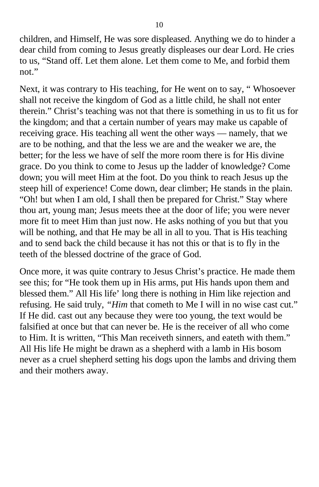children, and Himself, He was sore displeased. Anything we do to hinder a dear child from coming to Jesus greatly displeases our dear Lord. He cries to us, "Stand off. Let them alone. Let them come to Me, and forbid them not."

Next, it was contrary to His teaching, for He went on to say, " Whosoever shall not receive the kingdom of God as a little child, he shall not enter therein." Christ's teaching was not that there is something in us to fit us for the kingdom; and that a certain number of years may make us capable of receiving grace. His teaching all went the other ways — namely, that we are to be nothing, and that the less we are and the weaker we are, the better; for the less we have of self the more room there is for His divine grace. Do you think to come to Jesus up the ladder of knowledge? Come down; you will meet Him at the foot. Do you think to reach Jesus up the steep hill of experience! Come down, dear climber; He stands in the plain. "Oh! but when I am old, I shall then be prepared for Christ." Stay where thou art, young man; Jesus meets thee at the door of life; you were never more fit to meet Him than just now. He asks nothing of you but that you will be nothing, and that He may be all in all to you. That is His teaching and to send back the child because it has not this or that is to fly in the teeth of the blessed doctrine of the grace of God.

Once more, it was quite contrary to Jesus Christ's practice. He made them see this; for "He took them up in His arms, put His hands upon them and blessed them." All His life' long there is nothing in Him like rejection and refusing. He said truly, *"Him* that cometh to Me I will in no wise cast cut." If He did. cast out any because they were too young, the text would be falsified at once but that can never be. He is the receiver of all who come to Him. It is written, "This Man receiveth sinners, and eateth with them." All His life He might be drawn as a shepherd with a lamb in His bosom never as a cruel shepherd setting his dogs upon the lambs and driving them and their mothers away.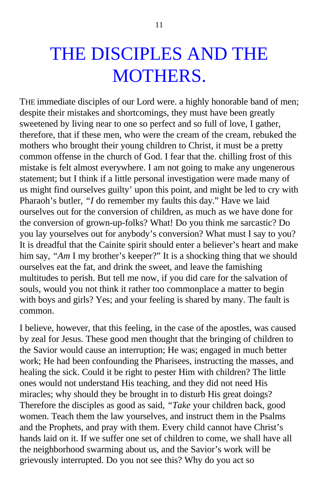#### THE DISCIPLES AND THE MOTHERS.

THE immediate disciples of our Lord were. a highly honorable band of men; despite their mistakes and shortcomings, they must have been greatly sweetened by living near to one so perfect and so full of love, I gather, therefore, that if these men, who were the cream of the cream, rebuked the mothers who brought their young children to Christ, it must be a pretty common offense in the church of God. I fear that the. chilling frost of this mistake is felt almost everywhere. I am not going to make any ungenerous statement; but I think if a little personal investigation were made many of us might find ourselves guilty' upon this point, and might be led to cry with Pharaoh's butler, *"I* do remember my faults this day." Have we laid ourselves out for the conversion of children, as much as we have done for the conversion of grown-up-folks? What! Do you think me sarcastic? Do you lay yourselves out for anybody's conversion? What must I say to you? It is dreadful that the Cainite spirit should enter a believer's heart and make him say, "Am I my brother's keeper?" It is a shocking thing that we should ourselves eat the fat, and drink the sweet, and leave the famishing multitudes to perish. But tell me now, if you did care for the salvation of souls, would you not think it rather too commonplace a matter to begin with boys and girls? Yes; and your feeling is shared by many. The fault is common.

I believe, however, that this feeling, in the case of the apostles, was caused by zeal for Jesus. These good men thought that the bringing of children to the Savior would cause an interruption; He was; engaged in much better work; He had been confounding the Pharisees, instructing the masses, and healing the sick. Could it be right to pester Him with children? The little ones would not understand His teaching, and they did not need His miracles; why should they be brought in to disturb His great doings? Therefore the disciples as good as said, *"Take* your children back, good women. Teach them the law yourselves, and instruct them in the Psalms and the Prophets, and pray with them. Every child cannot have Christ's hands laid on it. If we suffer one set of children to come, we shall have all the neighborhood swarming about us, and the Savior's work will be grievously interrupted. Do you not see this? Why do you act so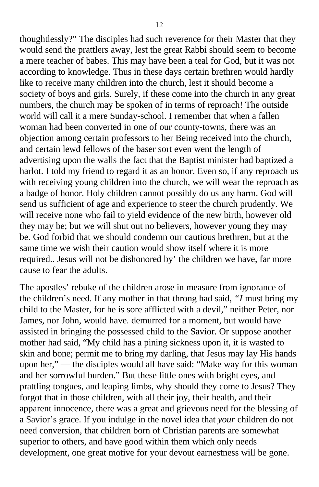thoughtlessly?" The disciples had such reverence for their Master that they would send the prattlers away, lest the great Rabbi should seem to become a mere teacher of babes. This may have been a teal for God, but it was not according to knowledge. Thus in these days certain brethren would hardly like to receive many children into the church, lest it should become a society of boys and girls. Surely, if these come into the church in any great numbers, the church may be spoken of in terms of reproach! The outside world will call it a mere Sunday-school. I remember that when a fallen woman had been converted in one of our county-towns, there was an objection among certain professors to her Being received into the church, and certain lewd fellows of the baser sort even went the length of advertising upon the walls the fact that the Baptist minister had baptized a harlot. I told my friend to regard it as an honor. Even so, if any reproach us with receiving young children into the church, we will wear the reproach as a badge of honor. Holy children cannot possibly do us any harm. God will send us sufficient of age and experience to steer the church prudently. We will receive none who fail to yield evidence of the new birth, however old they may be; but we will shut out no believers, however young they may be. God forbid that we should condemn our cautious brethren, but at the same time we wish their caution would show itself where it is more required.. Jesus will not be dishonored by' the children we have, far more cause to fear the adults.

The apostles' rebuke of the children arose in measure from ignorance of the children's need. If any mother in that throng had said, *"I* must bring my child to the Master, for he is sore afflicted with a devil," neither Peter, nor James, nor John, would have. demurred for a moment, but would have assisted in bringing the possessed child to the Savior. Or suppose another mother had said, "My child has a pining sickness upon it, it is wasted to skin and bone; permit me to bring my darling, that Jesus may lay His hands upon her," — the disciples would all have said: "Make way for this woman and her sorrowful burden." But these little ones with bright eyes, and prattling tongues, and leaping limbs, why should they come to Jesus? They forgot that in those children, with all their joy, their health, and their apparent innocence, there was a great and grievous need for the blessing of a Savior's grace. If you indulge in the novel idea that *your* children do not need conversion, that children born of Christian parents are somewhat superior to others, and have good within them which only needs development, one great motive for your devout earnestness will be gone.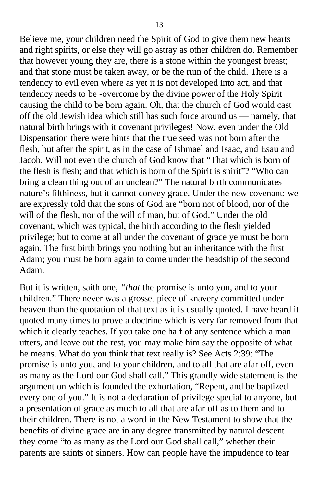Believe me, your children need the Spirit of God to give them new hearts and right spirits, or else they will go astray as other children do. Remember that however young they are, there is a stone within the youngest breast; and that stone must be taken away, or be the ruin of the child. There is a tendency to evil even where as yet it is not developed into act, and that tendency needs to be -overcome by the divine power of the Holy Spirit causing the child to be born again. Oh, that the church of God would cast off the old Jewish idea which still has such force around us — namely, that natural birth brings with it covenant privileges! Now, even under the Old Dispensation there were hints that the true seed was not born after the flesh, but after the spirit, as in the case of Ishmael and Isaac, and Esau and Jacob. Will not even the church of God know that "That which is born of the flesh is flesh; and that which is born of the Spirit is spirit"? "Who can bring a clean thing out of an unclean?" The natural birth communicates nature's filthiness, but it cannot convey grace. Under the new covenant; we are expressly told that the sons of God are "born not of blood, nor of the will of the flesh, nor of the will of man, but of God." Under the old covenant, which was typical, the birth according to the flesh yielded privilege; but to come at all under the covenant of grace ye must be born again. The first birth brings you nothing but an inheritance with the first Adam; you must be born again to come under the headship of the second Adam.

But it is written, saith one, *"that* the promise is unto you, and to your children." There never was a grosset piece of knavery committed under heaven than the quotation of that text as it is usually quoted. I have heard it quoted many times to prove a doctrine which is very far removed from that which it clearly teaches. If you take one half of any sentence which a man utters, and leave out the rest, you may make him say the opposite of what he means. What do you think that text really is? See Acts 2:39: "The promise is unto you, and to your children, and to all that are afar off, even as many as the Lord our God shall call." This grandly wide statement is the argument on which is founded the exhortation, "Repent, and be baptized every one of you." It is not a declaration of privilege special to anyone, but a presentation of grace as much to all that are afar off as to them and to their children. There is not a word in the New Testament to show that the benefits of divine grace are in any degree transmitted by natural descent they come "to as many as the Lord our God shall call," whether their parents are saints of sinners. How can people have the impudence to tear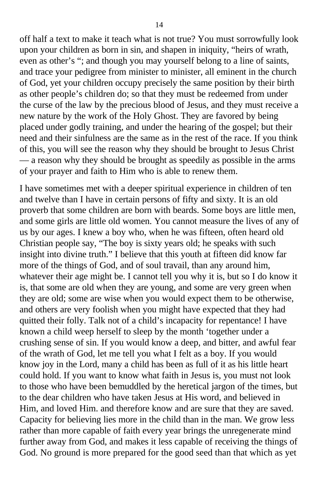off half a text to make it teach what is not true? You must sorrowfully look upon your children as born in sin, and shapen in iniquity, "heirs of wrath, even as other's "; and though you may yourself belong to a line of saints, and trace your pedigree from minister to minister, all eminent in the church of God, yet your children occupy precisely the same position by their birth as other people's children do; so that they must be redeemed from under the curse of the law by the precious blood of Jesus, and they must receive a new nature by the work of the Holy Ghost. They are favored by being placed under godly training, and under the hearing of the gospel; but their need and their sinfulness are the same as in the rest of the race. If you think of this, you will see the reason why they should be brought to Jesus Christ — a reason why they should be brought as speedily as possible in the arms of your prayer and faith to Him who is able to renew them.

I have sometimes met with a deeper spiritual experience in children of ten and twelve than I have in certain persons of fifty and sixty. It is an old proverb that some children are born with beards. Some boys are little men, and some girls are little old women. You cannot measure the lives of any of us by our ages. I knew a boy who, when he was fifteen, often heard old Christian people say, "The boy is sixty years old; he speaks with such insight into divine truth." I believe that this youth at fifteen did know far more of the things of God, and of soul travail, than any around him, whatever their age might be. I cannot tell you why it is, but so I do know it is, that some are old when they are young, and some are very green when they are old; some are wise when you would expect them to be otherwise, and others are very foolish when you might have expected that they had quitted their folly. Talk not of a child's incapacity for repentance! I have known a child weep herself to sleep by the month 'together under a crushing sense of sin. If you would know a deep, and bitter, and awful fear of the wrath of God, let me tell you what I felt as a boy. If you would know joy in the Lord, many a child has been as full of it as his little heart could hold. If you want to know what faith in Jesus is, you must not look to those who have been bemuddled by the heretical jargon of the times, but to the dear children who have taken Jesus at His word, and believed in Him, and loved Him. and therefore know and are sure that they are saved. Capacity for believing lies more in the child than in the man. We grow less rather than more capable of faith every year brings the unregenerate mind further away from God, and makes it less capable of receiving the things of God. No ground is more prepared for the good seed than that which as yet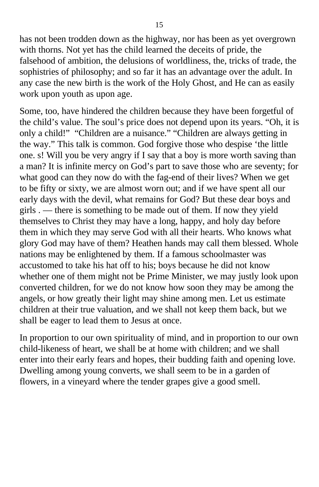has not been trodden down as the highway, nor has been as yet overgrown with thorns. Not yet has the child learned the deceits of pride, the falsehood of ambition, the delusions of worldliness, the, tricks of trade, the sophistries of philosophy; and so far it has an advantage over the adult. In any case the new birth is the work of the Holy Ghost, and He can as easily work upon youth as upon age.

Some, too, have hindered the children because they have been forgetful of the child's value. The soul's price does not depend upon its years. "Oh, it is only a child!" "Children are a nuisance." "Children are always getting in the way." This talk is common. God forgive those who despise 'the little one. s! Will you be very angry if I say that a boy is more worth saving than a man? It is infinite mercy on God's part to save those who are seventy; for what good can they now do with the fag-end of their lives? When we get to be fifty or sixty, we are almost worn out; and if we have spent all our early days with the devil, what remains for God? But these dear boys and girls . — there is something to be made out of them. If now they yield themselves to Christ they may have a long, happy, and holy day before them in which they may serve God with all their hearts. Who knows what glory God may have of them? Heathen hands may call them blessed. Whole nations may be enlightened by them. If a famous schoolmaster was accustomed to take his hat off to his; boys because he did not know whether one of them might not be Prime Minister, we may justly look upon converted children, for we do not know how soon they may be among the angels, or how greatly their light may shine among men. Let us estimate children at their true valuation, and we shall not keep them back, but we shall be eager to lead them to Jesus at once.

In proportion to our own spirituality of mind, and in proportion to our own child-likeness of heart, we shall be at home with children; and we shall enter into their early fears and hopes, their budding faith and opening love. Dwelling among young converts, we shall seem to be in a garden of flowers, in a vineyard where the tender grapes give a good smell.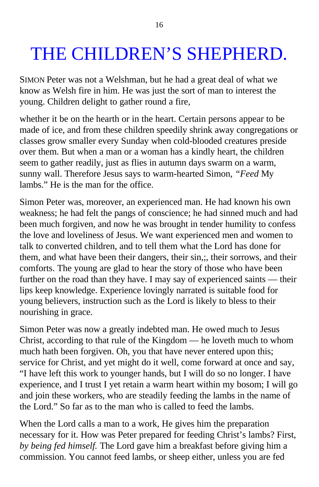## THE CHILDREN'S SHEPHERD.

SIMON Peter was not a Welshman, but he had a great deal of what we know as Welsh fire in him. He was just the sort of man to interest the young. Children delight to gather round a fire,

whether it be on the hearth or in the heart. Certain persons appear to be made of ice, and from these children speedily shrink away congregations or classes grow smaller every Sunday when cold-blooded creatures preside over them. But when a man or a woman has a kindly heart, the children seem to gather readily, just as flies in autumn days swarm on a warm, sunny wall. Therefore Jesus says to warm-hearted Simon, *"Feed* My lambs." He is the man for the office.

Simon Peter was, moreover, an experienced man. He had known his own weakness; he had felt the pangs of conscience; he had sinned much and had been much forgiven, and now he was brought in tender humility to confess the love and loveliness of Jesus. We want experienced men and women to talk to converted children, and to tell them what the Lord has done for them, and what have been their dangers, their sin,;, their sorrows, and their comforts. The young are glad to hear the story of those who have been further on the road than they have. I may say of experienced saints — their lips keep knowledge. Experience lovingly narrated is suitable food for young believers, instruction such as the Lord is likely to bless to their nourishing in grace.

Simon Peter was now a greatly indebted man. He owed much to Jesus Christ, according to that rule of the Kingdom — he loveth much to whom much hath been forgiven. Oh, you that have never entered upon this; service for Christ, and yet might do it well, come forward at once and say, "I have left this work to younger hands, but I will do so no longer. I have experience, and I trust I yet retain a warm heart within my bosom; I will go and join these workers, who are steadily feeding the lambs in the name of the Lord." So far as to the man who is called to feed the lambs.

When the Lord calls a man to a work, He gives him the preparation necessary for it. How was Peter prepared for feeding Christ's lambs? First, *by being fed himself.* The Lord gave him a breakfast before giving him a commission. You cannot feed lambs, or sheep either, unless you are fed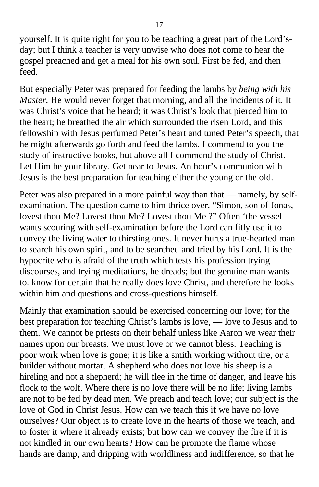yourself. It is quite right for you to be teaching a great part of the Lord'sday; but I think a teacher is very unwise who does not come to hear the gospel preached and get a meal for his own soul. First be fed, and then feed.

But especially Peter was prepared for feeding the lambs by *being with his Master.* He would never forget that morning, and all the incidents of it. It was Christ's voice that he heard; it was Christ's look that pierced him to the heart; he breathed the air which surrounded the risen Lord, and this fellowship with Jesus perfumed Peter's heart and tuned Peter's speech, that he might afterwards go forth and feed the lambs. I commend to you the study of instructive books, but above all I commend the study of Christ. Let Him be your library. Get near to Jesus. An hour's communion with Jesus is the best preparation for teaching either the young or the old.

Peter was also prepared in a more painful way than that — namely, by selfexamination. The question came to him thrice over, "Simon, son of Jonas, lovest thou Me? Lovest thou Me? Lovest thou Me ?" Often 'the vessel wants scouring with self-examination before the Lord can fitly use it to convey the living water to thirsting ones. It never hurts a true-hearted man to search his own spirit, and to be searched and tried by his Lord. It is the hypocrite who is afraid of the truth which tests his profession trying discourses, and trying meditations, he dreads; but the genuine man wants to. know for certain that he really does love Christ, and therefore he looks within him and questions and cross-questions himself.

Mainly that examination should be exercised concerning our love; for the best preparation for teaching Christ's lambs is love, — love to Jesus and to them. We cannot be priests on their behalf unless like Aaron we wear their names upon our breasts. We must love or we cannot bless. Teaching is poor work when love is gone; it is like a smith working without tire, or a builder without mortar. A shepherd who does not love his sheep is a hireling and not a shepherd; he will flee in the time of danger, and leave his flock to the wolf. Where there is no love there will be no life; living lambs are not to be fed by dead men. We preach and teach love; our subject is the love of God in Christ Jesus. How can we teach this if we have no love ourselves? Our object is to create love in the hearts of those we teach, and to foster it where it already exists; but how can we convey the fire if it is not kindled in our own hearts? How can he promote the flame whose hands are damp, and dripping with worldliness and indifference, so that he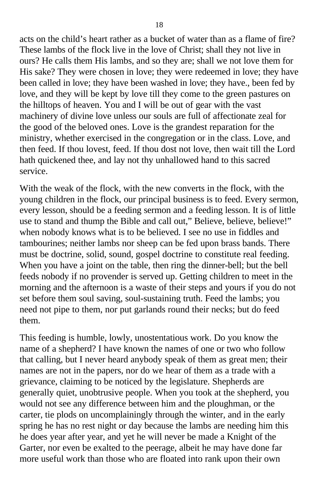acts on the child's heart rather as a bucket of water than as a flame of fire? These lambs of the flock live in the love of Christ; shall they not live in ours? He calls them His lambs, and so they are; shall we not love them for His sake? They were chosen in love; they were redeemed in love; they have been called in love; they have been washed in love; they have., been fed by love, and they will be kept by love till they come to the green pastures on the hilltops of heaven. You and I will be out of gear with the vast machinery of divine love unless our souls are full of affectionate zeal for the good of the beloved ones. Love is the grandest reparation for the ministry, whether exercised in the congregation or in the class. Love, and then feed. If thou lovest, feed. If thou dost not love, then wait till the Lord hath quickened thee, and lay not thy unhallowed hand to this sacred service.

With the weak of the flock, with the new converts in the flock, with the young children in the flock, our principal business is to feed. Every sermon, every lesson, should be a feeding sermon and a feeding lesson. It is of little use to stand and thump the Bible and call out," Believe, believe, believe!" when nobody knows what is to be believed. I see no use in fiddles and tambourines; neither lambs nor sheep can be fed upon brass bands. There must be doctrine, solid, sound, gospel doctrine to constitute real feeding. When you have a joint on the table, then ring the dinner-bell; but the bell feeds nobody if no provender is served up. Getting children to meet in the morning and the afternoon is a waste of their steps and yours if you do not set before them soul saving, soul-sustaining truth. Feed the lambs; you need not pipe to them, nor put garlands round their necks; but do feed them.

This feeding is humble, lowly, unostentatious work. Do you know the name of a shepherd? I have known the names of one or two who follow that calling, but I never heard anybody speak of them as great men; their names are not in the papers, nor do we hear of them as a trade with a grievance, claiming to be noticed by the legislature. Shepherds are generally quiet, unobtrusive people. When you took at the shepherd, you would not see any difference between him and the ploughman, or the carter, tie plods on uncomplainingly through the winter, and in the early spring he has no rest night or day because the lambs are needing him this he does year after year, and yet he will never be made a Knight of the Garter, nor even be exalted to the peerage, albeit he may have done far more useful work than those who are floated into rank upon their own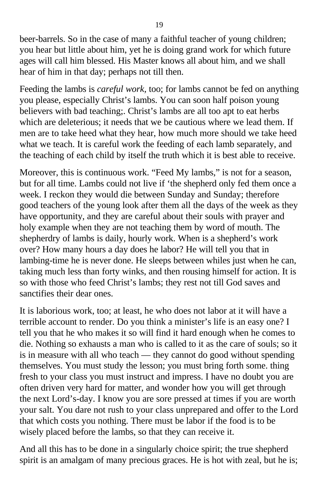beer-barrels. So in the case of many a faithful teacher of young children; you hear but little about him, yet he is doing grand work for which future ages will call him blessed. His Master knows all about him, and we shall hear of him in that day; perhaps not till then.

Feeding the lambs is *careful work,* too; for lambs cannot be fed on anything you please, especially Christ's lambs. You can soon half poison young believers with bad teaching;. Christ's lambs are all too apt to eat herbs which are deleterious; it needs that we be cautious where we lead them. If men are to take heed what they hear, how much more should we take heed what we teach. It is careful work the feeding of each lamb separately, and the teaching of each child by itself the truth which it is best able to receive.

Moreover, this is continuous work. "Feed My lambs," is not for a season, but for all time. Lambs could not live if 'the shepherd only fed them once a week. I reckon they would die between Sunday and Sunday; therefore good teachers of the young look after them all the days of the week as they have opportunity, and they are careful about their souls with prayer and holy example when they are not teaching them by word of mouth. The shepherdry of lambs is daily, hourly work. When is a shepherd's work over? How many hours a day does he labor? He will tell you that in lambing-time he is never done. He sleeps between whiles just when he can, taking much less than forty winks, and then rousing himself for action. It is so with those who feed Christ's lambs; they rest not till God saves and sanctifies their dear ones.

It is laborious work, too; at least, he who does not labor at it will have a terrible account to render. Do you think a minister's life is an easy one? I tell you that he who makes it so will find it hard enough when he comes to die. Nothing so exhausts a man who is called to it as the care of souls; so it is in measure with all who teach — they cannot do good without spending themselves. You must study the lesson; you must bring forth some. thing fresh to your class you must instruct and impress. I have no doubt you are often driven very hard for matter, and wonder how you will get through the next Lord's-day. I know you are sore pressed at times if you are worth your salt. You dare not rush to your class unprepared and offer to the Lord that which costs you nothing. There must be labor if the food is to be wisely placed before the lambs, so that they can receive it.

And all this has to be done in a singularly choice spirit; the true shepherd spirit is an amalgam of many precious graces. He is hot with zeal, but he is;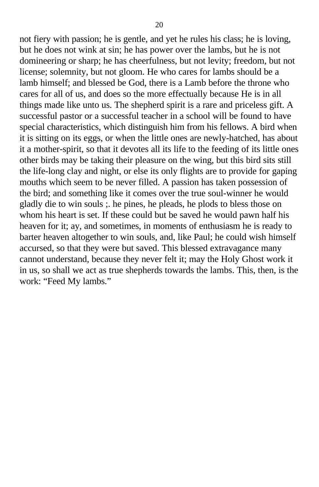not fiery with passion; he is gentle, and yet he rules his class; he is loving, but he does not wink at sin; he has power over the lambs, but he is not domineering or sharp; he has cheerfulness, but not levity; freedom, but not license; solemnity, but not gloom. He who cares for lambs should be a lamb himself; and blessed be God, there is a Lamb before the throne who cares for all of us, and does so the more effectually because He is in all things made like unto us. The shepherd spirit is a rare and priceless gift. A successful pastor or a successful teacher in a school will be found to have special characteristics, which distinguish him from his fellows. A bird when it is sitting on its eggs, or when the little ones are newly-hatched, has about it a mother-spirit, so that it devotes all its life to the feeding of its little ones other birds may be taking their pleasure on the wing, but this bird sits still the life-long clay and night, or else its only flights are to provide for gaping mouths which seem to be never filled. A passion has taken possession of the bird; and something like it comes over the true soul-winner he would gladly die to win souls ;. he pines, he pleads, he plods to bless those on whom his heart is set. If these could but be saved he would pawn half his heaven for it; ay, and sometimes, in moments of enthusiasm he is ready to barter heaven altogether to win souls, and, like Paul; he could wish himself accursed, so that they were but saved. This blessed extravagance many cannot understand, because they never felt it; may the Holy Ghost work it in us, so shall we act as true shepherds towards the lambs. This, then, is the work: "Feed My lambs."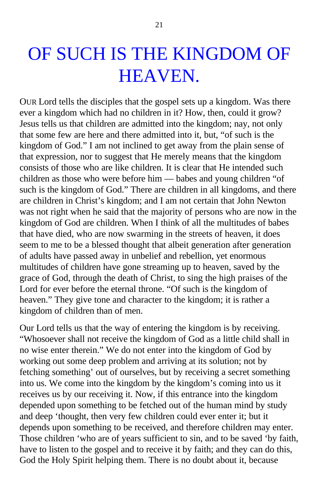# OF SUCH IS THE KINGDOM OF HEAVEN.

OUR Lord tells the disciples that the gospel sets up a kingdom. Was there ever a kingdom which had no children in it? How, then, could it grow? Jesus tells us that children are admitted into the kingdom; nay, not only that some few are here and there admitted into it, but, "of such is the kingdom of God." I am not inclined to get away from the plain sense of that expression, nor to suggest that He merely means that the kingdom consists of those who are like children. It is clear that He intended such children as those who were before him — babes and young children "of such is the kingdom of God." There are children in all kingdoms, and there are children in Christ's kingdom; and I am not certain that John Newton was not right when he said that the majority of persons who are now in the kingdom of God are children. When I think of all the multitudes of babes that have died, who are now swarming in the streets of heaven, it does seem to me to be a blessed thought that albeit generation after generation of adults have passed away in unbelief and rebellion, yet enormous multitudes of children have gone streaming up to heaven, saved by the grace of God, through the death of Christ, to sing the high praises of the Lord for ever before the eternal throne. "Of such is the kingdom of heaven." They give tone and character to the kingdom; it is rather a kingdom of children than of men.

Our Lord tells us that the way of entering the kingdom is by receiving. "Whosoever shall not receive the kingdom of God as a little child shall in no wise enter therein." We do not enter into the kingdom of God by working out some deep problem and arriving at its solution; not by fetching something' out of ourselves, but by receiving a secret something into us. We come into the kingdom by the kingdom's coming into us it receives us by our receiving it. Now, if this entrance into the kingdom depended upon something to be fetched out of the human mind by study and deep 'thought, then very few children could ever enter it; but it depends upon something to be received, and therefore children may enter. Those children 'who are of years sufficient to sin, and to be saved 'by faith, have to listen to the gospel and to receive it by faith; and they can do this, God the Holy Spirit helping them. There is no doubt about it, because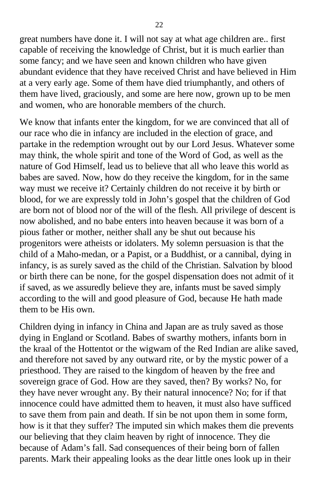great numbers have done it. I will not say at what age children are.. first capable of receiving the knowledge of Christ, but it is much earlier than some fancy; and we have seen and known children who have given abundant evidence that they have received Christ and have believed in Him at a very early age. Some of them have died triumphantly, and others of them have lived, graciously, and some are here now, grown up to be men and women, who are honorable members of the church.

We know that infants enter the kingdom, for we are convinced that all of our race who die in infancy are included in the election of grace, and partake in the redemption wrought out by our Lord Jesus. Whatever some may think, the whole spirit and tone of the Word of God, as well as the nature of God Himself, lead us to believe that all who leave this world as babes are saved. Now, how do they receive the kingdom, for in the same way must we receive it? Certainly children do not receive it by birth or blood, for we are expressly told in John's gospel that the children of God are born not of blood nor of the will of the flesh. All privilege of descent is now abolished, and no babe enters into heaven because it was born of a pious father or mother, neither shall any be shut out because his progenitors were atheists or idolaters. My solemn persuasion is that the child of a Maho-medan, or a Papist, or a Buddhist, or a cannibal, dying in infancy, is as surely saved as the child of the Christian. Salvation by blood or birth there can be none, for the gospel dispensation does not admit of it if saved, as we assuredly believe they are, infants must be saved simply according to the will and good pleasure of God, because He hath made them to be His own.

Children dying in infancy in China and Japan are as truly saved as those dying in England or Scotland. Babes of swarthy mothers, infants born in the kraal of the Hottentot or the wigwam of the Red Indian are alike saved, and therefore not saved by any outward rite, or by the mystic power of a priesthood. They are raised to the kingdom of heaven by the free and sovereign grace of God. How are they saved, then? By works? No, for they have never wrought any. By their natural innocence? No; for if that innocence could have admitted them to heaven, it must also have sufficed to save them from pain and death. If sin be not upon them in some form, how is it that they suffer? The imputed sin which makes them die prevents our believing that they claim heaven by right of innocence. They die because of Adam's fall. Sad consequences of their being born of fallen parents. Mark their appealing looks as the dear little ones look up in their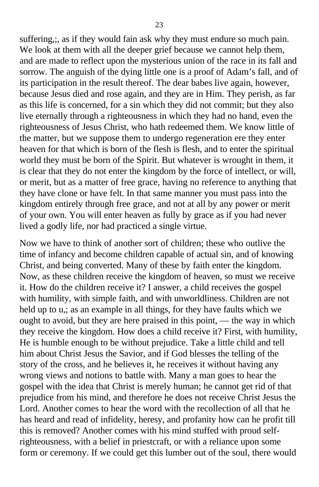suffering,;, as if they would fain ask why they must endure so much pain. We look at them with all the deeper grief because we cannot help them, and are made to reflect upon the mysterious union of the race in its fall and sorrow. The anguish of the dying little one is a proof of Adam's fall, and of its participation in the result thereof. The dear babes live again, however, because Jesus died and rose again, and they are in Him. They perish, as far as this life is concerned, for a sin which they did not commit; but they also live eternally through a righteousness in which they had no hand, even the righteousness of Jesus Christ, who hath redeemed them. We know little of the matter, but we suppose them to undergo regeneration ere they enter heaven for that which is born of the flesh is flesh, and to enter the spiritual world they must be born of the Spirit. But whatever is wrought in them, it is clear that they do not enter the kingdom by the force of intellect, or will, or merit, but as a matter of free grace, having no reference to anything that they have clone or have felt. In that same manner you must pass into the kingdom entirely through free grace, and not at all by any power or merit of your own. You will enter heaven as fully by grace as if you had never lived a godly life, nor had practiced a single virtue.

Now we have to think of another sort of children; these who outlive the time of infancy and become children capable of actual sin, and of knowing Christ, and being converted. Many of these by faith enter the kingdom. Now, as these children receive the kingdom of heaven, so must we receive it. How do the children receive it? I answer, a child receives the gospel with humility, with simple faith, and with unworldliness. Children are not held up to u,; as an example in all things, for they have faults which we ought to avoid, but they are here praised in this point, — the way in which they receive the kingdom. How does a child receive it? First, with humility, He is humble enough to be without prejudice. Take a little child and tell him about Christ Jesus the Savior, and if God blesses the telling of the story of the cross, and he believes it, he receives it without having any wrong views and notions to battle with. Many a man goes to hear the gospel with the idea that Christ is merely human; he cannot get rid of that prejudice from his mind, and therefore he does not receive Christ Jesus the Lord. Another comes to hear the word with the recollection of all that he has heard and read of infidelity, heresy, and profanity how can he profit till this is removed? Another comes with his mind stuffed with proud selfrighteousness, with a belief in priestcraft, or with a reliance upon some form or ceremony. If we could get this lumber out of the soul, there would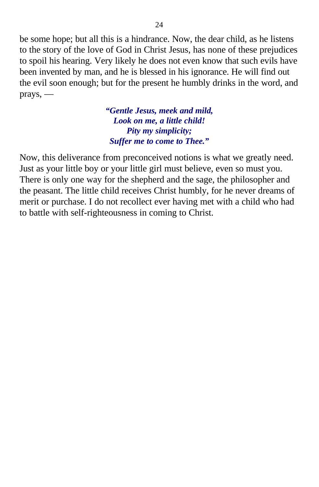be some hope; but all this is a hindrance. Now, the dear child, as he listens to the story of the love of God in Christ Jesus, has none of these prejudices to spoil his hearing. Very likely he does not even know that such evils have been invented by man, and he is blessed in his ignorance. He will find out the evil soon enough; but for the present he humbly drinks in the word, and prays, —

> *"Gentle Jesus, meek and mild, Look on me, a little child! Pity my simplicity; Suffer me to come to Thee."*

Now, this deliverance from preconceived notions is what we greatly need. Just as your little boy or your little girl must believe, even so must you. There is only one way for the shepherd and the sage, the philosopher and the peasant. The little child receives Christ humbly, for he never dreams of merit or purchase. I do not recollect ever having met with a child who had to battle with self-righteousness in coming to Christ.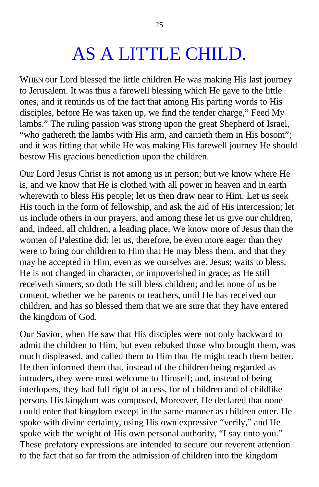# AS A LITTLE CHILD.

WHEN our Lord blessed the little children He was making His last journey to Jerusalem. It was thus a farewell blessing which He gave to the little ones, and it reminds us of the fact that among His parting words to His disciples, before He was taken up, we find the tender charge," Feed My lambs." The ruling passion was strong upon the great Shepherd of Israel, "who gathereth the lambs with His arm, and carrieth them in His bosom"; and it was fitting that while He was making His farewell journey He should bestow His gracious benediction upon the children.

Our Lord Jesus Christ is not among us in person; but we know where He is, and we know that He is clothed with all power in heaven and in earth wherewith to bless His people; let us then draw near to Him. Let us seek His touch in the form of fellowship, and ask the aid of His intercession; let us include others in our prayers, and among these let us give our children, and, indeed, all children, a leading place. We know more of Jesus than the women of Palestine did; let us, therefore, be even more eager than they were to bring our children to Him that He may bless them, and that they may be accepted in Him, even as we ourselves are. Jesus; waits to bless. He is not changed in character, or impoverished in grace; as He still receiveth sinners, so doth He still bless children; and let none of us be content, whether we be parents or teachers, until He has received our children, and has so blessed them that we are sure that they have entered the kingdom of God.

Our Savior, when He saw that His disciples were not only backward to admit the children to Him, but even rebuked those who brought them, was much displeased, and called them to Him that He might teach them better. He then informed them that, instead of the children being regarded as intruders, they were most welcome to Himself; and, instead of being interlopers, they had full right of access, for of children and of childlike persons His kingdom was composed, Moreover, He declared that none could enter that kingdom except in the same manner as children enter. He spoke with divine certainty, using His own expressive "verily," and He spoke with the weight of His own personal authority, "I say unto you." These prefatory expressions are intended to secure our reverent attention to the fact that so far from the admission of children into the kingdom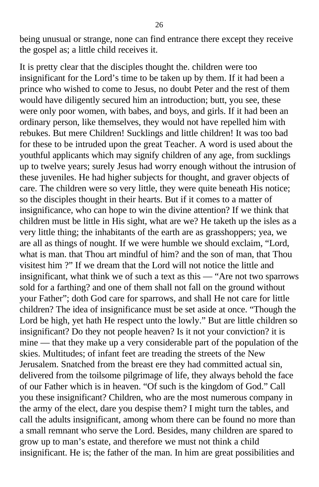being unusual or strange, none can find entrance there except they receive the gospel as; a little child receives it.

It is pretty clear that the disciples thought the. children were too insignificant for the Lord's time to be taken up by them. If it had been a prince who wished to come to Jesus, no doubt Peter and the rest of them would have diligently secured him an introduction; butt, you see, these were only poor women, with babes, and boys, and girls. If it had been an ordinary person, like themselves, they would not have repelled him with rebukes. But mere Children! Sucklings and little children! It was too bad for these to be intruded upon the great Teacher. A word is used about the youthful applicants which may signify children of any age, from sucklings up to twelve years; surely Jesus had worry enough without the intrusion of these juveniles. He had higher subjects for thought, and graver objects of care. The children were so very little, they were quite beneath His notice; so the disciples thought in their hearts. But if it comes to a matter of insignificance, who can hope to win the divine attention? If we think that children must be little in His sight, what are we? He taketh up the isles as a very little thing; the inhabitants of the earth are as grasshoppers; yea, we are all as things of nought. If we were humble we should exclaim, "Lord, what is man. that Thou art mindful of him? and the son of man, that Thou visitest him ?" If we dream that the Lord will not notice the little and insignificant, what think we of such a text as this — "Are not two sparrows sold for a farthing? and one of them shall not fall on the ground without your Father"; doth God care for sparrows, and shall He not care for little children? The idea of insignificance must be set aside at once. "Though the Lord be high, yet hath He respect unto the lowly." But are little children so insignificant? Do they not people heaven? Is it not your conviction? it is mine — that they make up a very considerable part of the population of the skies. Multitudes; of infant feet are treading the streets of the New Jerusalem. Snatched from the breast ere they had committed actual sin, delivered from the toilsome pilgrimage of life, they always behold the face of our Father which is in heaven. "Of such is the kingdom of God." Call you these insignificant? Children, who are the most numerous company in the army of the elect, dare you despise them? I might turn the tables, and call the adults insignificant, among whom there can be found no more than a small remnant who serve the Lord. Besides, many children are spared to grow up to man's estate, and therefore we must not think a child insignificant. He is; the father of the man. In him are great possibilities and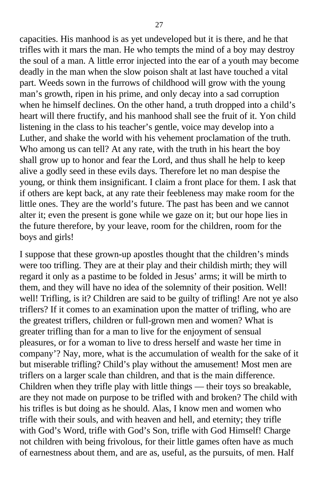capacities. His manhood is as yet undeveloped but it is there, and he that trifles with it mars the man. He who tempts the mind of a boy may destroy the soul of a man. A little error injected into the ear of a youth may become deadly in the man when the slow poison shalt at last have touched a vital part. Weeds sown in the furrows of childhood will grow with the young man's growth, ripen in his prime, and only decay into a sad corruption when he himself declines. On the other hand, a truth dropped into a child's heart will there fructify, and his manhood shall see the fruit of it. Yon child listening in the class to his teacher's gentle, voice may develop into a Luther, and shake the world with his vehement proclamation of the truth. Who among us can tell? At any rate, with the truth in his heart the boy shall grow up to honor and fear the Lord, and thus shall he help to keep alive a godly seed in these evils days. Therefore let no man despise the young, or think them insignificant. I claim a front place for them. I ask that if others are kept back, at any rate their feebleness may make room for the little ones. They are the world's future. The past has been and we cannot alter it; even the present is gone while we gaze on it; but our hope lies in the future therefore, by your leave, room for the children, room for the boys and girls!

I suppose that these grown-up apostles thought that the children's minds were too trifling. They are at their play and their childish mirth; they will regard it only as a pastime to be folded in Jesus' arms; it will be mirth to them, and they will have no idea of the solemnity of their position. Well! well! Trifling, is it? Children are said to be guilty of trifling! Are not ye also triflers? If it comes to an examination upon the matter of trifling, who are the greatest triflers, children or full-grown men and women? What is greater trifling than for a man to live for the enjoyment of sensual pleasures, or for a woman to live to dress herself and waste her time in company'? Nay, more, what is the accumulation of wealth for the sake of it but miserable trifling? Child's play without the amusement! Most men are triflers on a larger scale than children, and that is the main difference. Children when they trifle play with little things — their toys so breakable, are they not made on purpose to be trifled with and broken? The child with his trifles is but doing as he should. Alas, I know men and women who trifle with their souls, and with heaven and hell, and eternity; they trifle with God's Word, trifle with God's Son, trifle with God Himself! Charge not children with being frivolous, for their little games often have as much of earnestness about them, and are as, useful, as the pursuits, of men. Half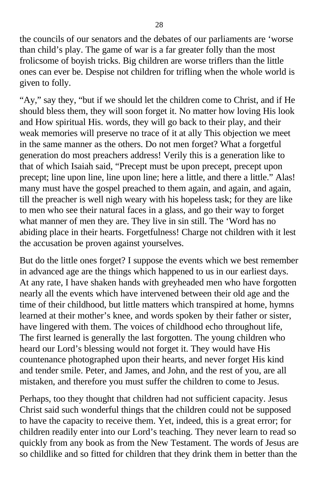the councils of our senators and the debates of our parliaments are 'worse than child's play. The game of war is a far greater folly than the most frolicsome of boyish tricks. Big children are worse triflers than the little ones can ever be. Despise not children for trifling when the whole world is given to folly.

"Ay," say they, "but if we should let the children come to Christ, and if He should bless them, they will soon forget it. No matter how loving His look and How spiritual His. words, they will go back to their play, and their weak memories will preserve no trace of it at ally This objection we meet in the same manner as the others. Do not men forget? What a forgetful generation do most preachers address! Verily this is a generation like to that of which Isaiah said, "Precept must be upon precept, precept upon precept; line upon line, line upon line; here a little, and there a little." Alas! many must have the gospel preached to them again, and again, and again, till the preacher is well nigh weary with his hopeless task; for they are like to men who see their natural faces in a glass, and go their way to forget what manner of men they are. They live in sin still. The 'Word has no abiding place in their hearts. Forgetfulness! Charge not children with it lest the accusation be proven against yourselves.

But do the little ones forget? I suppose the events which we best remember in advanced age are the things which happened to us in our earliest days. At any rate, I have shaken hands with greyheaded men who have forgotten nearly all the events which have intervened between their old age and the time of their childhood, but little matters which transpired at home, hymns learned at their mother's knee, and words spoken by their father or sister, have lingered with them. The voices of childhood echo throughout life, The first learned is generally the last forgotten. The young children who heard our Lord's blessing would not forget it. They would have His countenance photographed upon their hearts, and never forget His kind and tender smile. Peter, and James, and John, and the rest of you, are all mistaken, and therefore you must suffer the children to come to Jesus.

Perhaps, too they thought that children had not sufficient capacity. Jesus Christ said such wonderful things that the children could not be supposed to have the capacity to receive them. Yet, indeed, this is a great error; for children readily enter into our Lord's teaching. They never learn to read so quickly from any book as from the New Testament. The words of Jesus are so childlike and so fitted for children that they drink them in better than the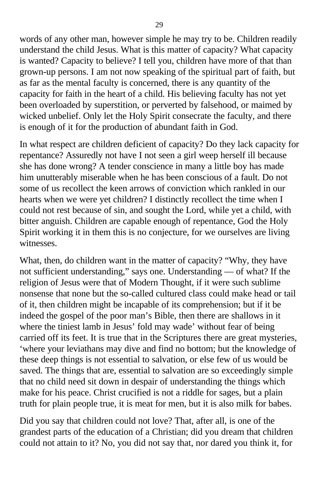words of any other man, however simple he may try to be. Children readily understand the child Jesus. What is this matter of capacity? What capacity is wanted? Capacity to believe? I tell you, children have more of that than grown-up persons. I am not now speaking of the spiritual part of faith, but as far as the mental faculty is concerned, there is any quantity of the capacity for faith in the heart of a child. His believing faculty has not yet been overloaded by superstition, or perverted by falsehood, or maimed by wicked unbelief. Only let the Holy Spirit consecrate the faculty, and there is enough of it for the production of abundant faith in God.

In what respect are children deficient of capacity? Do they lack capacity for repentance? Assuredly not have I not seen a girl weep herself ill because she has done wrong? A tender conscience in many a little boy has made him unutterably miserable when he has been conscious of a fault. Do not some of us recollect the keen arrows of conviction which rankled in our hearts when we were yet children? I distinctly recollect the time when I could not rest because of sin, and sought the Lord, while yet a child, with bitter anguish. Children are capable enough of repentance, God the Holy Spirit working it in them this is no conjecture, for we ourselves are living witnesses.

What, then, do children want in the matter of capacity? "Why, they have not sufficient understanding," says one. Understanding — of what? If the religion of Jesus were that of Modern Thought, if it were such sublime nonsense that none but the so-called cultured class could make head or tail of it, then children might be incapable of its comprehension; but if it be indeed the gospel of the poor man's Bible, then there are shallows in it where the tiniest lamb in Jesus' fold may wade' without fear of being carried off its feet. It is true that in the Scriptures there are great mysteries, 'where your leviathans may dive and find no bottom; but the knowledge of these deep things is not essential to salvation, or else few of us would be saved. The things that are, essential to salvation are so exceedingly simple that no child need sit down in despair of understanding the things which make for his peace. Christ crucified is not a riddle for sages, but a plain truth for plain people true, it is meat for men, but it is also milk for babes.

Did you say that children could not love? That, after all, is one of the grandest parts of the education of a Christian; did you dream that children could not attain to it? No, you did not say that, nor dared you think it, for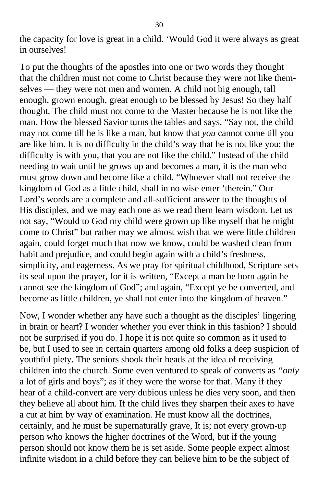the capacity for love is great in a child. 'Would God it were always as great in ourselves!

To put the thoughts of the apostles into one or two words they thought that the children must not come to Christ because they were not like themselves — they were not men and women. A child not big enough, tall enough, grown enough, great enough to be blessed by Jesus! So they half thought. The child must not come to the Master because he is not like the man. How the blessed Savior turns the tables and says, "Say not, the child may not come till he is like a man, but know that *you* cannot come till you are like him. It is no difficulty in the child's way that he is not like you; the difficulty is with you, that you are not like the child." Instead of the child needing to wait until he grows up and becomes a man, it is the man who must grow down and become like a child. "Whoever shall not receive the kingdom of God as a little child, shall in no wise enter 'therein." Our Lord's words are a complete and all-sufficient answer to the thoughts of His disciples, and we may each one as we read them learn wisdom. Let us not say, "Would to God my child were grown up like myself that he might come to Christ" but rather may we almost wish that we were little children again, could forget much that now we know, could be washed clean from habit and prejudice, and could begin again with a child's freshness, simplicity, and eagerness. As we pray for spiritual childhood, Scripture sets its seal upon the prayer, for it is written, "Except a man be born again he cannot see the kingdom of God"; and again, "Except ye be converted, and become as little children, ye shall not enter into the kingdom of heaven."

Now, I wonder whether any have such a thought as the disciples' lingering in brain or heart? I wonder whether you ever think in this fashion? I should not be surprised if you do. I hope it is not quite so common as it used to be, but I used to see in certain quarters among old folks a deep suspicion of youthful piety. The seniors shook their heads at the idea of receiving children into the church. Some even ventured to speak of converts as *"only* a lot of girls and boys"; as if they were the worse for that. Many if they hear of a child-convert are very dubious unless he dies very soon, and then they believe all about him. If the child lives they sharpen their axes to have a cut at him by way of examination. He must know all the doctrines, certainly, and he must be supernaturally grave, It is; not every grown-up person who knows the higher doctrines of the Word, but if the young person should not know them he is set aside. Some people expect almost infinite wisdom in a child before they can believe him to be the subject of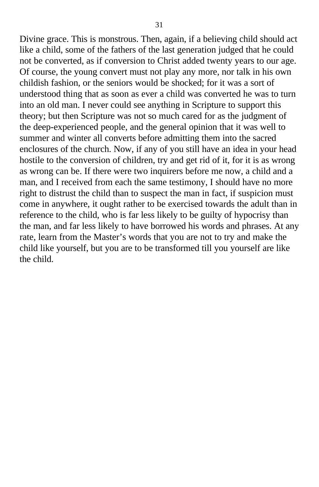Divine grace. This is monstrous. Then, again, if a believing child should act like a child, some of the fathers of the last generation judged that he could not be converted, as if conversion to Christ added twenty years to our age. Of course, the young convert must not play any more, nor talk in his own childish fashion, or the seniors would be shocked; for it was a sort of understood thing that as soon as ever a child was converted he was to turn into an old man. I never could see anything in Scripture to support this theory; but then Scripture was not so much cared for as the judgment of the deep-experienced people, and the general opinion that it was well to summer and winter all converts before admitting them into the sacred enclosures of the church. Now, if any of you still have an idea in your head hostile to the conversion of children, try and get rid of it, for it is as wrong as wrong can be. If there were two inquirers before me now, a child and a man, and I received from each the same testimony, I should have no more right to distrust the child than to suspect the man in fact, if suspicion must come in anywhere, it ought rather to be exercised towards the adult than in reference to the child, who is far less likely to be guilty of hypocrisy than the man, and far less likely to have borrowed his words and phrases. At any rate, learn from the Master's words that you are not to try and make the child like yourself, but you are to be transformed till you yourself are like the child.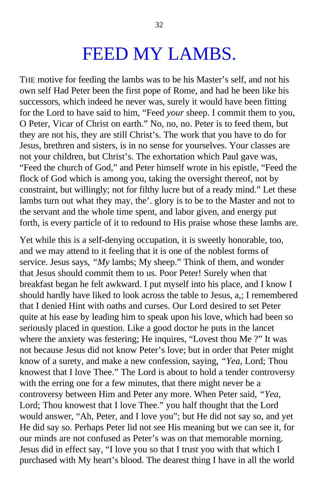#### FEED MY LAMBS.

THE motive for feeding the lambs was to be his Master's self, and not his own self Had Peter been the first pope of Rome, and had he been like his successors, which indeed he never was, surely it would have been fitting for the Lord to have said to him, "Feed *your* sheep. I commit them to you, O Peter, Vicar of Christ on earth." No, no, no. Peter is to feed them, but they are not his, they are still Christ's. The work that you have to do for Jesus, brethren and sisters, is in no sense for yourselves. Your classes are not your children, but Christ's. The exhortation which Paul gave was, "Feed the church of God," and Peter himself wrote in his epistle, "Feed the flock of God which is among you, taking the oversight thereof, not by constraint, but willingly; not for filthy lucre but of a ready mind." Let these lambs turn out what they may, the'. glory is to be to the Master and not to the servant and the whole time spent, and labor given, and energy put forth, is every particle of it to redound to His praise whose these lambs are.

Yet while this is a self-denying occupation, it is sweetly honorable, too, and we may attend to it feeling that it is one of the noblest forms of service. Jesus says, *"My* lambs; My sheep." Think of them, and wonder that Jesus should commit them to us. Poor Peter! Surely when that breakfast began he felt awkward. I put myself into his place, and I know I should hardly have liked to look across the table to Jesus, a,; I remembered that I denied Hint with oaths and curses. Our Lord desired to set Peter quite at his ease by leading him to speak upon his love, which had been so seriously placed in question. Like a good doctor he puts in the lancet where the anxiety was festering; He inquires, "Lovest thou Me ?" It was not because Jesus did not know Peter's love; but in order that Peter might know of a surety, and make a new confession, saying, *"Yea,* Lord; Thou knowest that I love Thee." The Lord is about to hold a tender controversy with the erring one for a few minutes, that there might never be a controversy between Him and Peter any more. When Peter said, *"Yea,* Lord; Thou knowest that I love Thee." you half thought that the Lord would answer, "Ah, Peter, and I love you"; but He did not say so, and yet He did say so. Perhaps Peter lid not see His meaning but we can see it, for our minds are not confused as Peter's was on that memorable morning. Jesus did in effect say, "I love you so that I trust you with that which I purchased with My heart's blood. The dearest thing I have in all the world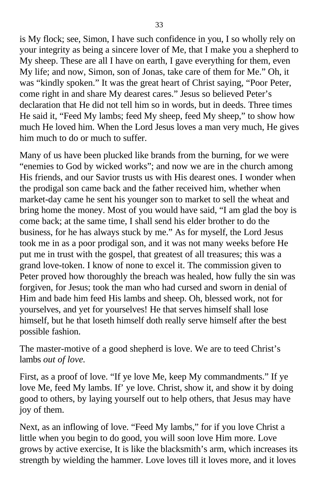is My flock; see, Simon, I have such confidence in you, I so wholly rely on your integrity as being a sincere lover of Me, that I make you a shepherd to My sheep. These are all I have on earth, I gave everything for them, even My life; and now, Simon, son of Jonas, take care of them for Me." Oh, it was "kindly spoken." It was the great heart of Christ saying, "Poor Peter, come right in and share My dearest cares." Jesus so believed Peter's declaration that He did not tell him so in words, but in deeds. Three times He said it, "Feed My lambs; feed My sheep, feed My sheep," to show how much He loved him. When the Lord Jesus loves a man very much, He gives him much to do or much to suffer.

Many of us have been plucked like brands from the burning, for we were "enemies to God by wicked works"; and now we are in the church among His friends, and our Savior trusts us with His dearest ones. I wonder when the prodigal son came back and the father received him, whether when market-day came he sent his younger son to market to sell the wheat and bring home the money. Most of you would have said, "I am glad the boy is come back; at the same time, I shall send his elder brother to do the business, for he has always stuck by me." As for myself, the Lord Jesus took me in as a poor prodigal son, and it was not many weeks before He put me in trust with the gospel, that greatest of all treasures; this was a grand love-token. I know of none to excel it. The commission given to Peter proved how thoroughly the breach was healed, how fully the sin was forgiven, for Jesus; took the man who had cursed and sworn in denial of Him and bade him feed His lambs and sheep. Oh, blessed work, not for yourselves, and yet for yourselves! He that serves himself shall lose himself, but he that loseth himself doth really serve himself after the best possible fashion.

The master-motive of a good shepherd is love. We are to teed Christ's lambs *out of love.*

First, as a proof of love. "If ye love Me, keep My commandments." If ye love Me, feed My lambs. If' ye love. Christ, show it, and show it by doing good to others, by laying yourself out to help others, that Jesus may have joy of them.

Next, as an inflowing of love. "Feed My lambs," for if you love Christ a little when you begin to do good, you will soon love Him more. Love grows by active exercise, It is like the blacksmith's arm, which increases its strength by wielding the hammer. Love loves till it loves more, and it loves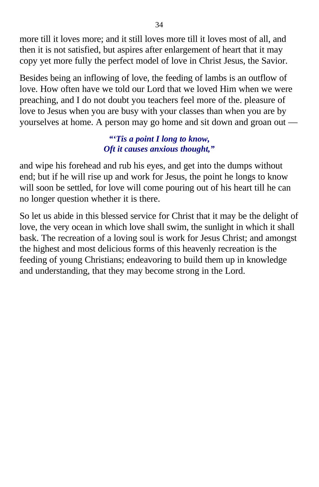more till it loves more; and it still loves more till it loves most of all, and then it is not satisfied, but aspires after enlargement of heart that it may copy yet more fully the perfect model of love in Christ Jesus, the Savior.

Besides being an inflowing of love, the feeding of lambs is an outflow of love. How often have we told our Lord that we loved Him when we were preaching, and I do not doubt you teachers feel more of the. pleasure of love to Jesus when you are busy with your classes than when you are by yourselves at home. A person may go home and sit down and groan out —

#### *"'Tis a point I long to know, Oft it causes anxious thought,"*

and wipe his forehead and rub his eyes, and get into the dumps without end; but if he will rise up and work for Jesus, the point he longs to know will soon be settled, for love will come pouring out of his heart till he can no longer question whether it is there.

So let us abide in this blessed service for Christ that it may be the delight of love, the very ocean in which love shall swim, the sunlight in which it shall bask. The recreation of a loving soul is work for Jesus Christ; and amongst the highest and most delicious forms of this heavenly recreation is the feeding of young Christians; endeavoring to build them up in knowledge and understanding, that they may become strong in the Lord.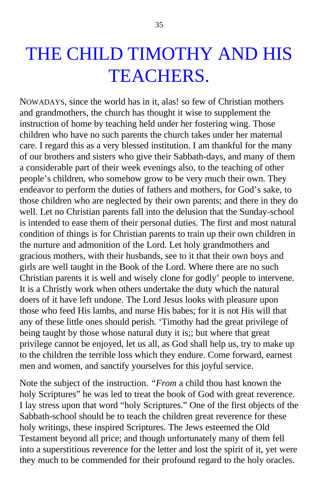## THE CHILD TIMOTHY AND HIS TEACHERS.

NOWADAYS, since the world has in it, alas! so few of Christian mothers and grandmothers, the church has thought it wise to supplement the instruction of home by teaching held under her fostering wing. Those children who have no such parents the church takes under her maternal care. I regard this as a very blessed institution. I am thankful for the many of our brothers and sisters who give their Sabbath-days, and many of them a considerable part of their week evenings also, to the teaching of other people's children, who somehow grow to be very much their own. They endeavor to perform the duties of fathers and mothers, for God's sake, to those children who are neglected by their own parents; and there in they do well. Let no Christian parents fall into the delusion that the Sunday-school is intended to ease them of their personal duties. The first and most natural condition of things is for Christian parents to train up their own children in the nurture and admonition of the Lord. Let holy grandmothers and gracious mothers, with their husbands, see to it that their own boys and girls are well taught in the Book of the Lord. Where there are no such Christian parents it is well and wisely clone for godly' people to intervene. It is a Christly work when others undertake the duty which the natural doers of it have left undone. The Lord Jesus looks with pleasure upon those who feed His lambs, and nurse His babes; for it is not His will that any of these little ones should perish. 'Timothy had the great privilege of being taught by those whose natural duty it is;; but where that great privilege cannot be enjoyed, let us all, as God shall help us, try to make up to the children the terrible loss which they endure. Come forward, earnest men and women, and sanctify yourselves for this joyful service.

Note the subject of the instruction. *"From* a child thou hast known the holy Scriptures" he was led to treat the book of God with great reverence. I lay stress upon that word "holy Scriptures." One of the first objects of the Sabbath-school should be to teach the children great reverence for these holy writings, these inspired Scriptures. The Jews esteemed the Old Testament beyond all price; and though unfortunately many of them fell into a superstitious reverence for the letter and lost the spirit of it, yet were they much to be commended for their profound regard to the holy oracles.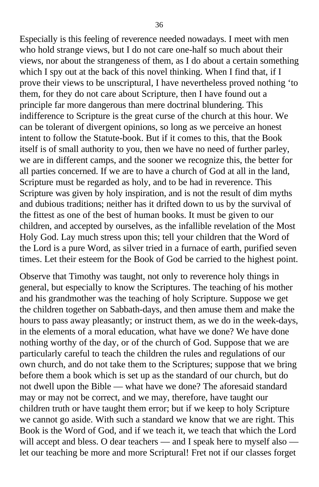Especially is this feeling of reverence needed nowadays. I meet with men who hold strange views, but I do not care one-half so much about their views, nor about the strangeness of them, as I do about a certain something which I spy out at the back of this novel thinking. When I find that, if I prove their views to be unscriptural, I have nevertheless proved nothing 'to them, for they do not care about Scripture, then I have found out a principle far more dangerous than mere doctrinal blundering. This indifference to Scripture is the great curse of the church at this hour. We can be tolerant of divergent opinions, so long as we perceive an honest intent to follow the Statute-book. But if it comes to this, that the Book itself is of small authority to you, then we have no need of further parley, we are in different camps, and the sooner we recognize this, the better for all parties concerned. If we are to have a church of God at all in the land, Scripture must be regarded as holy, and to be had in reverence. This Scripture was given by holy inspiration, and is not the result of dim myths and dubious traditions; neither has it drifted down to us by the survival of the fittest as one of the best of human books. It must be given to our children, and accepted by ourselves, as the infallible revelation of the Most Holy God. Lay much stress upon this; tell your children that the Word of the Lord is a pure Word, as silver tried in a furnace of earth, purified seven times. Let their esteem for the Book of God be carried to the highest point.

Observe that Timothy was taught, not only to reverence holy things in general, but especially to know the Scriptures. The teaching of his mother and his grandmother was the teaching of holy Scripture. Suppose we get the children together on Sabbath-days, and then amuse them and make the hours to pass away pleasantly; or instruct them, as we do in the week-days, in the elements of a moral education, what have we done? We have done nothing worthy of the day, or of the church of God. Suppose that we are particularly careful to teach the children the rules and regulations of our own church, and do not take them to the Scriptures; suppose that we bring before them a book which is set up as the standard of our church, but do not dwell upon the Bible — what have we done? The aforesaid standard may or may not be correct, and we may, therefore, have taught our children truth or have taught them error; but if we keep to holy Scripture we cannot go aside. With such a standard we know that we are right. This Book is the Word of God, and if we teach it, we teach that which the Lord will accept and bless. O dear teachers — and I speak here to myself also let our teaching be more and more Scriptural! Fret not if our classes forget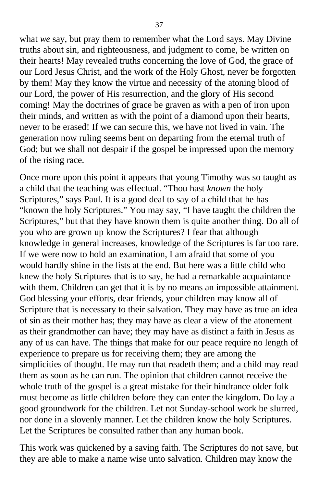what *we* say, but pray them to remember what the Lord says. May Divine truths about sin, and righteousness, and judgment to come, be written on their hearts! May revealed truths concerning the love of God, the grace of our Lord Jesus Christ, and the work of the Holy Ghost, never be forgotten by them! May they know the virtue and necessity of the atoning blood of our Lord, the power of His resurrection, and the glory of His second coming! May the doctrines of grace be graven as with a pen of iron upon their minds, and written as with the point of a diamond upon their hearts, never to be erased! If we can secure this, we have not lived in vain. The generation now ruling seems bent on departing from the eternal truth of God; but we shall not despair if the gospel be impressed upon the memory of the rising race.

Once more upon this point it appears that young Timothy was so taught as a child that the teaching was effectual. "Thou hast *known* the holy Scriptures," says Paul. It is a good deal to say of a child that he has "known the holy Scriptures." You may say, "I have taught the children the Scriptures," but that they have known them is quite another thing. Do all of you who are grown up know the Scriptures? I fear that although knowledge in general increases, knowledge of the Scriptures is far too rare. If we were now to hold an examination, I am afraid that some of you would hardly shine in the lists at the end. But here was a little child who knew the holy Scriptures that is to say, he had a remarkable acquaintance with them. Children can get that it is by no means an impossible attainment. God blessing your efforts, dear friends, your children may know all of Scripture that is necessary to their salvation. They may have as true an idea of sin as their mother has; they may have as clear a view of the atonement as their grandmother can have; they may have as distinct a faith in Jesus as any of us can have. The things that make for our peace require no length of experience to prepare us for receiving them; they are among the simplicities of thought. He may run that readeth them; and a child may read them as soon as he can run. The opinion that children cannot receive the whole truth of the gospel is a great mistake for their hindrance older folk must become as little children before they can enter the kingdom. Do lay a good groundwork for the children. Let not Sunday-school work be slurred, nor done in a slovenly manner. Let the children know the holy Scriptures. Let the Scriptures be consulted rather than any human book.

This work was quickened by a saving faith. The Scriptures do not save, but they are able to make a name wise unto salvation. Children may know the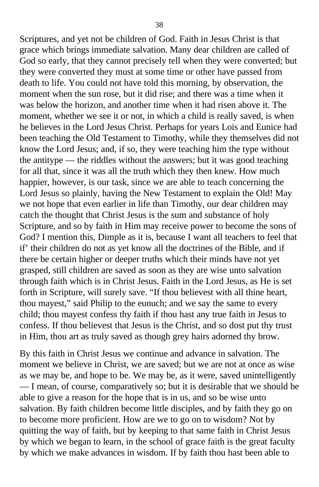Scriptures, and yet not be children of God. Faith in Jesus Christ is that grace which brings immediate salvation. Many dear children are called of God so early, that they cannot precisely tell when they were converted; but they were converted they must at some time or other have passed from death to life. You could not have told this morning, by observation, the moment when the sun rose, but it did rise; and there was a time when it was below the horizon, and another time when it had risen above it. The moment, whether we see it or not, in which a child is really saved, is when he believes in the Lord Jesus Christ. Perhaps for years Lois and Eunice had been teaching the Old Testament to Timothy, while they themselves did not know the Lord Jesus; and, if so, they were teaching him the type without the antitype — the riddles without the answers; but it was good teaching for all that, since it was all the truth which they then knew. How much happier, however, is our task, since we are able to teach concerning the Lord Jesus so plainly, having the New Testament to explain the Old! May we not hope that even earlier in life than Timothy, our dear children may catch the thought that Christ Jesus is the sum and substance of holy Scripture, and so by faith in Him may receive power to become the sons of God? I mention this, Dimple as it is, because I want all teachers to feel that if' their children do not as yet know all the doctrines of the Bible, and if there be certain higher or deeper truths which their minds have not yet grasped, still children are saved as soon as they are wise unto salvation through faith which is in Christ Jesus. Faith in the Lord Jesus, as He is set forth in Scripture, will surely save. "If thou believest with all thine heart, thou mayest," said Philip to the eunuch; and we say the same to every child; thou mayest confess thy faith if thou hast any true faith in Jesus to confess. If thou believest that Jesus is the Christ, and so dost put thy trust in Him, thou art as truly saved as though grey hairs adorned thy brow.

By this faith in Christ Jesus we continue and advance in salvation. The moment we believe in Christ, we are saved; but we are not at once as wise as we may be, and hope to be. We may be, as it were, saved unintelligently — I mean, of course, comparatively so; but it is desirable that we should be able to give a reason for the hope that is in us, and so be wise unto salvation. By faith children become little disciples, and by faith they go on to become more proficient. How are we to go on to wisdom? Not by quitting the way of faith, but by keeping to that same faith in Christ Jesus by which we began to learn, in the school of grace faith is the great faculty by which we make advances in wisdom. If by faith thou hast been able to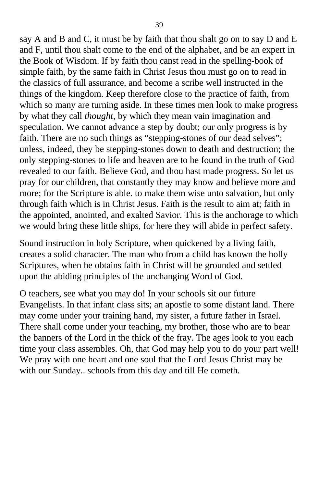say A and B and C, it must be by faith that thou shalt go on to say D and E and F, until thou shalt come to the end of the alphabet, and be an expert in the Book of Wisdom. If by faith thou canst read in the spelling-book of simple faith, by the same faith in Christ Jesus thou must go on to read in the classics of full assurance, and become a scribe well instructed in the things of the kingdom. Keep therefore close to the practice of faith, from which so many are turning aside. In these times men look to make progress by what they call *thought,* by which they mean vain imagination and speculation. We cannot advance a step by doubt; our only progress is by faith. There are no such things as "stepping-stones of our dead selves"; unless, indeed, they be stepping-stones down to death and destruction; the only stepping-stones to life and heaven are to be found in the truth of God revealed to our faith. Believe God, and thou hast made progress. So let us pray for our children, that constantly they may know and believe more and more; for the Scripture is able. to make them wise unto salvation, but only through faith which is in Christ Jesus. Faith is the result to aim at; faith in the appointed, anointed, and exalted Savior. This is the anchorage to which we would bring these little ships, for here they will abide in perfect safety.

Sound instruction in holy Scripture, when quickened by a living faith, creates a solid character. The man who from a child has known the holly Scriptures, when he obtains faith in Christ will be grounded and settled upon the abiding principles of the unchanging Word of God.

O teachers, see what you may do! In your schools sit our future Evangelists. In that infant class sits; an apostle to some distant land. There may come under your training hand, my sister, a future father in Israel. There shall come under your teaching, my brother, those who are to bear the banners of the Lord in the thick of the fray. The ages look to you each time your class assembles. Oh, that God may help you to do your part well! We pray with one heart and one soul that the Lord Jesus Christ may be with our Sunday.. schools from this day and till He cometh.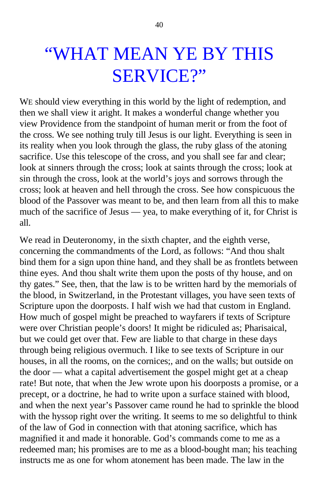## "WHAT MEAN YE BY THIS SERVICE?"

WE should view everything in this world by the light of redemption, and then we shall view it aright. It makes a wonderful change whether you view Providence from the standpoint of human merit or from the foot of the cross. We see nothing truly till Jesus is our light. Everything is seen in its reality when you look through the glass, the ruby glass of the atoning sacrifice. Use this telescope of the cross, and you shall see far and clear; look at sinners through the cross; look at saints through the cross; look at sin through the cross, look at the world's joys and sorrows through the cross; look at heaven and hell through the cross. See how conspicuous the blood of the Passover was meant to be, and then learn from all this to make much of the sacrifice of Jesus — yea, to make everything of it, for Christ is all.

We read in Deuteronomy, in the sixth chapter, and the eighth verse, concerning the commandments of the Lord, as follows: "And thou shalt bind them for a sign upon thine hand, and they shall be as frontlets between thine eyes. And thou shalt write them upon the posts of thy house, and on thy gates." See, then, that the law is to be written hard by the memorials of the blood, in Switzerland, in the Protestant villages, you have seen texts of Scripture upon the doorposts. I half wish we had that custom in England. How much of gospel might be preached to wayfarers if texts of Scripture were over Christian people's doors! It might be ridiculed as; Pharisaical, but we could get over that. Few are liable to that charge in these days through being religious overmuch. I like to see texts of Scripture in our houses, in all the rooms, on the cornices;, and on the walls; but outside on the door — what a capital advertisement the gospel might get at a cheap rate! But note, that when the Jew wrote upon his doorposts a promise, or a precept, or a doctrine, he had to write upon a surface stained with blood, and when the next year's Passover came round he had to sprinkle the blood with the hyssop right over the writing. It seems to me so delightful to think of the law of God in connection with that atoning sacrifice, which has magnified it and made it honorable. God's commands come to me as a redeemed man; his promises are to me as a blood-bought man; his teaching instructs me as one for whom atonement has been made. The law in the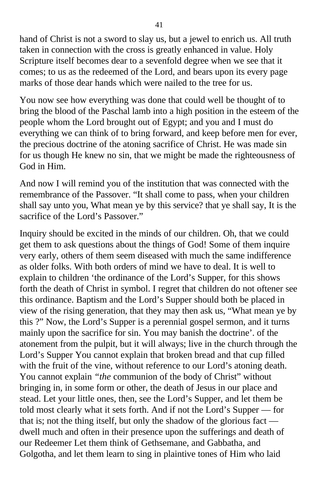hand of Christ is not a sword to slay us, but a jewel to enrich us. All truth taken in connection with the cross is greatly enhanced in value. Holy Scripture itself becomes dear to a sevenfold degree when we see that it comes; to us as the redeemed of the Lord, and bears upon its every page marks of those dear hands which were nailed to the tree for us.

You now see how everything was done that could well be thought of to bring the blood of the Paschal lamb into a high position in the esteem of the people whom the Lord brought out of Egypt; and you and I must do everything we can think of to bring forward, and keep before men for ever, the precious doctrine of the atoning sacrifice of Christ. He was made sin for us though He knew no sin, that we might be made the righteousness of God in Him.

And now I will remind you of the institution that was connected with the remembrance of the Passover. "It shall come to pass, when your children shall say unto you, What mean ye by this service? that ye shall say, It is the sacrifice of the Lord's Passover."

Inquiry should be excited in the minds of our children. Oh, that we could get them to ask questions about the things of God! Some of them inquire very early, others of them seem diseased with much the same indifference as older folks. With both orders of mind we have to deal. It is well to explain to children 'the ordinance of the Lord's Supper, for this shows forth the death of Christ in symbol. I regret that children do not oftener see this ordinance. Baptism and the Lord's Supper should both be placed in view of the rising generation, that they may then ask us, "What mean ye by this ?" Now, the Lord's Supper is a perennial gospel sermon, and it turns mainly upon the sacrifice for sin. You may banish the doctrine'. of the atonement from the pulpit, but it will always; live in the church through the Lord's Supper You cannot explain that broken bread and that cup filled with the fruit of the vine, without reference to our Lord's atoning death. You cannot explain *"the* communion of the body of Christ" without bringing in, in some form or other, the death of Jesus in our place and stead. Let your little ones, then, see the Lord's Supper, and let them be told most clearly what it sets forth. And if not the Lord's Supper — for that is; not the thing itself, but only the shadow of the glorious fact dwell much and often in their presence upon the sufferings and death of our Redeemer Let them think of Gethsemane, and Gabbatha, and Golgotha, and let them learn to sing in plaintive tones of Him who laid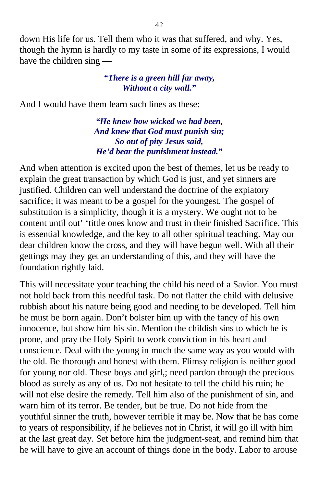down His life for us. Tell them who it was that suffered, and why. Yes, though the hymn is hardly to my taste in some of its expressions, I would have the children sing —

> *"There is a green hill far away, Without a city wall."*

And I would have them learn such lines as these:

*"He knew how wicked we had been, And knew that God must punish sin; So out of pity Jesus said, He'd bear the punishment instead."*

And when attention is excited upon the best of themes, let us be ready to explain the great transaction by which God is just, and yet sinners are justified. Children can well understand the doctrine of the expiatory sacrifice; it was meant to be a gospel for the youngest. The gospel of substitution is a simplicity, though it is a mystery. We ought not to be content until out' 'tittle ones know and trust in their finished Sacrifice. This is essential knowledge, and the key to all other spiritual teaching. May our dear children know the cross, and they will have begun well. With all their gettings may they get an understanding of this, and they will have the foundation rightly laid.

This will necessitate your teaching the child his need of a Savior. You must not hold back from this needful task. Do not flatter the child with delusive rubbish about his nature being good and needing to be developed. Tell him he must be born again. Don't bolster him up with the fancy of his own innocence, but show him his sin. Mention the childish sins to which he is prone, and pray the Holy Spirit to work conviction in his heart and conscience. Deal with the young in much the same way as you would with the old. Be thorough and honest with them. Flimsy religion is neither good for young nor old. These boys and girl,; need pardon through the precious blood as surely as any of us. Do not hesitate to tell the child his ruin; he will not else desire the remedy. Tell him also of the punishment of sin, and warn him of its terror. Be tender, but be true. Do not hide from the youthful sinner the truth, however terrible it may be. Now that he has come to years of responsibility, if he believes not in Christ, it will go ill with him at the last great day. Set before him the judgment-seat, and remind him that he will have to give an account of things done in the body. Labor to arouse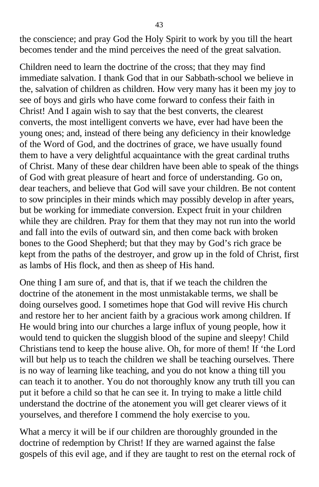the conscience; and pray God the Holy Spirit to work by you till the heart becomes tender and the mind perceives the need of the great salvation.

Children need to learn the doctrine of the cross; that they may find immediate salvation. I thank God that in our Sabbath-school we believe in the, salvation of children as children. How very many has it been my joy to see of boys and girls who have come forward to confess their faith in Christ! And I again wish to say that the best converts, the clearest converts, the most intelligent converts we have, ever had have been the young ones; and, instead of there being any deficiency in their knowledge of the Word of God, and the doctrines of grace, we have usually found them to have a very delightful acquaintance with the great cardinal truths of Christ. Many of these dear children have been able to speak of the things of God with great pleasure of heart and force of understanding. Go on, dear teachers, and believe that God will save your children. Be not content to sow principles in their minds which may possibly develop in after years, but be working for immediate conversion. Expect fruit in your children while they are children. Pray for them that they may not run into the world and fall into the evils of outward sin, and then come back with broken bones to the Good Shepherd; but that they may by God's rich grace be kept from the paths of the destroyer, and grow up in the fold of Christ, first as lambs of His flock, and then as sheep of His hand.

One thing I am sure of, and that is, that if we teach the children the doctrine of the atonement in the most unmistakable terms, we shall be doing ourselves good. I sometimes hope that God will revive His church and restore her to her ancient faith by a gracious work among children. If He would bring into our churches a large influx of young people, how it would tend to quicken the sluggish blood of the supine and sleepy! Child Christians tend to keep the house alive. Oh, for more of them! If 'the Lord will but help us to teach the children we shall be teaching ourselves. There is no way of learning like teaching, and you do not know a thing till you can teach it to another. You do not thoroughly know any truth till you can put it before a child so that he can see it. In trying to make a little child understand the doctrine of the atonement you will get clearer views of it yourselves, and therefore I commend the holy exercise to you.

What a mercy it will be if our children are thoroughly grounded in the doctrine of redemption by Christ! If they are warned against the false gospels of this evil age, and if they are taught to rest on the eternal rock of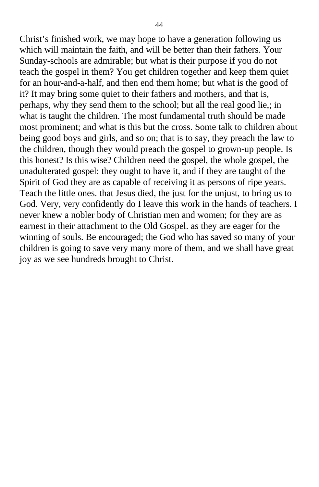Christ's finished work, we may hope to have a generation following us which will maintain the faith, and will be better than their fathers. Your Sunday-schools are admirable; but what is their purpose if you do not teach the gospel in them? You get children together and keep them quiet for an hour-and-a-half, and then end them home; but what is the good of it? It may bring some quiet to their fathers and mothers, and that is, perhaps, why they send them to the school; but all the real good lie,; in what is taught the children. The most fundamental truth should be made most prominent; and what is this but the cross. Some talk to children about being good boys and girls, and so on; that is to say, they preach the law to the children, though they would preach the gospel to grown-up people. Is this honest? Is this wise? Children need the gospel, the whole gospel, the unadulterated gospel; they ought to have it, and if they are taught of the Spirit of God they are as capable of receiving it as persons of ripe years. Teach the little ones. that Jesus died, the just for the unjust, to bring us to God. Very, very confidently do I leave this work in the hands of teachers. I never knew a nobler body of Christian men and women; for they are as earnest in their attachment to the Old Gospel. as they are eager for the winning of souls. Be encouraged; the God who has saved so many of your children is going to save very many more of them, and we shall have great joy as we see hundreds brought to Christ.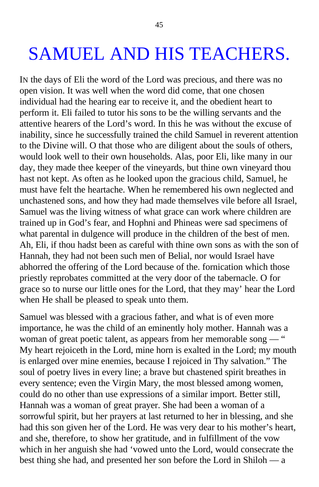### SAMUEL AND HIS TEACHERS.

IN the days of Eli the word of the Lord was precious, and there was no open vision. It was well when the word did come, that one chosen individual had the hearing ear to receive it, and the obedient heart to perform it. Eli failed to tutor his sons to be the willing servants and the attentive hearers of the Lord's word. In this he was without the excuse of inability, since he successfully trained the child Samuel in reverent attention to the Divine will. O that those who are diligent about the souls of others, would look well to their own households. Alas, poor Eli, like many in our day, they made thee keeper of the vineyards, but thine own vineyard thou hast not kept. As often as he looked upon the gracious child, Samuel, he must have felt the heartache. When he remembered his own neglected and unchastened sons, and how they had made themselves vile before all Israel, Samuel was the living witness of what grace can work where children are trained up in God's fear, and Hophni and Phineas were sad specimens of what parental in dulgence will produce in the children of the best of men. Ah, Eli, if thou hadst been as careful with thine own sons as with the son of Hannah, they had not been such men of Belial, nor would Israel have abhorred the offering of the Lord because of the. fornication which those priestly reprobates committed at the very door of the tabernacle. O for grace so to nurse our little ones for the Lord, that they may' hear the Lord when He shall be pleased to speak unto them.

Samuel was blessed with a gracious father, and what is of even more importance, he was the child of an eminently holy mother. Hannah was a woman of great poetic talent, as appears from her memorable song — " My heart rejoiceth in the Lord, mine horn is exalted in the Lord; my mouth is enlarged over mine enemies, because I rejoiced in Thy salvation." The soul of poetry lives in every line; a brave but chastened spirit breathes in every sentence; even the Virgin Mary, the most blessed among women, could do no other than use expressions of a similar import. Better still, Hannah was a woman of great prayer. She had been a woman of a sorrowful spirit, but her prayers at last returned to her in blessing, and she had this son given her of the Lord. He was very dear to his mother's heart, and she, therefore, to show her gratitude, and in fulfillment of the vow which in her anguish she had 'vowed unto the Lord, would consecrate the best thing she had, and presented her son before the Lord in Shiloh — a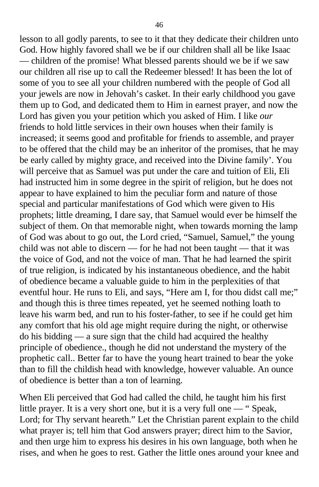lesson to all godly parents, to see to it that they dedicate their children unto God. How highly favored shall we be if our children shall all be like Isaac — children of the promise! What blessed parents should we be if we saw our children all rise up to call the Redeemer blessed! It has been the lot of some of you to see all your children numbered with the people of God all your jewels are now in Jehovah's casket. In their early childhood you gave them up to God, and dedicated them to Him in earnest prayer, and now the Lord has given you your petition which you asked of Him. I like *our* friends to hold little services in their own houses when their family is increased; it seems good and profitable for friends to assemble, and prayer to be offered that the child may be an inheritor of the promises, that he may be early called by mighty grace, and received into the Divine family'. You will perceive that as Samuel was put under the care and tuition of Eli, Eli had instructed him in some degree in the spirit of religion, but he does not appear to have explained to him the peculiar form and nature of those special and particular manifestations of God which were given to His prophets; little dreaming, I dare say, that Samuel would ever be himself the subject of them. On that memorable night, when towards morning the lamp of God was about to go out, the Lord cried, "Samuel, Samuel," the young child was not able to discern — for he had not been taught — that it was the voice of God, and not the voice of man. That he had learned the spirit of true religion, is indicated by his instantaneous obedience, and the habit of obedience became a valuable guide to him in the perplexities of that eventful hour. He runs to Eli, and says, "Here am I, for thou didst call me;" and though this is three times repeated, yet he seemed nothing loath to leave his warm bed, and run to his foster-father, to see if he could get him any comfort that his old age might require during the night, or otherwise do his bidding — a sure sign that the child had acquired the healthy principle of obedience., though he did not understand the mystery of the prophetic call.. Better far to have the young heart trained to bear the yoke than to fill the childish head with knowledge, however valuable. An ounce of obedience is better than a ton of learning.

When Eli perceived that God had called the child, he taught him his first little prayer. It is a very short one, but it is a very full one — " Speak, Lord; for Thy servant heareth." Let the Christian parent explain to the child what prayer is; tell him that God answers prayer; direct him to the Savior, and then urge him to express his desires in his own language, both when he rises, and when he goes to rest. Gather the little ones around your knee and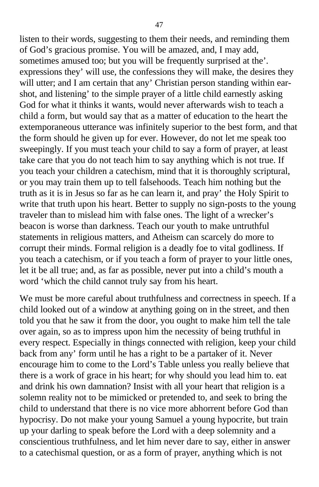listen to their words, suggesting to them their needs, and reminding them of God's gracious promise. You will be amazed, and, I may add, sometimes amused too; but you will be frequently surprised at the'. expressions they' will use, the confessions they will make, the desires they will utter; and I am certain that any' Christian person standing within earshot, and listening' to the simple prayer of a little child earnestly asking God for what it thinks it wants, would never afterwards wish to teach a child a form, but would say that as a matter of education to the heart the extemporaneous utterance was infinitely superior to the best form, and that the form should he given up for ever. However, do not let me speak too sweepingly. If you must teach your child to say a form of prayer, at least take care that you do not teach him to say anything which is not true. If you teach your children a catechism, mind that it is thoroughly scriptural, or you may train them up to tell falsehoods. Teach him nothing but the truth as it is in Jesus so far as he can learn it, and pray' the Holy Spirit to write that truth upon his heart. Better to supply no sign-posts to the young traveler than to mislead him with false ones. The light of a wrecker's beacon is worse than darkness. Teach our youth to make untruthful statements in religious matters, and Atheism can scarcely do more to corrupt their minds. Formal religion is a deadly foe to vital godliness. If you teach a catechism, or if you teach a form of prayer to your little ones, let it be all true; and, as far as possible, never put into a child's mouth a word 'which the child cannot truly say from his heart.

We must be more careful about truthfulness and correctness in speech. If a child looked out of a window at anything going on in the street, and then told you that he saw it from the door, you ought to make him tell the tale over again, so as to impress upon him the necessity of being truthful in every respect. Especially in things connected with religion, keep your child back from any' form until he has a right to be a partaker of it. Never encourage him to come to the Lord's Table unless you really believe that there is a work of grace in his heart; for why should you lead him to. eat and drink his own damnation? Insist with all your heart that religion is a solemn reality not to be mimicked or pretended to, and seek to bring the child to understand that there is no vice more abhorrent before God than hypocrisy. Do not make your young Samuel a young hypocrite, but train up your darling to speak before the Lord with a deep solemnity and a conscientious truthfulness, and let him never dare to say, either in answer to a catechismal question, or as a form of prayer, anything which is not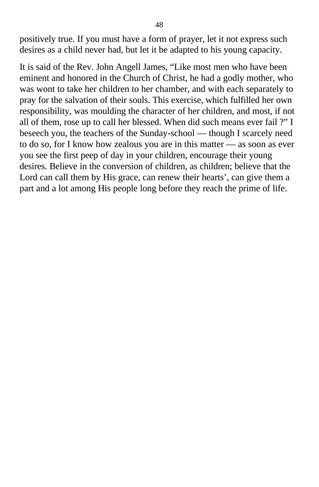positively true. If you must have a form of prayer, let it not express such desires as a child never had, but let it be adapted to his young capacity.

It is said of the Rev. John Angell James, "Like most men who have been eminent and honored in the Church of Christ, he had a godly mother, who was wont to take her children to her chamber, and with each separately to pray for the salvation of their souls. This exercise, which fulfilled her own responsibility, was moulding the character of her children, and most, if not all of them, rose up to call her blessed. When did such means ever fail ?" I beseech you, the teachers of the Sunday-school — though I scarcely need to do so, for I know how zealous you are in this matter — as soon as ever you see the first peep of day in your children, encourage their young desires. Believe in the conversion of children, as children; believe that the Lord can call them by His grace, can renew their hearts', can give them a part and a lot among His people long before they reach the prime of life.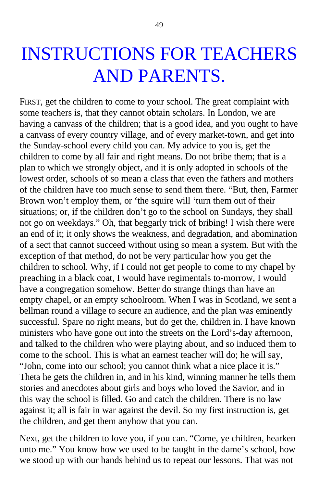# INSTRUCTIONS FOR TEACHERS AND PARENTS.

FIRST, get the children to come to your school. The great complaint with some teachers is, that they cannot obtain scholars. In London, we are having a canvass of the children; that is a good idea, and you ought to have a canvass of every country village, and of every market-town, and get into the Sunday-school every child you can. My advice to you is, get the children to come by all fair and right means. Do not bribe them; that is a plan to which we strongly object, and it is only adopted in schools of the lowest order, schools of so mean a class that even the fathers and mothers of the children have too much sense to send them there. "But, then, Farmer Brown won't employ them, or 'the squire will 'turn them out of their situations; or, if the children don't go to the school on Sundays, they shall not go on weekdays." Oh, that beggarly trick of bribing! I wish there were an end of it; it only shows the weakness, and degradation, and abomination of a sect that cannot succeed without using so mean a system. But with the exception of that method, do not be very particular how you get the children to school. Why, if I could not get people to come to my chapel by preaching in a black coat, I would have regimentals to-morrow, I would have a congregation somehow. Better do strange things than have an empty chapel, or an empty schoolroom. When I was in Scotland, we sent a bellman round a village to secure an audience, and the plan was eminently successful. Spare no right means, but do get the, children in. I have known ministers who have gone out into the streets on the Lord's-day afternoon, and talked to the children who were playing about, and so induced them to come to the school. This is what an earnest teacher will do; he will say, "John, come into our school; you cannot think what a nice place it is." Theta he gets the children in, and in his kind, winning manner he tells them stories and anecdotes about girls and boys who loved the Savior, and in this way the school is filled. Go and catch the children. There is no law against it; all is fair in war against the devil. So my first instruction is, get the children, and get them anyhow that you can.

Next, get the children to love you, if you can. "Come, ye children, hearken unto me." You know how we used to be taught in the dame's school, how we stood up with our hands behind us to repeat our lessons. That was not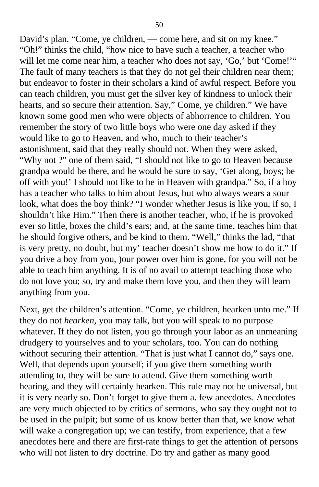David's plan. "Come, ye children, — come here, and sit on my knee." "Oh!" thinks the child, "how nice to have such a teacher, a teacher who will let me come near him, a teacher who does not say, 'Go,' but 'Come!'" The fault of many teachers is that they do not gel their children near them; but endeavor to foster in their scholars a kind of awful respect. Before you can teach children, you must get the silver key of kindness to unlock their hearts, and so secure their attention. Say," Come, ye children." We have known some good men who were objects of abhorrence to children. You remember the story of two little boys who were one day asked if they would like to go to Heaven, and who, much to their teacher's astonishment, said that they really should not. When they were asked, "Why not ?" one of them said, "I should not like to go to Heaven because grandpa would be there, and he would be sure to say, 'Get along, boys; be off with you!' I should not like to be in Heaven with grandpa." So, if a boy has a teacher who talks to him about Jesus, but who always wears a sour look, what does the boy think? "I wonder whether Jesus is like you, if so, I shouldn't like Him." Then there is another teacher, who, if he is provoked ever so little, boxes the child's ears; and, at the same time, teaches him that he should forgive others, and be kind to them. "Well," thinks the lad, "that is very pretty, no doubt, but my' teacher doesn't show me how to do it." If you drive a boy from you, )our power over him is gone, for you will not be able to teach him anything. It is of no avail to attempt teaching those who do not love you; so, try and make them love you, and then they will learn anything from you.

Next, get the children's attention. "Come, ye children, hearken unto me." If they do not *hearken,* you may talk, but you will speak to no purpose whatever. If they do not listen, you go through your labor as an unmeaning drudgery to yourselves and to your scholars, too. You can do nothing without securing their attention. "That is just what I cannot do," says one. Well, that depends upon yourself; if you give them something worth attending to, they will be sure to attend. Give them something worth hearing, and they will certainly hearken. This rule may not be universal, but it is very nearly so. Don't forget to give them a. few anecdotes. Anecdotes are very much objected to by critics of sermons, who say they ought not to be used in the pulpit; but some of us know better than that, we know what will wake a congregation up; we can testify, from experience, that a few anecdotes here and there are first-rate things to get the attention of persons who will not listen to dry doctrine. Do try and gather as many good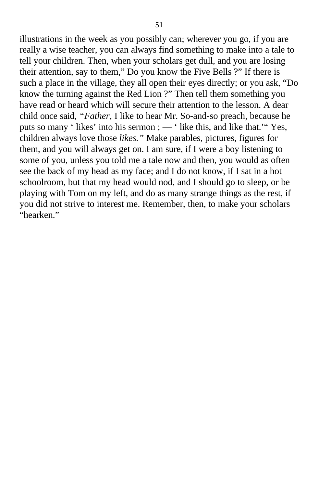illustrations in the week as you possibly can; wherever you go, if you are really a wise teacher, you can always find something to make into a tale to tell your children. Then, when your scholars get dull, and you are losing their attention, say to them," Do you know the Five Bells ?" If there is such a place in the village, they all open their eyes directly; or you ask, "Do know the turning against the Red Lion ?" Then tell them something you have read or heard which will secure their attention to the lesson. A dear child once said, *"Father,* I like to hear Mr. So-and-so preach, because he puts so many ' likes' into his sermon ; — ' like this, and like that.'" Yes, children always love those *likes."* Make parables, pictures, figures for them, and you will always get on. I am sure, if I were a boy listening to some of you, unless you told me a tale now and then, you would as often see the back of my head as my face; and I do not know, if I sat in a hot schoolroom, but that my head would nod, and I should go to sleep, or be playing with Tom on my left, and do as many strange things as the rest, if you did not strive to interest me. Remember, then, to make your scholars "hearken."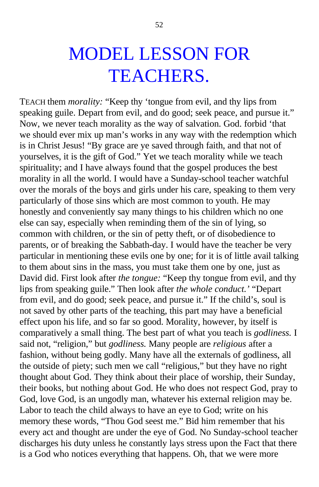## MODEL LESSON FOR TEACHERS.

TEACH them *morality:* "Keep thy 'tongue from evil, and thy lips from speaking guile. Depart from evil, and do good; seek peace, and pursue it." Now, we never teach morality as the way of salvation. God. forbid 'that we should ever mix up man's works in any way with the redemption which is in Christ Jesus! "By grace are ye saved through faith, and that not of yourselves, it is the gift of God." Yet we teach morality while we teach spirituality; and I have always found that the gospel produces the best morality in all the world. I would have a Sunday-school teacher watchful over the morals of the boys and girls under his care, speaking to them very particularly of those sins which are most common to youth. He may honestly and conveniently say many things to his children which no one else can say, especially when reminding them of the sin of lying, so common with children, or the sin of petty theft, or of disobedience to parents, or of breaking the Sabbath-day. I would have the teacher be very particular in mentioning these evils one by one; for it is of little avail talking to them about sins in the mass, you must take them one by one, just as David did. First look after *the tongue:* "Keep thy tongue from evil, and thy lips from speaking guile." Then look after *the whole conduct.'* "Depart from evil, and do good; seek peace, and pursue it." If the child's, soul is not saved by other parts of the teaching, this part may have a beneficial effect upon his life, and so far so good. Morality, however, by itself is comparatively a small thing. The best part of what you teach is *godliness.* I said not, "religion," but *godliness.* Many people are *religious* after a fashion, without being godly. Many have all the externals of godliness, all the outside of piety; such men we call "religious," but they have no right thought about God. They think about their place of worship, their Sunday, their books, but nothing about God. He who does not respect God, pray to God, love God, is an ungodly man, whatever his external religion may be. Labor to teach the child always to have an eye to God; write on his memory these words, "Thou God seest me." Bid him remember that his every act and thought are under the eye of God. No Sunday-school teacher discharges his duty unless he constantly lays stress upon the Fact that there is a God who notices everything that happens. Oh, that we were more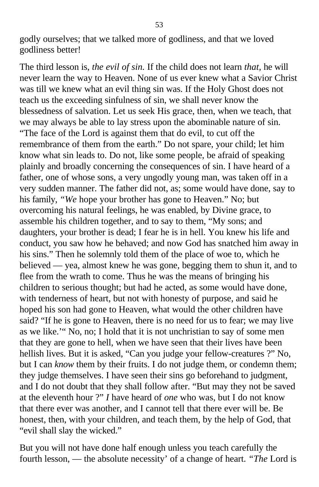godly ourselves; that we talked more of godliness, and that we loved godliness better!

The third lesson is, *the evil of sin.* If the child does not learn *that,* he will never learn the way to Heaven. None of us ever knew what a Savior Christ was till we knew what an evil thing sin was. If the Holy Ghost does not teach us the exceeding sinfulness of sin, we shall never know the blessedness of salvation. Let us seek His grace, then, when we teach, that we may always be able to lay stress upon the abominable nature of sin.

"The face of the Lord is against them that do evil, to cut off the remembrance of them from the earth." Do not spare, your child; let him know what sin leads to. Do not, like some people, be afraid of speaking plainly and broadly concerning the consequences of sin. I have heard of a father, one of whose sons, a very ungodly young man, was taken off in a very sudden manner. The father did not, as; some would have done, say to his family, *"We* hope your brother has gone to Heaven." No; but overcoming his natural feelings, he was enabled, by Divine grace, to assemble his children together, and to say to them, "My sons; and daughters, your brother is dead; I fear he is in hell. You knew his life and conduct, you saw how he behaved; and now God has snatched him away in his sins." Then he solemnly told them of the place of woe to, which he believed — yea, almost knew he was gone, begging them to shun it, and to flee from the wrath to come. Thus he was the means of bringing his children to serious thought; but had he acted, as some would have done, with tenderness of heart, but not with honesty of purpose, and said he hoped his son had gone to Heaven, what would the other children have said? "If he is gone to Heaven, there is no need for us to fear; we may live as we like.'" No, no; I hold that it is not unchristian to say of some men that they are gone to hell, when we have seen that their lives have been hellish lives. But it is asked, "Can you judge your fellow-creatures ?" No, but I can *know* them by their fruits. I do not judge them, or condemn them; they judge themselves. I have seen their sins go beforehand to judgment, and I do not doubt that they shall follow after. "But may they not be saved at the eleventh hour ?" *I* have heard of *one* who was, but I do not know that there ever was another, and I cannot tell that there ever will be. Be honest, then, with your children, and teach them, by the help of God, that "evil shall slay the wicked."

But you will not have done half enough unless you teach carefully the fourth lesson, — the absolute necessity' of a change of heart. *"The* Lord is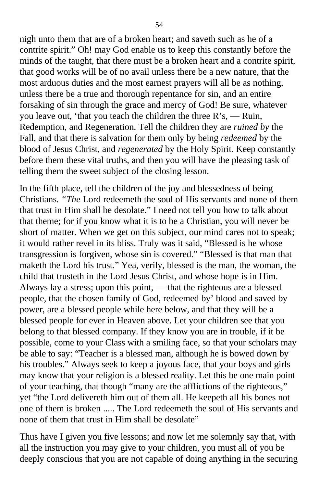nigh unto them that are of a broken heart; and saveth such as he of a contrite spirit." Oh! may God enable us to keep this constantly before the minds of the taught, that there must be a broken heart and a contrite spirit, that good works will be of no avail unless there be a new nature, that the most arduous duties and the most earnest prayers will all be as nothing, unless there be a true and thorough repentance for sin, and an entire forsaking of sin through the grace and mercy of God! Be sure, whatever you leave out, 'that you teach the children the three R's, — Ruin, Redemption, and Regeneration. Tell the children they are *ruined by* the Fall, and that there is salvation for them only by being *redeemed* by the blood of Jesus Christ, and *regenerated* by the Holy Spirit. Keep constantly before them these vital truths, and then you will have the pleasing task of telling them the sweet subject of the closing lesson.

In the fifth place, tell the children of the joy and blessedness of being Christians. *"The* Lord redeemeth the soul of His servants and none of them that trust in Him shall be desolate." I need not tell you how to talk about that theme; for if you know what it is to be a Christian, you will never be short of matter. When we get on this subject, our mind cares not to speak; it would rather revel in its bliss. Truly was it said, "Blessed is he whose transgression is forgiven, whose sin is covered." "Blessed is that man that maketh the Lord his trust." Yea, verily, blessed is the man, the woman, the child that trusteth in the Lord Jesus Christ, and whose hope is in Him. Always lay a stress; upon this point, — that the righteous are a blessed people, that the chosen family of God, redeemed by' blood and saved by power, are a blessed people while here below, and that they will be a blessed people for ever in Heaven above. Let your children see that you belong to that blessed company. If they know you are in trouble, if it be possible, come to your Class with a smiling face, so that your scholars may be able to say: "Teacher is a blessed man, although he is bowed down by his troubles." Always seek to keep a joyous face, that your boys and girls may know that your religion is a blessed reality. Let this be one main point of your teaching, that though "many are the afflictions of the righteous," yet "the Lord delivereth him out of them all. He keepeth all his bones not one of them is broken ..... The Lord redeemeth the soul of His servants and none of them that trust in Him shall be desolate"

Thus have I given you five lessons; and now let me solemnly say that, with all the instruction you may give to your children, you must all of you be deeply conscious that you are not capable of doing anything in the securing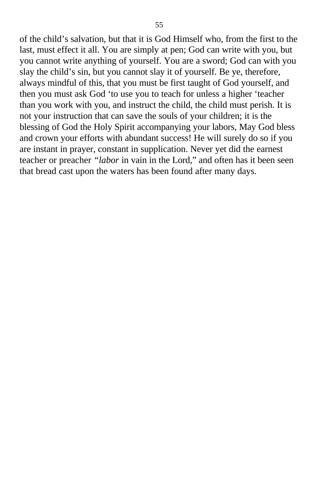of the child's salvation, but that it is God Himself who, from the first to the last, must effect it all. You are simply at pen; God can write with you, but you cannot write anything of yourself. You are a sword; God can with you slay the child's sin, but you cannot slay it of yourself. Be ye, therefore, always mindful of this, that you must be first taught of God yourself, and then you must ask God 'to use you to teach for unless a higher 'teacher than you work with you, and instruct the child, the child must perish. It is not your instruction that can save the souls of your children; it is the blessing of God the Holy Spirit accompanying your labors, May God bless and crown your efforts with abundant success! He will surely do so if you are instant in prayer, constant in supplication. Never yet did the earnest teacher or preacher *"labor* in vain in the Lord," and often has it been seen that bread cast upon the waters has been found after many days.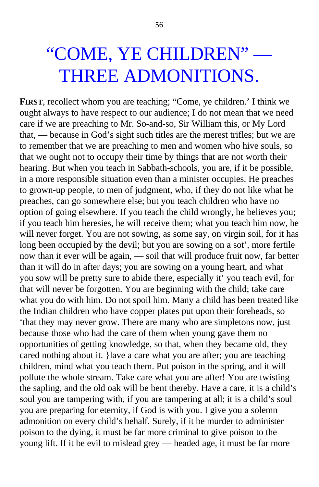## "COME, YE CHILDREN" — THREE ADMONITIONS.

**FIRST**, recollect whom you are teaching; "Come, ye children.' I think we ought always to have respect to our audience; I do not mean that we need care if we are preaching to Mr. So-and-so, Sir William this, or My Lord that, — because in God's sight such titles are the merest trifles; but we are to remember that we are preaching to men and women who hive souls, so that we ought not to occupy their time by things that are not worth their hearing. But when you teach in Sabbath-schools, you are, if it be possible, in a more responsible situation even than a minister occupies. He preaches to grown-up people, to men of judgment, who, if they do not like what he preaches, can go somewhere else; but you teach children who have no option of going elsewhere. If you teach the child wrongly, he believes you; if you teach him heresies, he will receive them; what you teach him now, he will never forget. You are not sowing, as some say, on virgin soil, for it has long been occupied by the devil; but you are sowing on a sot', more fertile now than it ever will be again, — soil that will produce fruit now, far better than it will do in after days; you are sowing on a young heart, and what you sow will be pretty sure to abide there, especially it' you teach evil, for that will never be forgotten. You are beginning with the child; take care what you do with him. Do not spoil him. Many a child has been treated like the Indian children who have copper plates put upon their foreheads, so 'that they may never grow. There are many who are simpletons now, just because those who had the care of them when young gave them no opportunities of getting knowledge, so that, when they became old, they cared nothing about it. }lave a care what you are after; you are teaching children, mind what you teach them. Put poison in the spring, and it will pollute the whole stream. Take care what you are after! You are twisting the sapling, and the old oak will be bent thereby. Have a care, it is a child's soul you are tampering with, if you are tampering at all; it is a child's soul you are preparing for eternity, if God is with you. I give you a solemn admonition on every child's behalf. Surely, if it be murder to administer poison to the dying, it must be far more criminal to give poison to the young lift. If it be evil to mislead grey — headed age, it must be far more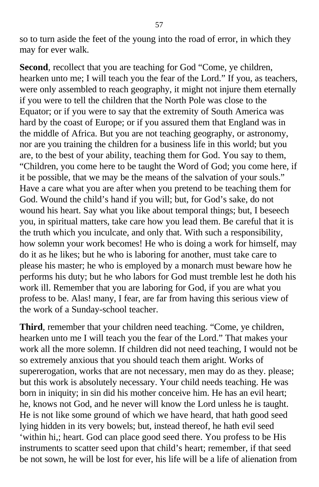so to turn aside the feet of the young into the road of error, in which they may for ever walk.

**Second***,* recollect that you are teaching for God "Come, ye children, hearken unto me; I will teach you the fear of the Lord." If you, as teachers, were only assembled to reach geography, it might not injure them eternally if you were to tell the children that the North Pole was close to the Equator; or if you were to say that the extremity of South America was hard by the coast of Europe; or if you assured them that England was in the middle of Africa. But you are not teaching geography, or astronomy, nor are you training the children for a business life in this world; but you are, to the best of your ability, teaching them for God. You say to them, "Children, you come here to be taught the Word of God; you come here, if it be possible, that we may be the means of the salvation of your souls." Have a care what you are after when you pretend to be teaching them for God. Wound the child's hand if you will; but, for God's sake, do not wound his heart. Say what you like about temporal things; but, I beseech you, in spiritual matters, take care how you lead them. Be careful that it is the truth which you inculcate, and only that. With such a responsibility, how solemn your work becomes! He who is doing a work for himself, may do it as he likes; but he who is laboring for another, must take care to please his master; he who is employed by a monarch must beware how he performs his duty; but he who labors for God must tremble lest he doth his work ill. Remember that you are laboring for God, if you are what you profess to be. Alas! many, I fear, are far from having this serious view of the work of a Sunday-school teacher.

**Third***,* remember that your children need teaching. "Come, ye children, hearken unto me I will teach you the fear of the Lord." That makes your work all the more solemn. If children did not need teaching, I would not be so extremely anxious that you should teach them aright. Works of supererogation, works that are not necessary, men may do as they. please; but this work is absolutely necessary. Your child needs teaching. He was born in iniquity; in sin did his mother conceive him. He has an evil heart; he, knows not God, and he never will know the Lord unless he is taught. He is not like some ground of which we have heard, that hath good seed lying hidden in its very bowels; but, instead thereof, he hath evil seed 'within hi,; heart. God can place good seed there. You profess to be His instruments to scatter seed upon that child's heart; remember, if that seed be not sown, he will be lost for ever, his life will be a life of alienation from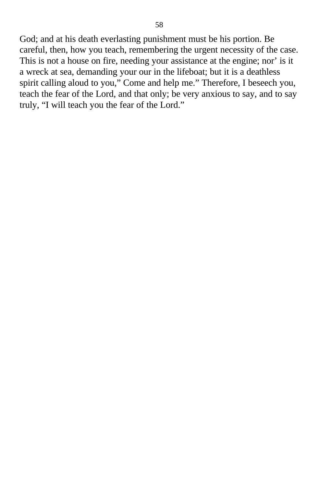God; and at his death everlasting punishment must be his portion. Be careful, then, how you teach, remembering the urgent necessity of the case. This is not a house on fire, needing your assistance at the engine; nor' is it a wreck at sea, demanding your our in the lifeboat; but it is a deathless spirit calling aloud to you," Come and help me." Therefore, I beseech you, teach the fear of the Lord, and that only; be very anxious to say, and to say truly, "I will teach you the fear of the Lord."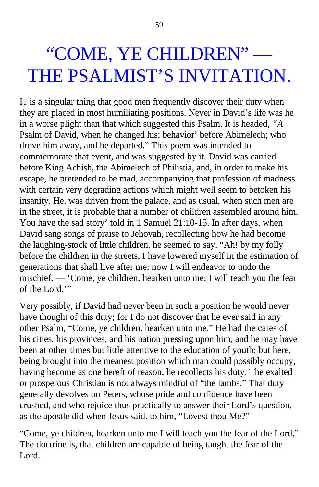# "COME, YE CHILDREN" — THE PSALMIST'S INVITATION.

IT is a singular thing that good men frequently discover their duty when they are placed in most humiliating positions. Never in David's life was he in a worse plight than that which suggested this Psalm. It is headed, *"A* Psalm of David, when he changed his; behavior' before Abimelech; who drove him away, and he departed." This poem was intended to commemorate that event, and was suggested by it. David was carried before King Achish, the Abimelech of Philistia, and, in order to make his escape, he pretended to be mad, accompanying that profession of madness with certain very degrading actions which might well seem to betoken his insanity. He, was driven from the palace, and as usual, when such men are in the street, it is probable that a number of children assembled around him. You have the sad story' told in 1 Samuel 21:10-15. In after days, when David sang songs of praise to Jehovah, recollecting how he had become the laughing-stock of little children, he seemed to say, "Ah! by my folly before the children in the streets, I have lowered myself in the estimation of generations that shall live after me; now I will endeavor to undo the mischief, — 'Come, ye children, hearken unto me: I will teach you the fear of the Lord.'"

Very possibly, if David had never been in such a position he would never have thought of this duty; for I do not discover that he ever said in any other Psalm, "Come, ye children, hearken unto me." He had the cares of his cities, his provinces, and his nation pressing upon him, and he may have been at other times but little attentive to the education of youth; but here, being brought into the meanest position which man could possibly occupy, having become as one bereft of reason, he recollects his duty. The exalted or prosperous Christian is not always mindful of "the lambs." That duty generally devolves on Peters, whose pride and confidence have been crushed, and who rejoice thus practically to answer their Lord's question, as the apostle did when Jesus said. to him, "Lovest thou Me?"

"Come, ye children, hearken unto me I will teach you the fear of the Lord." The doctrine is, that children are capable of being taught the fear of the Lord.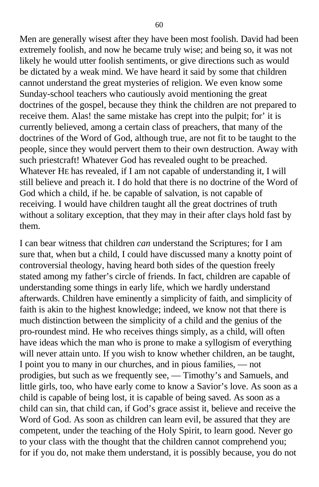Men are generally wisest after they have been most foolish. David had been extremely foolish, and now he became truly wise; and being so, it was not likely he would utter foolish sentiments, or give directions such as would be dictated by a weak mind. We have heard it said by some that children cannot understand the great mysteries of religion. We even know some Sunday-school teachers who cautiously avoid mentioning the great doctrines of the gospel, because they think the children are not prepared to receive them. Alas! the same mistake has crept into the pulpit; for' it is currently believed, among a certain class of preachers, that many of the doctrines of the Word of God, although true, are not fit to be taught to the people, since they would pervert them to their own destruction. Away with such priestcraft! Whatever God has revealed ought to be preached. Whatever HE has revealed, if I am not capable of understanding it, I will still believe and preach it. I do hold that there is no doctrine of the Word of God which a child, if he. be capable of salvation, is not capable of receiving. I would have children taught all the great doctrines of truth without a solitary exception, that they may in their after clays hold fast by them.

I can bear witness that children *can* understand the Scriptures; for I am sure that, when but a child, I could have discussed many a knotty point of controversial theology, having heard both sides of the question freely stated among my father's circle of friends. In fact, children are capable of understanding some things in early life, which we hardly understand afterwards. Children have eminently a simplicity of faith, and simplicity of faith is akin to the highest knowledge; indeed, we know not that there is much distinction between the simplicity of a child and the genius of the pro-roundest mind. He who receives things simply, as a child, will often have ideas which the man who is prone to make a syllogism of everything will never attain unto. If you wish to know whether children, an be taught, I point you to many in our churches, and in pious families, — not prodigies, but such as we frequently see, — Timothy's and Samuels, and little girls, too, who have early come to know a Savior's love. As soon as a child is capable of being lost, it is capable of being saved. As soon as a child can sin, that child can, if God's grace assist it, believe and receive the Word of God. As soon as children can learn evil, be assured that they are competent, under the teaching of the Holy Spirit, to learn good. Never go to your class with the thought that the children cannot comprehend you; for if you do, not make them understand, it is possibly because, you do not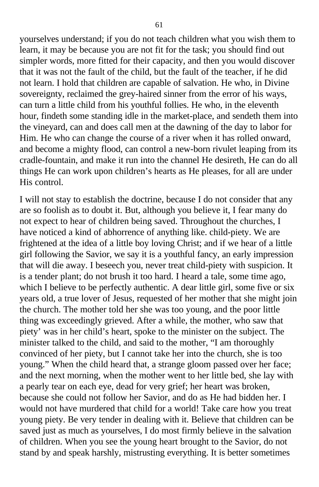yourselves understand; if you do not teach children what you wish them to learn, it may be because you are not fit for the task; you should find out simpler words, more fitted for their capacity, and then you would discover that it was not the fault of the child, but the fault of the teacher, if he did not learn. I hold that children are capable of salvation. He who, in Divine sovereignty, reclaimed the grey-haired sinner from the error of his ways, can turn a little child from his youthful follies. He who, in the eleventh hour, findeth some standing idle in the market-place, and sendeth them into the vineyard, can and does call men at the dawning of the day to labor for Him. He who can change the course of a river when it has rolled onward, and become a mighty flood, can control a new-born rivulet leaping from its cradle-fountain, and make it run into the channel He desireth, He can do all things He can work upon children's hearts as He pleases, for all are under His control.

I will not stay to establish the doctrine, because I do not consider that any are so foolish as to doubt it. But, although you believe it, I fear many do not expect to hear of children being saved. Throughout the churches, I have noticed a kind of abhorrence of anything like. child-piety. We are frightened at the idea of a little boy loving Christ; and if we hear of a little girl following the Savior, we say it is a youthful fancy, an early impression that will die away. I beseech you, never treat child-piety with suspicion. It is a tender plant; do not brush it too hard. I heard a tale, some time ago, which I believe to be perfectly authentic. A dear little girl, some five or six years old, a true lover of Jesus, requested of her mother that she might join the church. The mother told her she was too young, and the poor little thing was exceedingly grieved. After a while, the mother, who saw that piety' was in her child's heart, spoke to the minister on the subject. The minister talked to the child, and said to the mother, "I am thoroughly convinced of her piety, but I cannot take her into the church, she is too young." When the child heard that, a strange gloom passed over her face; and the next morning, when the mother went to her little bed, she lay with a pearly tear on each eye, dead for very grief; her heart was broken, because she could not follow her Savior, and do as He had bidden her. I would not have murdered that child for a world! Take care how you treat young piety. Be very tender in dealing with it. Believe that children can be saved just as much as yourselves, I do most firmly believe in the salvation of children. When you see the young heart brought to the Savior, do not stand by and speak harshly, mistrusting everything. It is better sometimes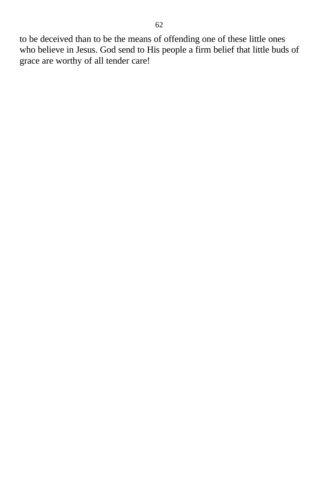to be deceived than to be the means of offending one of these little ones who believe in Jesus. God send to His people a firm belief that little buds of grace are worthy of all tender care!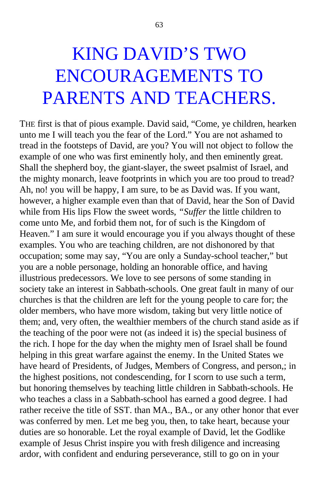# KING DAVID'S TWO ENCOURAGEMENTS TO PARENTS AND TEACHERS.

THE first is that of pious example. David said, "Come, ye children, hearken unto me I will teach you the fear of the Lord." You are not ashamed to tread in the footsteps of David, are you? You will not object to follow the example of one who was first eminently holy, and then eminently great. Shall the shepherd boy, the giant-slayer, the sweet psalmist of Israel, and the mighty monarch, leave footprints in which you are too proud to tread? Ah, no! you will be happy, I am sure, to be as David was. If you want, however, a higher example even than that of David, hear the Son of David while from His lips Flow the sweet words, *"Suffer* the little children to come unto Me, and forbid them not, for of such is the Kingdom of Heaven." I am sure it would encourage you if you always thought of these examples. You who are teaching children, are not dishonored by that occupation; some may say, "You are only a Sunday-school teacher," but you are a noble personage, holding an honorable office, and having illustrious predecessors. We love to see persons of some standing in society take an interest in Sabbath-schools. One great fault in many of our churches is that the children are left for the young people to care for; the older members, who have more wisdom, taking but very little notice of them; and, very often, the wealthier members of the church stand aside as if the teaching of the poor were not (as indeed it is) the special business of the rich. I hope for the day when the mighty men of Israel shall be found helping in this great warfare against the enemy. In the United States we have heard of Presidents, of Judges, Members of Congress, and person,; in the highest positions, not condescending, for I scorn to use such a term, but honoring themselves by teaching little children in Sabbath-schools. He who teaches a class in a Sabbath-school has earned a good degree. I had rather receive the title of SST. than MA., BA., or any other honor that ever was conferred by men. Let me beg you, then, to take heart, because your duties are so honorable. Let the royal example of David, let the Godlike example of Jesus Christ inspire you with fresh diligence and increasing ardor, with confident and enduring perseverance, still to go on in your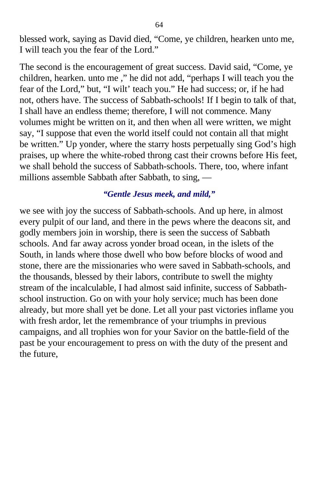blessed work, saying as David died, "Come, ye children, hearken unto me, I will teach you the fear of the Lord."

The second is the encouragement of great success. David said, "Come, ye children, hearken. unto me ," he did not add, "perhaps I will teach you the fear of the Lord," but, "I wilt' teach you." He had success; or, if he had not, others have. The success of Sabbath-schools! If I begin to talk of that, I shall have an endless theme; therefore, I will not commence. Many volumes might be written on it, and then when all were written, we might say, "I suppose that even the world itself could not contain all that might be written." Up yonder, where the starry hosts perpetually sing God's high praises, up where the white-robed throng cast their crowns before His feet, we shall behold the success of Sabbath-schools. There, too, where infant millions assemble Sabbath after Sabbath, to sing, —

#### *"Gentle Jesus meek, and mild,"*

we see with joy the success of Sabbath-schools. And up here, in almost every pulpit of our land, and there in the pews where the deacons sit, and godly members join in worship, there is seen the success of Sabbath schools. And far away across yonder broad ocean, in the islets of the South, in lands where those dwell who bow before blocks of wood and stone, there are the missionaries who were saved in Sabbath-schools, and the thousands, blessed by their labors, contribute to swell the mighty stream of the incalculable, I had almost said infinite, success of Sabbathschool instruction. Go on with your holy service; much has been done already, but more shall yet be done. Let all your past victories inflame you with fresh ardor, let the remembrance of your triumphs in previous campaigns, and all trophies won for your Savior on the battle-field of the past be your encouragement to press on with the duty of the present and the future,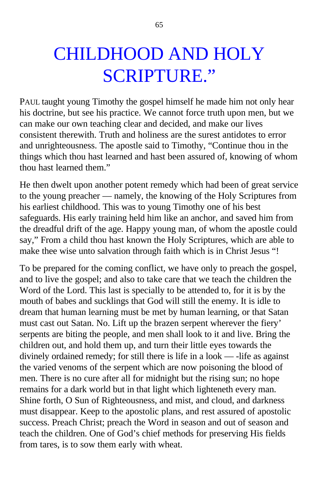# CHILDHOOD AND HOLY SCRIPTURE."

PAUL taught young Timothy the gospel himself he made him not only hear his doctrine, but see his practice. We cannot force truth upon men, but we can make our own teaching clear and decided, and make our lives consistent therewith. Truth and holiness are the surest antidotes to error and unrighteousness. The apostle said to Timothy, "Continue thou in the things which thou hast learned and hast been assured of, knowing of whom thou hast learned them."

He then dwelt upon another potent remedy which had been of great service to the young preacher — namely, the knowing of the Holy Scriptures from his earliest childhood. This was to young Timothy one of his best safeguards. His early training held him like an anchor, and saved him from the dreadful drift of the age. Happy young man, of whom the apostle could say," From a child thou hast known the Holy Scriptures, which are able to make thee wise unto salvation through faith which is in Christ Jesus "!

To be prepared for the coming conflict, we have only to preach the gospel, and to live the gospel; and also to take care that we teach the children the Word of the Lord. This last is specially to be attended to, for it is by the mouth of babes and sucklings that God will still the enemy. It is idle to dream that human learning must be met by human learning, or that Satan must cast out Satan. No. Lift up the brazen serpent wherever the fiery' serpents are biting the people, and men shall look to it and live. Bring the children out, and hold them up, and turn their little eyes towards the divinely ordained remedy; for still there is life in a look — -life as against the varied venoms of the serpent which are now poisoning the blood of men. There is no cure after all for midnight but the rising sun; no hope remains for a dark world but in that light which lighteneth every man. Shine forth, O Sun of Righteousness, and mist, and cloud, and darkness must disappear. Keep to the apostolic plans, and rest assured of apostolic success. Preach Christ; preach the Word in season and out of season and teach the children. One of God's chief methods for preserving His fields from tares, is to sow them early with wheat.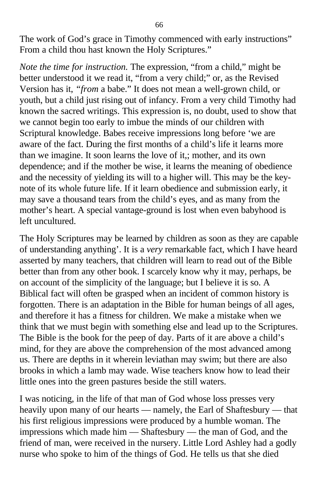The work of God's grace in Timothy commenced with early instructions" From a child thou hast known the Holy Scriptures."

*Note the time for instruction.* The expression, "from a child," might be better understood it we read it, "from a very child;" or, as the Revised Version has it, *"from* a babe." It does not mean a well-grown child, or youth, but a child just rising out of infancy. From a very child Timothy had known the sacred writings. This expression is, no doubt, used to show that we cannot begin too early to imbue the minds of our children with Scriptural knowledge. Babes receive impressions long before 'we are aware of the fact. During the first months of a child's life it learns more than we imagine. It soon learns the love of it,; mother, and its own dependence; and if the mother be wise, it learns the meaning of obedience and the necessity of yielding its will to a higher will. This may be the keynote of its whole future life. If it learn obedience and submission early, it may save a thousand tears from the child's eyes, and as many from the mother's heart. A special vantage-ground is lost when even babyhood is left uncultured.

The Holy Scriptures may be learned by children as soon as they are capable of understanding anything'. It is a *very* remarkable fact, which I have heard asserted by many teachers, that children will learn to read out of the Bible better than from any other book. I scarcely know why it may, perhaps, be on account of the simplicity of the language; but I believe it is so. A Biblical fact will often be grasped when an incident of common history is forgotten. There is an adaptation in the Bible for human beings of all ages, and therefore it has a fitness for children. We make a mistake when we think that we must begin with something else and lead up to the Scriptures. The Bible is the book for the peep of day. Parts of it are above a child's mind, for they are above the comprehension of the most advanced among us. There are depths in it wherein leviathan may swim; but there are also brooks in which a lamb may wade. Wise teachers know how to lead their little ones into the green pastures beside the still waters.

I was noticing, in the life of that man of God whose loss presses very heavily upon many of our hearts — namely, the Earl of Shaftesbury — that his first religious impressions were produced by a humble woman. The impressions which made him — Shaftesbury — the man of God, and the friend of man, were received in the nursery. Little Lord Ashley had a godly nurse who spoke to him of the things of God. He tells us that she died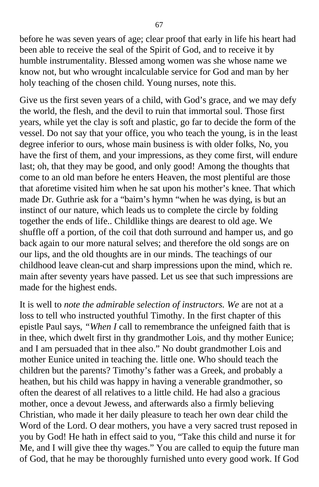before he was seven years of age; clear proof that early in life his heart had been able to receive the seal of the Spirit of God, and to receive it by humble instrumentality. Blessed among women was she whose name we know not, but who wrought incalculable service for God and man by her holy teaching of the chosen child. Young nurses, note this.

Give us the first seven years of a child, with God's grace, and we may defy the world, the flesh, and the devil to ruin that immortal soul. Those first years, while yet the clay is soft and plastic, go far to decide the form of the vessel. Do not say that your office, you who teach the young, is in the least degree inferior to ours, whose main business is with older folks, No, you have the first of them, and your impressions, as they come first, will endure last; oh, that they may be good, and only good! Among the thoughts that come to an old man before he enters Heaven, the most plentiful are those that aforetime visited him when he sat upon his mother's knee. That which made Dr. Guthrie ask for a "bairn's hymn "when he was dying, is but an instinct of our nature, which leads us to complete the circle by folding together the ends of life.. Childlike things are dearest to old age. We shuffle off a portion, of the coil that doth surround and hamper us, and go back again to our more natural selves; and therefore the old songs are on our lips, and the old thoughts are in our minds. The teachings of our childhood leave clean-cut and sharp impressions upon the mind, which re. main after seventy years have passed. Let us see that such impressions are made for the highest ends.

It is well to *note the admirable selection of instructors. We* are not at a loss to tell who instructed youthful Timothy. In the first chapter of this epistle Paul says, *"When I* call to remembrance the unfeigned faith that is in thee, which dwelt first in thy grandmother Lois, and thy mother Eunice; and I am persuaded that in thee also." No doubt grandmother Lois and mother Eunice united in teaching the. little one. Who should teach the children but the parents? Timothy's father was a Greek, and probably a heathen, but his child was happy in having a venerable grandmother, so often the dearest of all relatives to a little child. He had also a gracious mother, once a devout Jewess, and afterwards also a firmly believing Christian, who made it her daily pleasure to teach her own dear child the Word of the Lord. O dear mothers, you have a very sacred trust reposed in you by God! He hath in effect said to you, "Take this child and nurse it for Me, and I will give thee thy wages." You are called to equip the future man of God, that he may be thoroughly furnished unto every good work. If God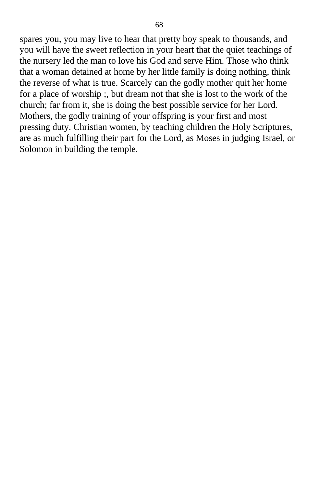spares you, you may live to hear that pretty boy speak to thousands, and you will have the sweet reflection in your heart that the quiet teachings of the nursery led the man to love his God and serve Him. Those who think that a woman detained at home by her little family is doing nothing, think the reverse of what is true. Scarcely can the godly mother quit her home for a place of worship ;, but dream not that she is lost to the work of the church; far from it, she is doing the best possible service for her Lord. Mothers, the godly training of your offspring is your first and most pressing duty. Christian women, by teaching children the Holy Scriptures, are as much fulfilling their part for the Lord, as Moses in judging Israel, or Solomon in building the temple.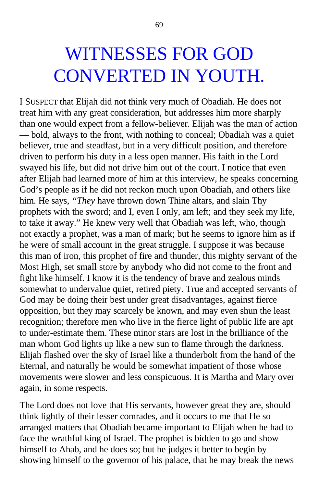## WITNESSES FOR GOD CONVERTED IN YOUTH.

I SUSPECT that Elijah did not think very much of Obadiah. He does not treat him with any great consideration, but addresses him more sharply than one would expect from a fellow-believer. Elijah was the man of action — bold, always to the front, with nothing to conceal; Obadiah was a quiet believer, true and steadfast, but in a very difficult position, and therefore driven to perform his duty in a less open manner. His faith in the Lord swayed his life, but did not drive him out of the court. I notice that even after Elijah had learned more of him at this interview, he speaks concerning God's people as if he did not reckon much upon Obadiah, and others like him. He says, *"They* have thrown down Thine altars, and slain Thy prophets with the sword; and I, even I only, am left; and they seek my life, to take it away." He knew very well that Obadiah was left, who, though not exactly a prophet, was a man of mark; but he seems to ignore him as if he were of small account in the great struggle. I suppose it was because this man of iron, this prophet of fire and thunder, this mighty servant of the Most High, set small store by anybody who did not come to the front and fight like himself. I know it is the tendency of brave and zealous minds somewhat to undervalue quiet, retired piety. True and accepted servants of God may be doing their best under great disadvantages, against fierce opposition, but they may scarcely be known, and may even shun the least recognition; therefore men who live in the fierce light of public life are apt to under-estimate them. These minor stars are lost in the brilliance of the man whom God lights up like a new sun to flame through the darkness. Elijah flashed over the sky of Israel like a thunderbolt from the hand of the Eternal, and naturally he would be somewhat impatient of those whose movements were slower and less conspicuous. It is Martha and Mary over again, in some respects.

The Lord does not love that His servants, however great they are, should think lightly of their lesser comrades, and it occurs to me that He so arranged matters that Obadiah became important to Elijah when he had to face the wrathful king of Israel. The prophet is bidden to go and show himself to Ahab, and he does so; but he judges it better to begin by showing himself to the governor of his palace, that he may break the news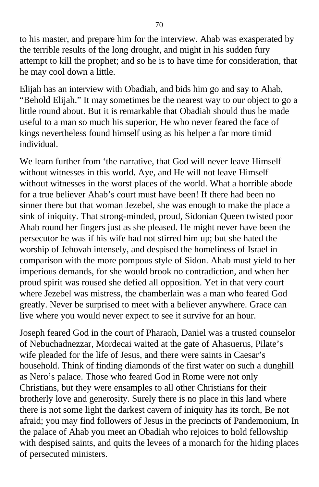to his master, and prepare him for the interview. Ahab was exasperated by the terrible results of the long drought, and might in his sudden fury attempt to kill the prophet; and so he is to have time for consideration, that he may cool down a little.

Elijah has an interview with Obadiah, and bids him go and say to Ahab, "Behold Elijah." It may sometimes be the nearest way to our object to go a little round about. But it is remarkable that Obadiah should thus be made useful to a man so much his superior, He who never feared the face of kings nevertheless found himself using as his helper a far more timid individual.

We learn further from 'the narrative, that God will never leave Himself without witnesses in this world. Aye, and He will not leave Himself without witnesses in the worst places of the world. What a horrible abode for a true believer Ahab's court must have been! If there had been no sinner there but that woman Jezebel, she was enough to make the place a sink of iniquity. That strong-minded, proud, Sidonian Queen twisted poor Ahab round her fingers just as she pleased. He might never have been the persecutor he was if his wife had not stirred him up; but she hated the worship of Jehovah intensely, and despised the homeliness of Israel in comparison with the more pompous style of Sidon. Ahab must yield to her imperious demands, for she would brook no contradiction, and when her proud spirit was roused she defied all opposition. Yet in that very court where Jezebel was mistress, the chamberlain was a man who feared God greatly. Never be surprised to meet with a believer anywhere. Grace can live where you would never expect to see it survive for an hour.

Joseph feared God in the court of Pharaoh, Daniel was a trusted counselor of Nebuchadnezzar, Mordecai waited at the gate of Ahasuerus, Pilate's wife pleaded for the life of Jesus, and there were saints in Caesar's household. Think of finding diamonds of the first water on such a dunghill as Nero's palace. Those who feared God in Rome were not only Christians, but they were ensamples to all other Christians for their brotherly love and generosity. Surely there is no place in this land where there is not some light the darkest cavern of iniquity has its torch, Be not afraid; you may find followers of Jesus in the precincts of Pandemonium, In the palace of Ahab you meet an Obadiah who rejoices to hold fellowship with despised saints, and quits the levees of a monarch for the hiding places of persecuted ministers.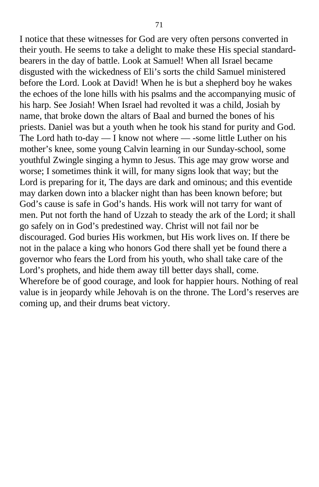I notice that these witnesses for God are very often persons converted in their youth. He seems to take a delight to make these His special standardbearers in the day of battle. Look at Samuel! When all Israel became disgusted with the wickedness of Eli's sorts the child Samuel ministered before the Lord. Look at David! When he is but a shepherd boy he wakes the echoes of the lone hills with his psalms and the accompanying music of his harp. See Josiah! When Israel had revolted it was a child, Josiah by name, that broke down the altars of Baal and burned the bones of his priests. Daniel was but a youth when he took his stand for purity and God. The Lord hath to-day — I know not where — -some little Luther on his mother's knee, some young Calvin learning in our Sunday-school, some youthful Zwingle singing a hymn to Jesus. This age may grow worse and worse; I sometimes think it will, for many signs look that way; but the Lord is preparing for it, The days are dark and ominous; and this eventide may darken down into a blacker night than has been known before; but God's cause is safe in God's hands. His work will not tarry for want of men. Put not forth the hand of Uzzah to steady the ark of the Lord; it shall go safely on in God's predestined way. Christ will not fail nor be discouraged. God buries His workmen, but His work lives on. If there be not in the palace a king who honors God there shall yet be found there a governor who fears the Lord from his youth, who shall take care of the Lord's prophets, and hide them away till better days shall, come. Wherefore be of good courage, and look for happier hours. Nothing of real value is in jeopardy while Jehovah is on the throne. The Lord's reserves are coming up, and their drums beat victory.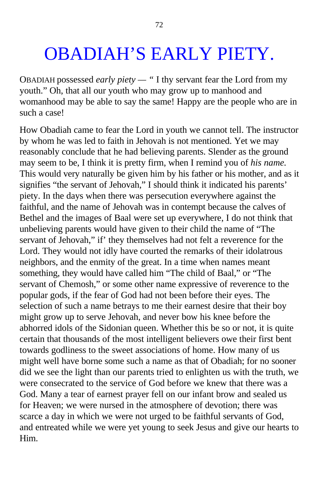#### OBADIAH'S EARLY PIETY.

OBADIAH possessed *early piety — "* I thy servant fear the Lord from my youth." Oh, that all our youth who may grow up to manhood and womanhood may be able to say the same! Happy are the people who are in such a case!

How Obadiah came to fear the Lord in youth we cannot tell. The instructor by whom he was led to faith in Jehovah is not mentioned. Yet we may reasonably conclude that he had believing parents. Slender as the ground may seem to be, I think it is pretty firm, when I remind you of *his name.* This would very naturally be given him by his father or his mother, and as it signifies "the servant of Jehovah," I should think it indicated his parents' piety. In the days when there was persecution everywhere against the faithful, and the name of Jehovah was in contempt because the calves of Bethel and the images of Baal were set up everywhere, I do not think that unbelieving parents would have given to their child the name of "The servant of Jehovah," if' they themselves had not felt a reverence for the Lord. They would not idly have courted the remarks of their idolatrous neighbors, and the enmity of the great. In a time when names meant something, they would have called him "The child of Baal," or "The servant of Chemosh," or some other name expressive of reverence to the popular gods, if the fear of God had not been before their eyes. The selection of such a name betrays to me their earnest desire that their boy might grow up to serve Jehovah, and never bow his knee before the abhorred idols of the Sidonian queen. Whether this be so or not, it is quite certain that thousands of the most intelligent believers owe their first bent towards godliness to the sweet associations of home. How many of us might well have borne some such a name as that of Obadiah; for no sooner did we see the light than our parents tried to enlighten us with the truth, we were consecrated to the service of God before we knew that there was a God. Many a tear of earnest prayer fell on our infant brow and sealed us for Heaven; we were nursed in the atmosphere of devotion; there was scarce a day in which we were not urged to be faithful servants of God, and entreated while we were yet young to seek Jesus and give our hearts to Him.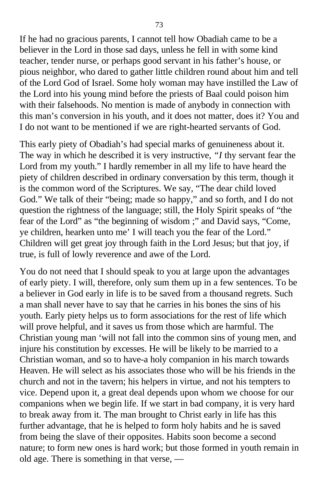If he had no gracious parents, I cannot tell how Obadiah came to be a believer in the Lord in those sad days, unless he fell in with some kind teacher, tender nurse, or perhaps good servant in his father's house, or pious neighbor, who dared to gather little children round about him and tell of the Lord God of Israel. Some holy woman may have instilled the Law of the Lord into his young mind before the priests of Baal could poison him with their falsehoods. No mention is made of anybody in connection with this man's conversion in his youth, and it does not matter, does it? You and I do not want to be mentioned if we are right-hearted servants of God.

This early piety of Obadiah's had special marks of genuineness about it. The way in which he described it is very instructive, *"I* thy servant fear the Lord from my youth." I hardly remember in all my life to have heard the piety of children described in ordinary conversation by this term, though it is the common word of the Scriptures. We say, "The dear child loved God." We talk of their "being; made so happy," and so forth, and I do not question the rightness of the language; still, the Holy Spirit speaks of "the fear of the Lord" as "the beginning of wisdom ;" and David says, "Come, ye children, hearken unto me' I will teach you the fear of the Lord." Children will get great joy through faith in the Lord Jesus; but that joy, if true, is full of lowly reverence and awe of the Lord.

You do not need that I should speak to you at large upon the advantages of early piety. I will, therefore, only sum them up in a few sentences. To be a believer in God early in life is to be saved from a thousand regrets. Such a man shall never have to say that he carries in his bones the sins of his youth. Early piety helps us to form associations for the rest of life which will prove helpful, and it saves us from those which are harmful. The Christian young man 'will not fall into the common sins of young men, and injure his constitution by excesses. He will be likely to be married to a Christian woman, and so to have-a holy companion in his march towards Heaven. He will select as his associates those who will be his friends in the church and not in the tavern; his helpers in virtue, and not his tempters to vice. Depend upon it, a great deal depends upon whom we choose for our companions when we begin life. If we start in bad company, it is very hard to break away from it. The man brought to Christ early in life has this further advantage, that he is helped to form holy habits and he is saved from being the slave of their opposites. Habits soon become a second nature; to form new ones is hard work; but those formed in youth remain in old age. There is something in that verse, —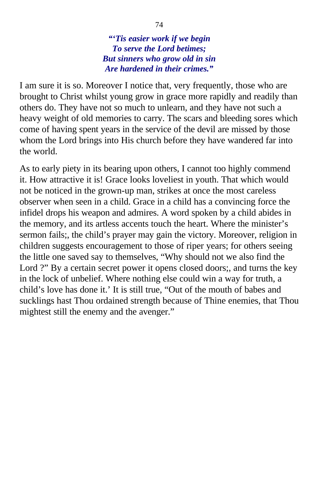*"'Tis easier work if we begin To serve the Lord betimes; But sinners who grow old in sin Are hardened in their crimes."*

I am sure it is so. Moreover I notice that, very frequently, those who are brought to Christ whilst young grow in grace more rapidly and readily than others do. They have not so much to unlearn, and they have not such a heavy weight of old memories to carry. The scars and bleeding sores which come of having spent years in the service of the devil are missed by those whom the Lord brings into His church before they have wandered far into the world.

As to early piety in its bearing upon others, I cannot too highly commend it. How attractive it is! Grace looks loveliest in youth. That which would not be noticed in the grown-up man, strikes at once the most careless observer when seen in a child. Grace in a child has a convincing force the infidel drops his weapon and admires. A word spoken by a child abides in the memory, and its artless accents touch the heart. Where the minister's sermon fails;, the child's prayer may gain the victory. Moreover, religion in children suggests encouragement to those of riper years; for others seeing the little one saved say to themselves, "Why should not we also find the Lord ?" By a certain secret power it opens closed doors;, and turns the key in the lock of unbelief. Where nothing else could win a way for truth, a child's love has done it.' It is still true, "Out of the mouth of babes and sucklings hast Thou ordained strength because of Thine enemies, that Thou mightest still the enemy and the avenger."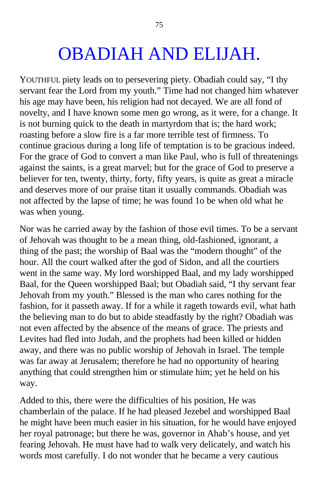### OBADIAH AND ELIJAH.

YOUTHFUL piety leads on to persevering piety. Obadiah could say, "I thy servant fear the Lord from my youth." Time had not changed him whatever his age may have been, his religion had not decayed. We are all fond of novelty, and I have known some men go wrong, as it were, for a change. It is not burning quick to the death in martyrdom that is; the hard work; roasting before a slow fire is a far more terrible test of firmness. To continue gracious during a long life of temptation is to be gracious indeed. For the grace of God to convert a man like Paul, who is full of threatenings against the saints, is a great marvel; but for the grace of God to preserve a believer for ten, twenty, thirty, forty, fifty years, is quite as great a miracle and deserves more of our praise titan it usually commands. Obadiah was not affected by the lapse of time; he was found 1o be when old what he was when young.

Nor was he carried away by the fashion of those evil times. To be a servant of Jehovah was thought to be a mean thing, old-fashioned, ignorant, a thing of the past; the worship of Baal was the "modern thought" of the hour. All the court walked after the god of Sidon, and all the courtiers went in the same way. My lord worshipped Baal, and my lady worshipped Baal, for the Queen worshipped Baal; but Obadiah said, "I thy servant fear Jehovah from my youth." Blessed is the man who cares nothing for the fashion, for it passeth away. If for a while it rageth towards evil, what hath the believing man to do but to abide steadfastly by the right? Obadiah was not even affected by the absence of the means of grace. The priests and Levites had fled into Judah, and the prophets had been killed or hidden away, and there was no public worship of Jehovah in Israel. The temple was far away at Jerusalem; therefore he had no opportunity of hearing anything that could strengthen him or stimulate him; yet he held on his way.

Added to this, there were the difficulties of his position, He was chamberlain of the palace. If he had pleased Jezebel and worshipped Baal he might have been much easier in his situation, for he would have enjoyed her royal patronage; but there he was, governor in Ahab's house, and yet fearing Jehovah. He must have had to walk very delicately, and watch his words most carefully. I do not wonder that he became a very cautious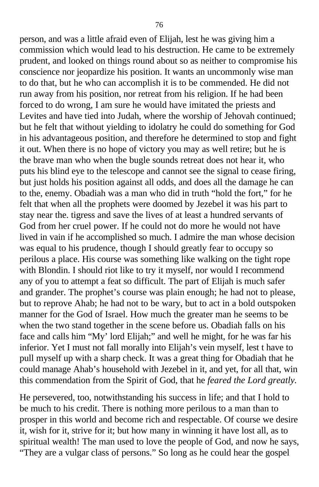person, and was a little afraid even of Elijah, lest he was giving him a commission which would lead to his destruction. He came to be extremely prudent, and looked on things round about so as neither to compromise his conscience nor jeopardize his position. It wants an uncommonly wise man to do that, but he who can accomplish it is to be commended. He did not run away from his position, nor retreat from his religion. If he had been forced to do wrong, I am sure he would have imitated the priests and Levites and have tied into Judah, where the worship of Jehovah continued; but he felt that without yielding to idolatry he could do something for God in his advantageous position, and therefore he determined to stop and fight it out. When there is no hope of victory you may as well retire; but he is the brave man who when the bugle sounds retreat does not hear it, who puts his blind eye to the telescope and cannot see the signal to cease firing, but just holds his position against all odds, and does all the damage he can to the, enemy. Obadiah was a man who did in truth "hold the fort," for he felt that when all the prophets were doomed by Jezebel it was his part to stay near the. tigress and save the lives of at least a hundred servants of God from her cruel power. If he could not do more he would not have lived in vain if he accomplished so much. I admire the man whose decision was equal to his prudence, though I should greatly fear to occupy so perilous a place. His course was something like walking on the tight rope with Blondin. I should riot like to try it myself, nor would I recommend any of you to attempt a feat so difficult. The part of Elijah is much safer and grander. The prophet's course was plain enough; he had not to please, but to reprove Ahab; he had not to be wary, but to act in a bold outspoken manner for the God of Israel. How much the greater man he seems to be when the two stand together in the scene before us. Obadiah falls on his face and calls him "My' lord Elijah;" and well he might, for he was far his inferior. Yet I must not fall morally into Elijah's vein myself, lest t have to pull myself up with a sharp check. It was a great thing for Obadiah that he could manage Ahab's household with Jezebel in it, and yet, for all that, win this commendation from the Spirit of God, that he *feared the Lord greatly.*

He persevered, too, notwithstanding his success in life; and that I hold to be much to his credit. There is nothing more perilous to a man than to prosper in this world and become rich and respectable. Of course we desire it, wish for it, strive for it; but how many in winning it have lost all, as to spiritual wealth! The man used to love the people of God, and now he says, "They are a vulgar class of persons." So long as he could hear the gospel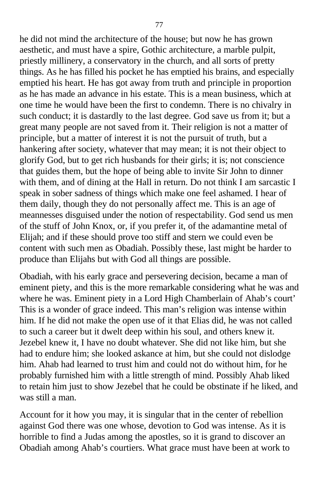he did not mind the architecture of the house; but now he has grown aesthetic, and must have a spire, Gothic architecture, a marble pulpit, priestly millinery, a conservatory in the church, and all sorts of pretty things. As he has filled his pocket he has emptied his brains, and especially emptied his heart. He has got away from truth and principle in proportion as he has made an advance in his estate. This is a mean business, which at one time he would have been the first to condemn. There is no chivalry in such conduct; it is dastardly to the last degree. God save us from it; but a great many people are not saved from it. Their religion is not a matter of principle, but a matter of interest it is not the pursuit of truth, but a hankering after society, whatever that may mean; it is not their object to glorify God, but to get rich husbands for their girls; it is; not conscience that guides them, but the hope of being able to invite Sir John to dinner with them, and of dining at the Hall in return. Do not think I am sarcastic I speak in sober sadness of things which make one feel ashamed. I hear of them daily, though they do not personally affect me. This is an age of meannesses disguised under the notion of respectability. God send us men of the stuff of John Knox, or, if you prefer it, of the adamantine metal of Elijah; and if these should prove too stiff and stern we could even be content with such men as Obadiah. Possibly these, last might be harder to produce than Elijahs but with God all things are possible.

Obadiah, with his early grace and persevering decision, became a man of eminent piety, and this is the more remarkable considering what he was and where he was. Eminent piety in a Lord High Chamberlain of Ahab's court' This is a wonder of grace indeed. This man's religion was intense within him. If he did not make the open use of it that Elias did, he was not called to such a career but it dwelt deep within his soul, and others knew it. Jezebel knew it, I have no doubt whatever. She did not like him, but she had to endure him; she looked askance at him, but she could not dislodge him. Ahab had learned to trust him and could not do without him, for he probably furnished him with a little strength of mind. Possibly Ahab liked to retain him just to show Jezebel that he could be obstinate if he liked, and was still a man.

Account for it how you may, it is singular that in the center of rebellion against God there was one whose, devotion to God was intense. As it is horrible to find a Judas among the apostles, so it is grand to discover an Obadiah among Ahab's courtiers. What grace must have been at work to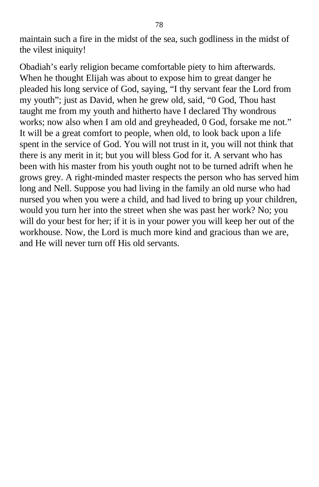maintain such a fire in the midst of the sea, such godliness in the midst of the vilest iniquity!

Obadiah's early religion became comfortable piety to him afterwards. When he thought Elijah was about to expose him to great danger he pleaded his long service of God, saying, "I thy servant fear the Lord from my youth"; just as David, when he grew old, said, "0 God, Thou hast taught me from my youth and hitherto have I declared Thy wondrous works; now also when I am old and greyheaded, 0 God, forsake me not." It will be a great comfort to people, when old, to look back upon a life spent in the service of God. You will not trust in it, you will not think that there is any merit in it; but you will bless God for it. A servant who has been with his master from his youth ought not to be turned adrift when he grows grey. A right-minded master respects the person who has served him long and Nell. Suppose you had living in the family an old nurse who had nursed you when you were a child, and had lived to bring up your children, would you turn her into the street when she was past her work? No; you will do your best for her; if it is in your power you will keep her out of the workhouse. Now, the Lord is much more kind and gracious than we are, and He will never turn off His old servants.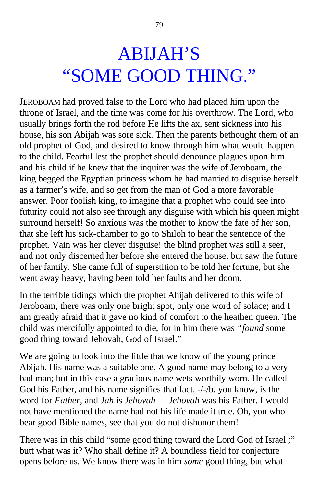## ABIJAH'S "SOME GOOD THING."

JEROBOAM had proved false to the Lord who had placed him upon the throne of Israel, and the time was come for his overthrow. The Lord, who usually brings forth the rod before He lifts the ax, sent sickness into his house, his son Abijah was sore sick. Then the parents bethought them of an old prophet of God, and desired to know through him what would happen to the child. Fearful lest the prophet should denounce plagues upon him and his child if he knew that the inquirer was the wife of Jeroboam, the king begged the Egyptian princess whom he had married to disguise herself as a farmer's wife, and so get from the man of God a more favorable answer. Poor foolish king, to imagine that a prophet who could see into futurity could not also see through any disguise with which his queen might surround herself! So anxious was the mother to know the fate of her son, that she left his sick-chamber to go to Shiloh to hear the sentence of the prophet. Vain was her clever disguise! the blind prophet was still a seer, and not only discerned her before she entered the house, but saw the future of her family. She came full of superstition to be told her fortune, but she went away heavy, having been told her faults and her doom.

In the terrible tidings which the prophet Ahijah delivered to this wife of Jeroboam, there was only one bright spot, only one word of solace; and I am greatly afraid that it gave no kind of comfort to the heathen queen. The child was mercifully appointed to die, for in him there was *"found* some good thing toward Jehovah, God of Israel."

We are going to look into the little that we know of the young prince Abijah. His name was a suitable one. A good name may belong to a very bad man; but in this case a gracious name wets worthily worn. He called God his Father, and his name signifies that fact. -/-/b, you know, is the word for *Father,* and *Jah* is *Jehovah — Jehovah* was his Father. I would not have mentioned the name had not his life made it true. Oh, you who bear good Bible names, see that you do not dishonor them!

There was in this child "some good thing toward the Lord God of Israel ;" butt what was it? Who shall define it? A boundless field for conjecture opens before us. We know there was in him *some* good thing, but what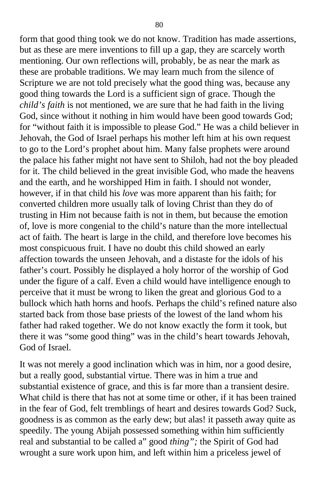form that good thing took we do not know. Tradition has made assertions, but as these are mere inventions to fill up a gap, they are scarcely worth mentioning. Our own reflections will, probably, be as near the mark as these are probable traditions. We may learn much from the silence of Scripture we are not told precisely what the good thing was, because any good thing towards the Lord is a sufficient sign of grace. Though the *child's faith* is not mentioned, we are sure that he had faith in the living God, since without it nothing in him would have been good towards God; for "without faith it is impossible to please God." He was a child believer in Jehovah, the God of Israel perhaps his mother left him at his own request to go to the Lord's prophet about him. Many false prophets were around the palace his father might not have sent to Shiloh, had not the boy pleaded for it. The child believed in the great invisible God, who made the heavens and the earth, and he worshipped Him in faith. I should not wonder, however, if in that child his *love* was more apparent than his faith; for converted children more usually talk of loving Christ than they do of trusting in Him not because faith is not in them, but because the emotion of, love is more congenial to the child's nature than the more intellectual act of faith. The heart is large in the child, and therefore love becomes his most conspicuous fruit. I have no doubt this child showed an early affection towards the unseen Jehovah, and a distaste for the idols of his father's court. Possibly he displayed a holy horror of the worship of God under the figure of a calf. Even a child would have intelligence enough to perceive that it must be wrong to liken the great and glorious God to a bullock which hath horns and hoofs. Perhaps the child's refined nature also started back from those base priests of the lowest of the land whom his father had raked together. We do not know exactly the form it took, but there it was "some good thing" was in the child's heart towards Jehovah, God of Israel.

It was not merely a good inclination which was in him, nor a good desire, but a really good, substantial virtue. There was in him a true and substantial existence of grace, and this is far more than a transient desire. What child is there that has not at some time or other, if it has been trained in the fear of God, felt tremblings of heart and desires towards God? Suck, goodness is as common as the early dew; but alas! it passeth away quite as speedily. The young Abijah possessed something within him sufficiently real and substantial to be called a" good *thing";* the Spirit of God had wrought a sure work upon him, and left within him a priceless jewel of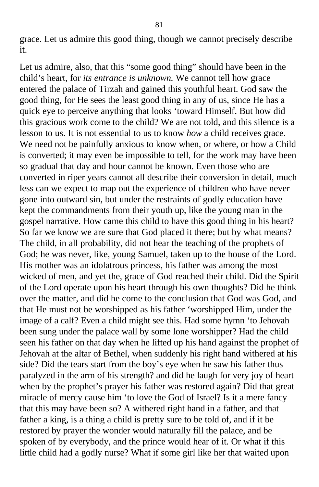grace. Let us admire this good thing, though we cannot precisely describe it.

Let us admire, also, that this "some good thing" should have been in the child's heart, for *its entrance is unknown.* We cannot tell how grace entered the palace of Tirzah and gained this youthful heart. God saw the good thing, for He sees the least good thing in any of us, since He has a quick eye to perceive anything that looks 'toward Himself. But how did this gracious work come to the child? We are not told, and this silence is a lesson to us. It is not essential to us to know *how* a child receives grace. We need not be painfully anxious to know when, or where, or how a Child is converted; it may even be impossible to tell, for the work may have been so gradual that day and hour cannot be known. Even those who are converted in riper years cannot all describe their conversion in detail, much less can we expect to map out the experience of children who have never gone into outward sin, but under the restraints of godly education have kept the commandments from their youth up, like the young man in the gospel narrative. How came this child to have this good thing in his heart? So far we know we are sure that God placed it there; but by what means? The child, in all probability, did not hear the teaching of the prophets of God; he was never, like, young Samuel, taken up to the house of the Lord. His mother was an idolatrous princess, his father was among the most wicked of men, and yet the, grace of God reached their child. Did the Spirit of the Lord operate upon his heart through his own thoughts? Did he think over the matter, and did he come to the conclusion that God was God, and that He must not be worshipped as his father 'worshipped Him, under the image of a calf? Even a child might see this. Had some hymn 'to Jehovah been sung under the palace wall by some lone worshipper? Had the child seen his father on that day when he lifted up his hand against the prophet of Jehovah at the altar of Bethel, when suddenly his right hand withered at his side? Did the tears start from the boy's eye when he saw his father thus paralyzed in the arm of his strength? and did he laugh for very joy of heart when by the prophet's prayer his father was restored again? Did that great miracle of mercy cause him 'to love the God of Israel? Is it a mere fancy that this may have been so? A withered right hand in a father, and that father a king, is a thing a child is pretty sure to be told of, and if it be restored by prayer the wonder would naturally fill the palace, and be spoken of by everybody, and the prince would hear of it. Or what if this little child had a godly nurse? What if some girl like her that waited upon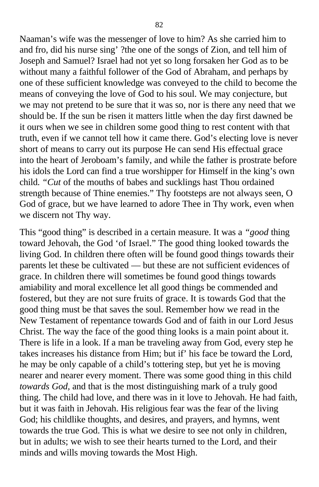Naaman's wife was the messenger of love to him? As she carried him to and fro, did his nurse sing' ?the one of the songs of Zion, and tell him of Joseph and Samuel? Israel had not yet so long forsaken her God as to be without many a faithful follower of the God of Abraham, and perhaps by one of these sufficient knowledge was conveyed to the child to become the means of conveying the love of God to his soul. We may conjecture, but we may not pretend to be sure that it was so, nor is there any need that we should be. If the sun be risen it matters little when the day first dawned be it ours when we see in children some good thing to rest content with that truth, even if we cannot tell how it came there. God's electing love is never short of means to carry out its purpose He can send His effectual grace into the heart of Jeroboam's family, and while the father is prostrate before his idols the Lord can find a true worshipper for Himself in the king's own child. *"Cut* of the mouths of babes and sucklings hast Thou ordained strength because of Thine enemies." Thy footsteps are not always seen, O God of grace, but we have learned to adore Thee in Thy work, even when we discern not Thy way.

This "good thing" is described in a certain measure. It was a *"good* thing toward Jehovah, the God 'of Israel." The good thing looked towards the living God. In children there often will be found good things towards their parents let these be cultivated — but these are not sufficient evidences of grace. In children there will sometimes be found good things towards amiability and moral excellence let all good things be commended and fostered, but they are not sure fruits of grace. It is towards God that the good thing must be that saves the soul. Remember how we read in the New Testament of repentance towards God and of faith in our Lord Jesus Christ. The way the face of the good thing looks is a main point about it. There is life in a look. If a man be traveling away from God, every step he takes increases his distance from Him; but if' his face be toward the Lord, he may be only capable of a child's tottering step, but yet he is moving nearer and nearer every moment. There was some good thing in this child *towards God,* and that is the most distinguishing mark of a truly good thing. The child had love, and there was in it love to Jehovah. He had faith, but it was faith in Jehovah. His religious fear was the fear of the living God; his childlike thoughts, and desires, and prayers, and hymns, went towards the true God. This is what we desire to see not only in children, but in adults; we wish to see their hearts turned to the Lord, and their minds and wills moving towards the Most High.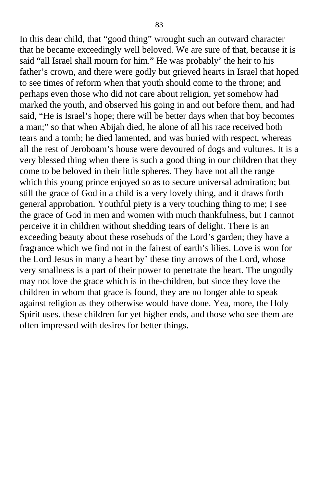In this dear child, that "good thing" wrought such an outward character that he became exceedingly well beloved. We are sure of that, because it is said "all Israel shall mourn for him." He was probably' the heir to his father's crown, and there were godly but grieved hearts in Israel that hoped to see times of reform when that youth should come to the throne; and perhaps even those who did not care about religion, yet somehow had marked the youth, and observed his going in and out before them, and had said, "He is Israel's hope; there will be better days when that boy becomes a man;" so that when Abijah died, he alone of all his race received both tears and a tomb; he died lamented, and was buried with respect, whereas all the rest of Jeroboam's house were devoured of dogs and vultures. It is a very blessed thing when there is such a good thing in our children that they come to be beloved in their little spheres. They have not all the range which this young prince enjoyed so as to secure universal admiration; but still the grace of God in a child is a very lovely thing, and it draws forth general approbation. Youthful piety is a very touching thing to me; I see the grace of God in men and women with much thankfulness, but I cannot perceive it in children without shedding tears of delight. There is an exceeding beauty about these rosebuds of the Lord's garden; they have a fragrance which we find not in the fairest of earth's lilies. Love is won for the Lord Jesus in many a heart by' these tiny arrows of the Lord, whose very smallness is a part of their power to penetrate the heart. The ungodly may not love the grace which is in the-children, but since they love the children in whom that grace is found, they are no longer able to speak against religion as they otherwise would have done. Yea, more, the Holy Spirit uses. these children for yet higher ends, and those who see them are often impressed with desires for better things.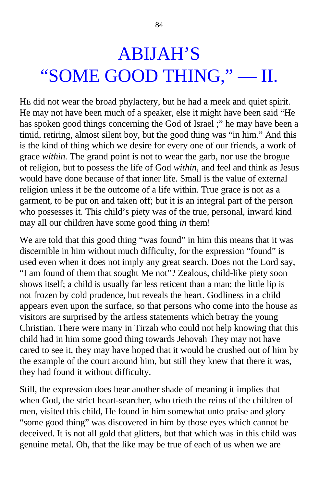### ABIJAH'S "SOME GOOD THING," — II.

HE did not wear the broad phylactery, but he had a meek and quiet spirit. He may not have been much of a speaker, else it might have been said "He has spoken good things concerning the God of Israel ;" he may have been a timid, retiring, almost silent boy, but the good thing was "in him." And this is the kind of thing which we desire for every one of our friends, a work of grace *within.* The grand point is not to wear the garb, nor use the brogue of religion, but to possess the life of God *within,* and feel and think as Jesus would have done because of that inner life. Small is the value of external religion unless it be the outcome of a life within. True grace is not as a garment, to be put on and taken off; but it is an integral part of the person who possesses it. This child's piety was of the true, personal, inward kind may all our children have some good thing *in* them!

We are told that this good thing "was found" in him this means that it was discernible in him without much difficulty, for the expression "found" is used even when it does not imply any great search. Does not the Lord say, "I am found of them that sought Me not"? Zealous, child-like piety soon shows itself; a child is usually far less reticent than a man; the little lip is not frozen by cold prudence, but reveals the heart. Godliness in a child appears even upon the surface, so that persons who come into the house as visitors are surprised by the artless statements which betray the young Christian. There were many in Tirzah who could not help knowing that this child had in him some good thing towards Jehovah They may not have cared to see it, they may have hoped that it would be crushed out of him by the example of the court around him, but still they knew that there it was, they had found it without difficulty.

Still, the expression does bear another shade of meaning it implies that when God, the strict heart-searcher, who trieth the reins of the children of men, visited this child, He found in him somewhat unto praise and glory "some good thing" was discovered in him by those eyes which cannot be deceived. It is not all gold that glitters, but that which was in this child was genuine metal. Oh, that the like may be true of each of us when we are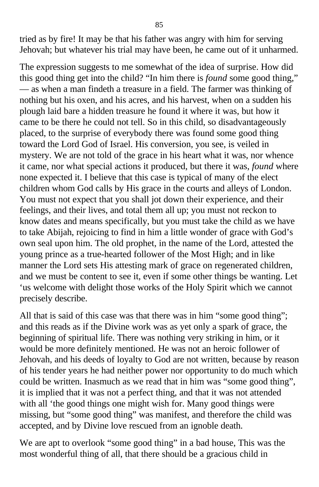tried as by fire! It may be that his father was angry with him for serving Jehovah; but whatever his trial may have been, he came out of it unharmed.

The expression suggests to me somewhat of the idea of surprise. How did this good thing get into the child? "In him there is *found* some good thing," — as when a man findeth a treasure in a field. The farmer was thinking of nothing but his oxen, and his acres, and his harvest, when on a sudden his plough laid bare a hidden treasure he found it where it was, but how it came to be there he could not tell. So in this child, so disadvantageously placed, to the surprise of everybody there was found some good thing toward the Lord God of Israel. His conversion, you see, is veiled in mystery. We are not told of the grace in his heart what it was, nor whence it came, nor what special actions it produced, but there it was, *found* where none expected it. I believe that this case is typical of many of the elect children whom God calls by His grace in the courts and alleys of London. You must not expect that you shall jot down their experience, and their feelings, and their lives, and total them all up; you must not reckon to know dates and means specifically, but you must take the child as we have to take Abijah, rejoicing to find in him a little wonder of grace with God's own seal upon him. The old prophet, in the name of the Lord, attested the young prince as a true-hearted follower of the Most High; and in like manner the Lord sets His attesting mark of grace on regenerated children, and we must be content to see it, even if some other things be wanting. Let 'us welcome with delight those works of the Holy Spirit which we cannot precisely describe.

All that is said of this case was that there was in him "some good thing"; and this reads as if the Divine work was as yet only a spark of grace, the beginning of spiritual life. There was nothing very striking in him, or it would be more definitely mentioned. He was not an heroic follower of Jehovah, and his deeds of loyalty to God are not written, because by reason of his tender years he had neither power nor opportunity to do much which could be written. Inasmuch as we read that in him was "some good thing", it is implied that it was not a perfect thing, and that it was not attended with all 'the good things one might wish for. Many good things were missing, but "some good thing" was manifest, and therefore the child was accepted, and by Divine love rescued from an ignoble death.

We are apt to overlook "some good thing" in a bad house, This was the most wonderful thing of all, that there should be a gracious child in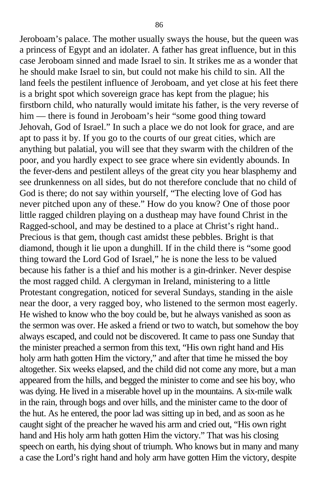Jeroboam's palace. The mother usually sways the house, but the queen was a princess of Egypt and an idolater. A father has great influence, but in this case Jeroboam sinned and made Israel to sin. It strikes me as a wonder that he should make Israel to sin, but could not make his child to sin. All the land feels the pestilent influence of Jeroboam, and yet close at his feet there is a bright spot which sovereign grace has kept from the plague; his firstborn child, who naturally would imitate his father, is the very reverse of him — there is found in Jeroboam's heir "some good thing toward Jehovah, God of Israel." In such a place we do not look for grace, and are apt to pass it by. If you go to the courts of our great cities, which are anything but palatial, you will see that they swarm with the children of the poor, and you hardly expect to see grace where sin evidently abounds. In the fever-dens and pestilent alleys of the great city you hear blasphemy and see drunkenness on all sides, but do not therefore conclude that no child of God is there; do not say within yourself, "The electing love of God has never pitched upon any of these." How do you know? One of those poor little ragged children playing on a dustheap may have found Christ in the Ragged-school, and may be destined to a place at Christ's right hand.. Precious is that gem, though cast amidst these pebbles. Bright is that diamond, though it lie upon a dunghill. If in the child there is "some good thing toward the Lord God of Israel," he is none the less to be valued because his father is a thief and his mother is a gin-drinker. Never despise the most ragged child. A clergyman in Ireland, ministering to a little Protestant congregation, noticed for several Sundays, standing in the aisle near the door, a very ragged boy, who listened to the sermon most eagerly. He wished to know who the boy could be, but he always vanished as soon as the sermon was over. He asked a friend or two to watch, but somehow the boy always escaped, and could not be discovered. It came to pass one Sunday that the minister preached a sermon from this text, "His own right hand and His holy arm hath gotten Him the victory," and after that time he missed the boy altogether. Six weeks elapsed, and the child did not come any more, but a man appeared from the hills, and begged the minister to come and see his boy, who was dying. He lived in a miserable hovel up in the mountains. A six-mile walk in the rain, through bogs and over hills, and the minister came to the door of the hut. As he entered, the poor lad was sitting up in bed, and as soon as he caught sight of the preacher he waved his arm and cried out, "His own right hand and His holy arm hath gotten Him the victory." That was his closing speech on earth, his dying shout of triumph. Who knows but in many and many a case the Lord's right hand and holy arm have gotten Him the victory, despite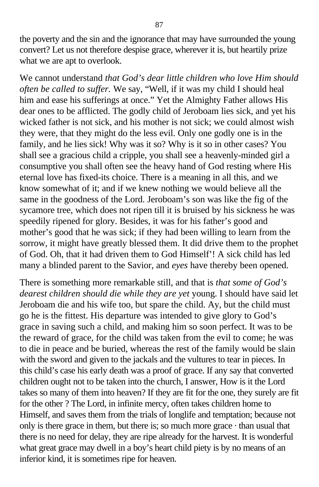the poverty and the sin and the ignorance that may have surrounded the young convert? Let us not therefore despise grace, wherever it is, but heartily prize what we are apt to overlook.

We cannot understand *that God's dear little children who love Him should often be called to suffer.* We say, "Well, if it was my child I should heal him and ease his sufferings at once." Yet the Almighty Father allows His dear ones to be afflicted. The godly child of Jeroboam lies sick, and yet his wicked father is not sick, and his mother is not sick; we could almost wish they were, that they might do the less evil. Only one godly one is in the family, and he lies sick! Why was it so? Why is it so in other cases? You shall see a gracious child a cripple, you shall see a heavenly-minded girl a consumptive you shall often see the heavy hand of God resting where His eternal love has fixed-its choice. There is a meaning in all this, and we know somewhat of it; and if we knew nothing we would believe all the same in the goodness of the Lord. Jeroboam's son was like the fig of the sycamore tree, which does not ripen till it is bruised by his sickness he was speedily ripened for glory. Besides, it was for his father's good and mother's good that he was sick; if they had been willing to learn from the sorrow, it might have greatly blessed them. It did drive them to the prophet of God. Oh, that it had driven them to God Himself'! A sick child has led many a blinded parent to the Savior, and *eyes* have thereby been opened.

There is something more remarkable still, and that is *that some of God's dearest children should die while they are yet* young. I should have said let Jeroboam die and his wife too, but spare the child. Ay, but the child must go he is the fittest. His departure was intended to give glory to God's grace in saving such a child, and making him so soon perfect. It was to be the reward of grace, for the child was taken from the evil to come; he was to die in peace and be buried, whereas the rest of the family would be slain with the sword and given to the jackals and the vultures to tear in pieces. In this child's case his early death was a proof of grace. If any say that converted children ought not to be taken into the church, I answer, How is it the Lord takes so many of them into heaven? If they are fit for the one, they surely are fit for the other ? The Lord, in infinite mercy, often takes children home to Himself, and saves them from the trials of longlife and temptation; because not only is there grace in them, but there is; so much more grace  $\cdot$  than usual that there is no need for delay, they are ripe already for the harvest. It is wonderful what great grace may dwell in a boy's heart child piety is by no means of an inferior kind, it is sometimes ripe for heaven.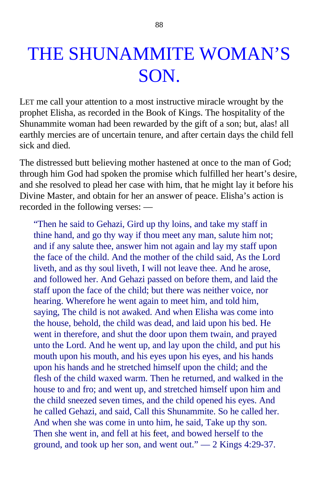### THE SHUNAMMITE WOMAN'S SON.

LET me call your attention to a most instructive miracle wrought by the prophet Elisha, as recorded in the Book of Kings. The hospitality of the Shunammite woman had been rewarded by the gift of a son; but, alas! all earthly mercies are of uncertain tenure, and after certain days the child fell sick and died.

The distressed butt believing mother hastened at once to the man of God; through him God had spoken the promise which fulfilled her heart's desire, and she resolved to plead her case with him, that he might lay it before his Divine Master, and obtain for her an answer of peace. Elisha's action is recorded in the following verses: —

"Then he said to Gehazi, Gird up thy loins, and take my staff in thine hand, and go thy way if thou meet any man, salute him not; and if any salute thee, answer him not again and lay my staff upon the face of the child. And the mother of the child said, As the Lord liveth, and as thy soul liveth, I will not leave thee. And he arose, and followed her. And Gehazi passed on before them, and laid the staff upon the face of the child; but there was neither voice, nor hearing. Wherefore he went again to meet him, and told him, saying, The child is not awaked. And when Elisha was come into the house, behold, the child was dead, and laid upon his bed. He went in therefore, and shut the door upon them twain, and prayed unto the Lord. And he went up, and lay upon the child, and put his mouth upon his mouth, and his eyes upon his eyes, and his hands upon his hands and he stretched himself upon the child; and the flesh of the child waxed warm. Then he returned, and walked in the house to and fro; and went up, and stretched himself upon him and the child sneezed seven times, and the child opened his eyes. And he called Gehazi, and said, Call this Shunammite. So he called her. And when she was come in unto him, he said, Take up thy son. Then she went in, and fell at his feet, and bowed herself to the ground, and took up her son, and went out." $-2$  Kings 4:29-37.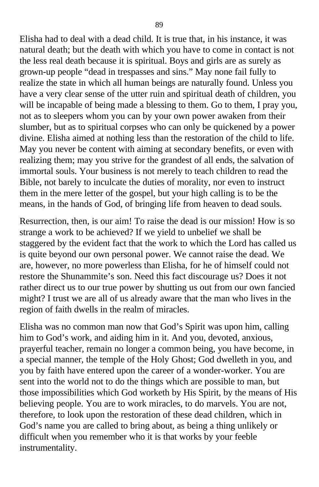Elisha had to deal with a dead child. It is true that, in his instance, it was natural death; but the death with which you have to come in contact is not the less real death because it is spiritual. Boys and girls are as surely as grown-up people "dead in trespasses and sins." May none fail fully to realize the state in which all human beings are naturally found. Unless you have a very clear sense of the utter ruin and spiritual death of children, you will be incapable of being made a blessing to them. Go to them, I pray you, not as to sleepers whom you can by your own power awaken from their slumber, but as to spiritual corpses who can only be quickened by a power divine. Elisha aimed at nothing less than the restoration of the child to life. May you never be content with aiming at secondary benefits, or even with realizing them; may you strive for the grandest of all ends, the salvation of immortal souls. Your business is not merely to teach children to read the Bible, not barely to inculcate the duties of morality, nor even to instruct them in the mere letter of the gospel, but your high calling is to be the means, in the hands of God, of bringing life from heaven to dead souls.

Resurrection, then, is our aim! To raise the dead is our mission! How is so strange a work to be achieved? If we yield to unbelief we shall be staggered by the evident fact that the work to which the Lord has called us is quite beyond our own personal power. We cannot raise the dead. We are, however, no more powerless than Elisha, for he of himself could not restore the Shunammite's son. Need this fact discourage us? Does it not rather direct us to our true power by shutting us out from our own fancied might? I trust we are all of us already aware that the man who lives in the region of faith dwells in the realm of miracles.

Elisha was no common man now that God's Spirit was upon him, calling him to God's work, and aiding him in it. And you, devoted, anxious, prayerful teacher, remain no longer a common being, you have become, in a special manner, the temple of the Holy Ghost; God dwelleth in you, and you by faith have entered upon the career of a wonder-worker. You are sent into the world not to do the things which are possible to man, but those impossibilities which God worketh by His Spirit, by the means of His believing people. You are to work miracles, to do marvels. You are not, therefore, to look upon the restoration of these dead children, which in God's name you are called to bring about, as being a thing unlikely or difficult when you remember who it is that works by your feeble instrumentality.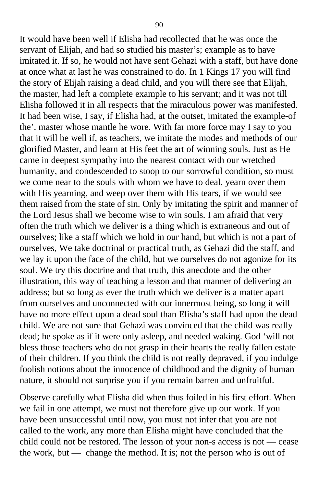It would have been well if Elisha had recollected that he was once the servant of Elijah, and had so studied his master's; example as to have imitated it. If so, he would not have sent Gehazi with a staff, but have done at once what at last he was constrained to do. In 1 Kings 17 you will find the story of Elijah raising a dead child, and you will there see that Elijah, the master, had left a complete example to his servant; and it was not till Elisha followed it in all respects that the miraculous power was manifested. It had been wise, I say, if Elisha had, at the outset, imitated the example-of the'. master whose mantle he wore. With far more force may I say to you that it will be well if, as teachers, we imitate the modes and methods of our glorified Master, and learn at His feet the art of winning souls. Just as He came in deepest sympathy into the nearest contact with our wretched humanity, and condescended to stoop to our sorrowful condition, so must we come near to the souls with whom we have to deal, yearn over them with His yearning, and weep over them with His tears, if we would see them raised from the state of sin. Only by imitating the spirit and manner of the Lord Jesus shall we become wise to win souls. I am afraid that very often the truth which we deliver is a thing which is extraneous and out of ourselves; like a staff which we hold in our hand, but which is not a part of ourselves, We take doctrinal or practical truth, as Gehazi did the staff, and we lay it upon the face of the child, but we ourselves do not agonize for its soul. We try this doctrine and that truth, this anecdote and the other illustration, this way of teaching a lesson and that manner of delivering an address; but so long as ever the truth which we deliver is a matter apart from ourselves and unconnected with our innermost being, so long it will have no more effect upon a dead soul than Elisha's staff had upon the dead child. We are not sure that Gehazi was convinced that the child was really dead; he spoke as if it were only asleep, and needed waking. God 'will not bless those teachers who do not grasp in their hearts the really fallen estate of their children. If you think the child is not really depraved, if you indulge foolish notions about the innocence of childhood and the dignity of human nature, it should not surprise you if you remain barren and unfruitful.

Observe carefully what Elisha did when thus foiled in his first effort. When we fail in one attempt, we must not therefore give up our work. If you have been unsuccessful until now, you must not infer that you are not called to the work, any more than Elisha might have concluded that the child could not be restored. The lesson of your non-s access is not — cease the work, but — change the method. It is; not the person who is out of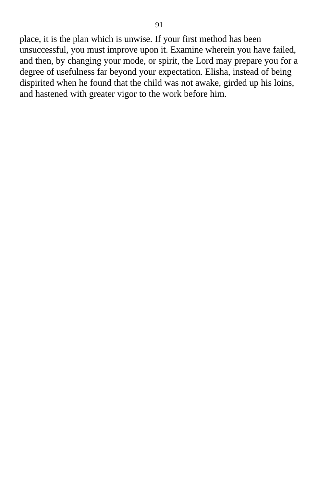place, it is the plan which is unwise. If your first method has been unsuccessful, you must improve upon it. Examine wherein you have failed, and then, by changing your mode, or spirit, the Lord may prepare you for a degree of usefulness far beyond your expectation. Elisha, instead of being dispirited when he found that the child was not awake, girded up his loins, and hastened with greater vigor to the work before him.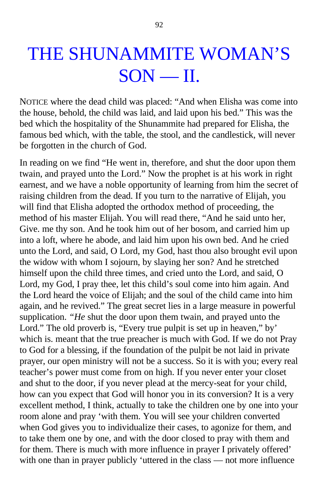# THE SHUNAMMITE WOMAN'S  $SON - II$ .

NOTICE where the dead child was placed: "And when Elisha was come into the house, behold, the child was laid, and laid upon his bed." This was the bed which the hospitality of the Shunammite had prepared for Elisha, the famous bed which, with the table, the stool, and the candlestick, will never be forgotten in the church of God.

In reading on we find "He went in, therefore, and shut the door upon them twain, and prayed unto the Lord." Now the prophet is at his work in right earnest, and we have a noble opportunity of learning from him the secret of raising children from the dead. If you turn to the narrative of Elijah, you will find that Elisha adopted the orthodox method of proceeding, the method of his master Elijah. You will read there, "And he said unto her, Give. me thy son. And he took him out of her bosom, and carried him up into a loft, where he abode, and laid him upon his own bed. And he cried unto the Lord, and said, O Lord, my God, hast thou also brought evil upon the widow with whom I sojourn, by slaying her son? And he stretched himself upon the child three times, and cried unto the Lord, and said, O Lord, my God, I pray thee, let this child's soul come into him again. And the Lord heard the voice of Elijah; and the soul of the child came into him again, and he revived." The great secret lies in a large measure in powerful supplication. *"He* shut the door upon them twain, and prayed unto the Lord." The old proverb is, "Every true pulpit is set up in heaven," by' which is. meant that the true preacher is much with God. If we do not Pray to God for a blessing, if the foundation of the pulpit be not laid in private prayer, our open ministry will not be a success. So it is with you; every real teacher's power must come from on high. If you never enter your closet and shut to the door, if you never plead at the mercy-seat for your child, how can you expect that God will honor you in its conversion? It is a very excellent method, I think, actually to take the children one by one into your room alone and pray 'with them. You will see your children converted when God gives you to individualize their cases, to agonize for them, and to take them one by one, and with the door closed to pray with them and for them. There is much with more influence in prayer I privately offered' with one than in prayer publicly 'uttered in the class — not more influence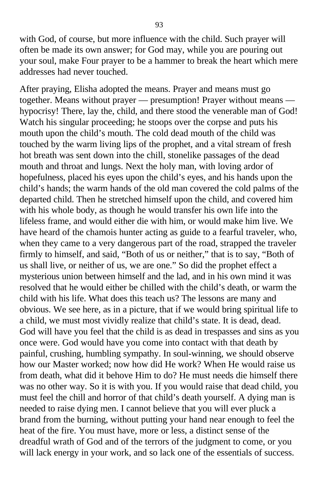with God, of course, but more influence with the child. Such prayer will often be made its own answer; for God may, while you are pouring out your soul, make Four prayer to be a hammer to break the heart which mere addresses had never touched.

After praying, Elisha adopted the means. Prayer and means must go together. Means without prayer — presumption! Prayer without means hypocrisy! There, lay the, child, and there stood the venerable man of God! Watch his singular proceeding; he stoops over the corpse and puts his mouth upon the child's mouth. The cold dead mouth of the child was touched by the warm living lips of the prophet, and a vital stream of fresh hot breath was sent down into the chill, stonelike passages of the dead mouth and throat and lungs. Next the holy man, with loving ardor of hopefulness, placed his eyes upon the child's eyes, and his hands upon the child's hands; the warm hands of the old man covered the cold palms of the departed child. Then he stretched himself upon the child, and covered him with his whole body, as though he would transfer his own life into the lifeless frame, and would either die with him, or would make him live. We have heard of the chamois hunter acting as guide to a fearful traveler, who, when they came to a very dangerous part of the road, strapped the traveler firmly to himself, and said, "Both of us or neither," that is to say, "Both of us shall live, or neither of us, we are one." So did the prophet effect a mysterious union between himself and the lad, and in his own mind it was resolved that he would either be chilled with the child's death, or warm the child with his life. What does this teach us? The lessons are many and obvious. We see here, as in a picture, that if we would bring spiritual life to a child, we must most vividly realize that child's state. It is dead, dead. God will have you feel that the child is as dead in trespasses and sins as you once were. God would have you come into contact with that death by painful, crushing, humbling sympathy. In soul-winning, we should observe how our Master worked; now how did He work? When He would raise us from death, what did it behove Him to do? He must needs die himself there was no other way. So it is with you. If you would raise that dead child, you must feel the chill and horror of that child's death yourself. A dying man is needed to raise dying men. I cannot believe that you will ever pluck a brand from the burning, without putting your hand near enough to feel the heat of the fire. You must have, more or less, a distinct sense of the dreadful wrath of God and of the terrors of the judgment to come, or you will lack energy in your work, and so lack one of the essentials of success.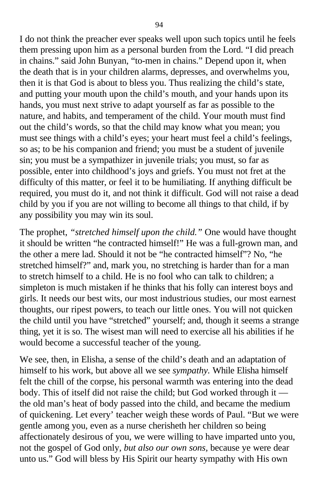I do not think the preacher ever speaks well upon such topics until he feels them pressing upon him as a personal burden from the Lord. "I did preach in chains." said John Bunyan, "to-men in chains." Depend upon it, when the death that is in your children alarms, depresses, and overwhelms you, then it is that God is about to bless you. Thus realizing the child's state, and putting your mouth upon the child's mouth, and your hands upon its hands, you must next strive to adapt yourself as far as possible to the nature, and habits, and temperament of the child. Your mouth must find out the child's words, so that the child may know what you mean; you must see things with a child's eyes; your heart must feel a child's feelings, so as; to be his companion and friend; you must be a student of juvenile sin; you must be a sympathizer in juvenile trials; you must, so far as possible, enter into childhood's joys and griefs. You must not fret at the difficulty of this matter, or feel it to be humiliating. If anything difficult be required, you must do it, and not think it difficult. God will not raise a dead child by you if you are not willing to become all things to that child, if by any possibility you may win its soul.

The prophet, *"stretched himself upon the child."* One would have thought it should be written "he contracted himself!" He was a full-grown man, and the other a mere lad. Should it not be "he contracted himself"? No, "he stretched himself?" and, mark you, no stretching is harder than for a man to stretch himself to a child. He is no fool who can talk to children; a simpleton is much mistaken if he thinks that his folly can interest boys and girls. It needs our best wits, our most industrious studies, our most earnest thoughts, our ripest powers, to teach our little ones. You will not quicken the child until you have "stretched" yourself; and, though it seems a strange thing, yet it is so. The wisest man will need to exercise all his abilities if he would become a successful teacher of the young.

We see, then, in Elisha, a sense of the child's death and an adaptation of himself to his work, but above all we see *sympathy.* While Elisha himself felt the chill of the corpse, his personal warmth was entering into the dead body. This of itself did not raise the child; but God worked through it the old man's heat of body passed into the child, and became the medium of quickening. Let every' teacher weigh these words of Paul. "But we were gentle among you, even as a nurse cherisheth her children so being affectionately desirous of you, we were willing to have imparted unto you, not the gospel of God only, *but also our own sons,* because ye were dear unto us." God will bless by His Spirit our hearty sympathy with His own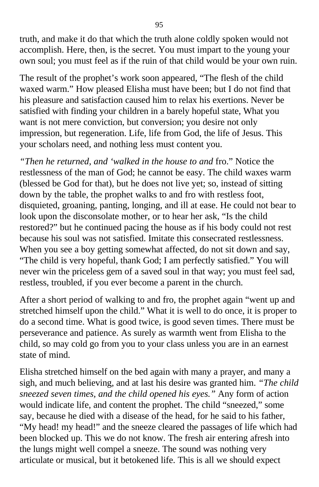truth, and make it do that which the truth alone coldly spoken would not accomplish. Here, then, is the secret. You must impart to the young your own soul; you must feel as if the ruin of that child would be your own ruin.

The result of the prophet's work soon appeared, "The flesh of the child waxed warm." How pleased Elisha must have been; but I do not find that his pleasure and satisfaction caused him to relax his exertions. Never be satisfied with finding your children in a barely hopeful state, What you want is not mere conviction, but conversion; you desire not only impression, but regeneration. Life, life from God, the life of Jesus. This your scholars need, and nothing less must content you.

*"Then he returned, and 'walked in the house to and* fro." Notice the restlessness of the man of God; he cannot be easy. The child waxes warm (blessed be God for that), but he does not live yet; so, instead of sitting down by the table, the prophet walks to and fro with restless foot, disquieted, groaning, panting, longing, and ill at ease. He could not bear to look upon the disconsolate mother, or to hear her ask, "Is the child restored?" but he continued pacing the house as if his body could not rest because his soul was not satisfied. Imitate this consecrated restlessness. When you see a boy getting somewhat affected, do not sit down and say, "The child is very hopeful, thank God; I am perfectly satisfied." You will never win the priceless gem of a saved soul in that way; you must feel sad, restless, troubled, if you ever become a parent in the church.

After a short period of walking to and fro, the prophet again "went up and stretched himself upon the child." What it is well to do once, it is proper to do a second time. What is good twice, is good seven times. There must be perseverance and patience. As surely as warmth went from Elisha to the child, so may cold go from you to your class unless you are in an earnest state of mind.

Elisha stretched himself on the bed again with many a prayer, and many a sigh, and much believing, and at last his desire was granted him. *"The child sneezed seven times, and the child opened his eyes."* Any form of action would indicate life, and content the prophet. The child "sneezed," some say, because he died with a disease of the head, for he said to his father, "My head! my head!" and the sneeze cleared the passages of life which had been blocked up. This we do not know. The fresh air entering afresh into the lungs might well compel a sneeze. The sound was nothing very articulate or musical, but it betokened life. This is all we should expect